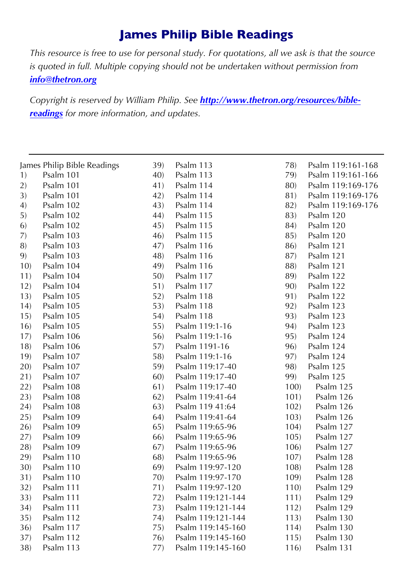# **James Philip Bible Readings**

*This resource is free to use for personal study. For quotations, all we ask is that the source is quoted in full. Multiple copying should not be undertaken without permission from info@thetron.org*

*Copyright is reserved by William Philip. See http://www.thetron.org/resources/biblereadings for more information, and updates.*

|      | James Philip Bible Readings | 39) | Psalm 113         | 78)  | Psalm 119:161-168 |
|------|-----------------------------|-----|-------------------|------|-------------------|
| 1)   | Psalm 101                   | 40) | Psalm 113         | 79)  | Psalm 119:161-166 |
| 2)   | Psalm 101                   | 41) | Psalm 114         | 80)  | Psalm 119:169-176 |
| 3)   | Psalm 101                   | 42) | Psalm 114         | 81)  | Psalm 119:169-176 |
| 4)   | Psalm 102                   | 43) | Psalm 114         | 82)  | Psalm 119:169-176 |
| 5)   | Psalm 102                   | 44) | Psalm 115         | 83)  | Psalm 120         |
| 6)   | Psalm 102                   | 45) | Psalm 115         | 84)  | Psalm 120         |
| 7)   | Psalm 103                   | 46) | Psalm 115         | 85)  | Psalm 120         |
| 8)   | Psalm 103                   | 47) | Psalm 116         | 86)  | Psalm 121         |
| 9)   | Psalm 103                   | 48) | Psalm 116         | 87)  | Psalm 121         |
| 10)  | Psalm 104                   | 49) | Psalm 116         | 88)  | Psalm 121         |
| 11)  | Psalm 104                   | 50) | Psalm 117         | 89)  | Psalm 122         |
| 12)  | Psalm 104                   | 51) | Psalm 117         | 90)  | Psalm 122         |
| 13)  | Psalm 105                   | 52) | Psalm 118         | 91)  | Psalm 122         |
| 14)  | Psalm 105                   | 53) | Psalm 118         | 92)  | Psalm 123         |
| 15)  | Psalm 105                   | 54) | Psalm 118         | 93)  | Psalm 123         |
| 16)  | Psalm 105                   | 55) | Psalm 119:1-16    | 94)  | Psalm 123         |
| 17)  | Psalm 106                   | 56) | Psalm 119:1-16    | 95)  | Psalm 124         |
| 18)  | Psalm 106                   | 57) | Psalm 1191-16     | 96)  | Psalm 124         |
| 19)  | Psalm 107                   | 58) | Psalm 119:1-16    | 97)  | Psalm 124         |
| 20)  | Psalm 107                   | 59) | Psalm 119:17-40   | 98)  | Psalm 125         |
| 21)  | Psalm 107                   | 60) | Psalm 119:17-40   | 99)  | Psalm 125         |
| 22)  | Psalm 108                   | 61) | Psalm 119:17-40   | 100) | Psalm 125         |
| (23) | Psalm 108                   | 62) | Psalm 119:41-64   | 101) | Psalm 126         |
| 24)  | Psalm 108                   | 63) | Psalm 119 41:64   | 102) | Psalm 126         |
| 25)  | Psalm 109                   | 64) | Psalm 119:41-64   | 103) | Psalm 126         |
| 26)  | Psalm 109                   | 65) | Psalm 119:65-96   | 104) | Psalm 127         |
| 27)  | Psalm 109                   | 66) | Psalm 119:65-96   | 105) | Psalm 127         |
| 28)  | Psalm 109                   | 67) | Psalm 119:65-96   | 106) | Psalm 127         |
| 29)  | Psalm 110                   | 68) | Psalm 119:65-96   | 107) | Psalm 128         |
| 30)  | Psalm 110                   | 69) | Psalm 119:97-120  | 108) | Psalm 128         |
| 31)  | Psalm 110                   | 70) | Psalm 119:97-170  | 109) | Psalm 128         |
| 32)  | Psalm 111                   | 71) | Psalm 119:97-120  | 110  | Psalm 129         |
| 33)  | Psalm 111                   | 72) | Psalm 119:121-144 | 111) | Psalm 129         |
| 34)  | Psalm 111                   | 73) | Psalm 119:121-144 | 112) | Psalm 129         |
| 35)  | Psalm 112                   | 74) | Psalm 119:121-144 | 113) | Psalm 130         |
| 36)  | Psalm 117                   | 75) | Psalm 119:145-160 | 114) | Psalm 130         |
| 37)  | Psalm 112                   | 76) | Psalm 119:145-160 | 115) | Psalm 130         |
| 38)  | Psalm 113                   | 77) | Psalm 119:145-160 | 116) | Psalm 131         |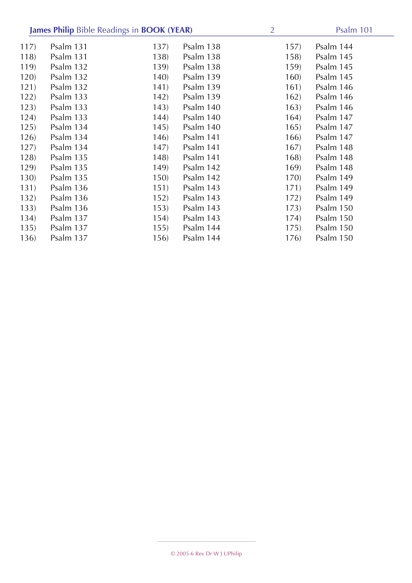|      |           | James Philip Bible Readings in BOOK (YEAR) | $\overline{2}$ | Psalm 101 |           |
|------|-----------|--------------------------------------------|----------------|-----------|-----------|
| 117) | Psalm 131 | 137)                                       | Psalm 138      | 157)      | Psalm 144 |
| 118) | Psalm 131 | 138)                                       | Psalm 138      | 158)      | Psalm 145 |
| 119) | Psalm 132 | 139)                                       | Psalm 138      | 159)      | Psalm 145 |
| 120) | Psalm 132 | 140)                                       | Psalm 139      | 160)      | Psalm 145 |
| 121) | Psalm 132 | 141)                                       | Psalm 139      | 161)      | Psalm 146 |
| 122) | Psalm 133 | 142)                                       | Psalm 139      | 162)      | Psalm 146 |
| 123) | Psalm 133 | 143)                                       | Psalm 140      | 163)      | Psalm 146 |
| 124) | Psalm 133 | 144)                                       | Psalm 140      | 164)      | Psalm 147 |
| 125) | Psalm 134 | 145)                                       | Psalm 140      | 165)      | Psalm 147 |
| 126) | Psalm 134 | 146)                                       | Psalm 141      | 166)      | Psalm 147 |
| 127) | Psalm 134 | 147)                                       | Psalm 141      | 167)      | Psalm 148 |
| 128  | Psalm 135 | 148)                                       | Psalm 141      | 168)      | Psalm 148 |
| 129) | Psalm 135 | 149)                                       | Psalm 142      | 169)      | Psalm 148 |
| 130) | Psalm 135 | 150)                                       | Psalm 142      | 170)      | Psalm 149 |
| 131) | Psalm 136 | 151)                                       | Psalm 143      | 171)      | Psalm 149 |
| 132) | Psalm 136 | 152)                                       | Psalm 143      | 172)      | Psalm 149 |
| 133) | Psalm 136 | 153)                                       | Psalm 143      | 173)      | Psalm 150 |
| 134) | Psalm 137 | 154)                                       | Psalm 143      | 174)      | Psalm 150 |
| 135) | Psalm 137 | 155)                                       | Psalm 144      | 175)      | Psalm 150 |
| 136) | Psalm 137 | 156)                                       | Psalm 144      | 176)      | Psalm 150 |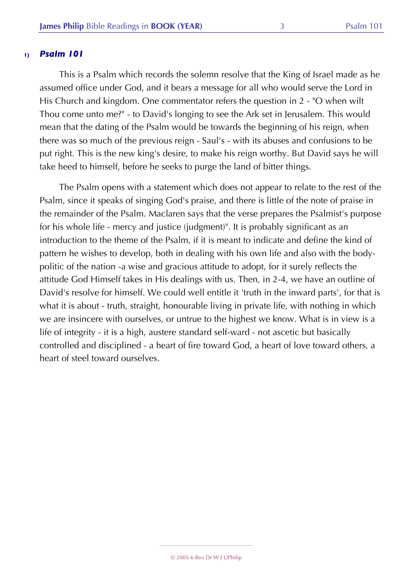This is a Psalm which records the solemn resolve that the King of Israel made as he assumed office under God, and it bears a message for all who would serve the Lord in His Church and kingdom. One commentator refers the question in 2 - "O when wilt Thou come unto me?" - to David's longing to see the Ark set in Jerusalem. This would mean that the dating of the Psalm would be towards the beginning of his reign, when there was so much of the previous reign - Saul's - with its abuses and confusions to be put right. This is the new king's desire, to make his reign worthy. But David says he will take heed to himself, before he seeks to purge the land of bitter things.

The Psalm opens with a statement which does not appear to relate to the rest of the Psalm, since it speaks of singing God's praise, and there is little of the note of praise in the remainder of the Psalm. Maclaren says that the verse prepares the Psalmist's purpose for his whole life - mercy and justice (judgment)". It is probably significant as an introduction to the theme of the Psalm, if it is meant to indicate and define the kind of pattern he wishes to develop, both in dealing with his own life and also with the bodypolitic of the nation -a wise and gracious attitude to adopt, for it surely reflects the attitude God Himself takes in His dealings with us. Then, in 2-4, we have an outline of David's resolve for himself. We could well entitle it 'truth in the inward parts', for that is what it is about - truth, straight, honourable living in private life, with nothing in which we are insincere with ourselves, or untrue to the highest we know. What is in view is a life of integrity - it is a high, austere standard self-ward - not ascetic but basically controlled and disciplined - a heart of fire toward God, a heart of love toward others, a heart of steel toward ourselves.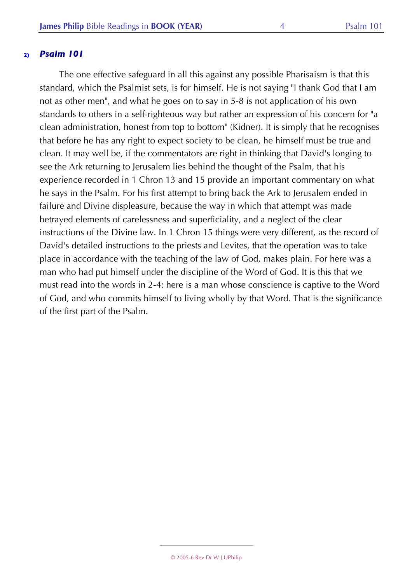The one effective safeguard in all this against any possible Pharisaism is that this standard, which the Psalmist sets, is for himself. He is not saying "I thank God that I am not as other men", and what he goes on to say in 5-8 is not application of his own standards to others in a self-righteous way but rather an expression of his concern for "a clean administration, honest from top to bottom" (Kidner). It is simply that he recognises that before he has any right to expect society to be clean, he himself must be true and clean. It may well be, if the commentators are right in thinking that David's longing to see the Ark returning to Jerusalem lies behind the thought of the Psalm, that his experience recorded in 1 Chron 13 and 15 provide an important commentary on what he says in the Psalm. For his first attempt to bring back the Ark to Jerusalem ended in failure and Divine displeasure, because the way in which that attempt was made betrayed elements of carelessness and superficiality, and a neglect of the clear instructions of the Divine law. In 1 Chron 15 things were very different, as the record of David's detailed instructions to the priests and Levites, that the operation was to take place in accordance with the teaching of the law of God, makes plain. For here was a man who had put himself under the discipline of the Word of God. It is this that we must read into the words in 2-4: here is a man whose conscience is captive to the Word of God, and who commits himself to living wholly by that Word. That is the significance of the first part of the Psalm.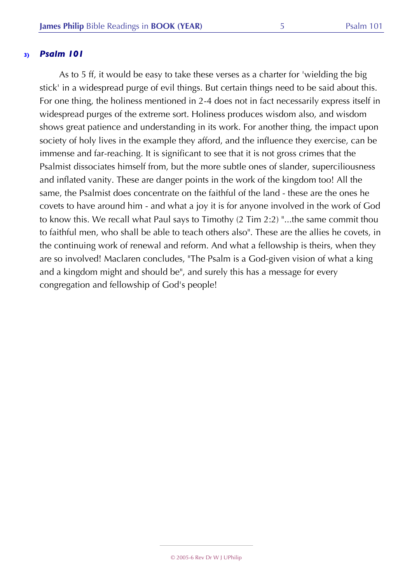As to 5 ff, it would be easy to take these verses as a charter for 'wielding the big stick' in a widespread purge of evil things. But certain things need to be said about this. For one thing, the holiness mentioned in 2-4 does not in fact necessarily express itself in widespread purges of the extreme sort. Holiness produces wisdom also, and wisdom shows great patience and understanding in its work. For another thing, the impact upon society of holy lives in the example they afford, and the influence they exercise, can be immense and far-reaching. It is significant to see that it is not gross crimes that the Psalmist dissociates himself from, but the more subtle ones of slander, superciliousness and inflated vanity. These are danger points in the work of the kingdom too! All the same, the Psalmist does concentrate on the faithful of the land - these are the ones he covets to have around him - and what a joy it is for anyone involved in the work of God to know this. We recall what Paul says to Timothy (2 Tim 2:2) "...the same commit thou to faithful men, who shall be able to teach others also". These are the allies he covets, in the continuing work of renewal and reform. And what a fellowship is theirs, when they are so involved! Maclaren concludes, "The Psalm is a God-given vision of what a king and a kingdom might and should be", and surely this has a message for every congregation and fellowship of God's people!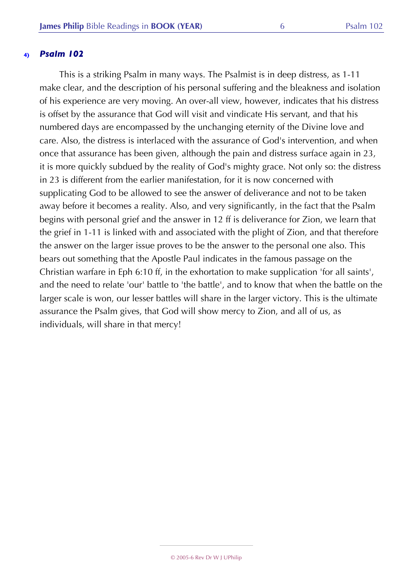This is a striking Psalm in many ways. The Psalmist is in deep distress, as 1-11 make clear, and the description of his personal suffering and the bleakness and isolation of his experience are very moving. An over-all view, however, indicates that his distress is offset by the assurance that God will visit and vindicate His servant, and that his numbered days are encompassed by the unchanging eternity of the Divine love and care. Also, the distress is interlaced with the assurance of God's intervention, and when once that assurance has been given, although the pain and distress surface again in 23, it is more quickly subdued by the reality of God's mighty grace. Not only so: the distress in 23 is different from the earlier manifestation, for it is now concerned with supplicating God to be allowed to see the answer of deliverance and not to be taken away before it becomes a reality. Also, and very significantly, in the fact that the Psalm begins with personal grief and the answer in 12 ff is deliverance for Zion, we learn that the grief in 1-11 is linked with and associated with the plight of Zion, and that therefore the answer on the larger issue proves to be the answer to the personal one also. This bears out something that the Apostle Paul indicates in the famous passage on the Christian warfare in Eph 6:10 ff, in the exhortation to make supplication 'for all saints', and the need to relate 'our' battle to 'the battle', and to know that when the battle on the larger scale is won, our lesser battles will share in the larger victory. This is the ultimate assurance the Psalm gives, that God will show mercy to Zion, and all of us, as individuals, will share in that mercy!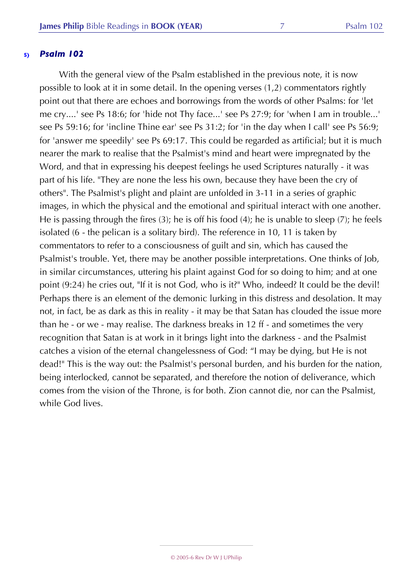With the general view of the Psalm established in the previous note, it is now possible to look at it in some detail. In the opening verses (1,2) commentators rightly point out that there are echoes and borrowings from the words of other Psalms: for 'let me cry....' see Ps 18:6; for 'hide not Thy face...' see Ps 27:9; for 'when I am in trouble...' see Ps 59:16; for 'incline Thine ear' see Ps 31:2; for 'in the day when I call' see Ps 56:9; for 'answer me speedily' see Ps 69:17. This could be regarded as artificial; but it is much nearer the mark to realise that the Psalmist's mind and heart were impregnated by the Word, and that in expressing his deepest feelings he used Scriptures naturally - it was part of his life. "They are none the less his own, because they have been the cry of others". The Psalmist's plight and plaint are unfolded in 3-11 in a series of graphic images, in which the physical and the emotional and spiritual interact with one another. He is passing through the fires (3); he is off his food (4); he is unable to sleep (7); he feels isolated (6 - the pelican is a solitary bird). The reference in 10, 11 is taken by commentators to refer to a consciousness of guilt and sin, which has caused the Psalmist's trouble. Yet, there may be another possible interpretations. One thinks of Job, in similar circumstances, uttering his plaint against God for so doing to him; and at one point (9:24) he cries out, "If it is not God, who is it?" Who, indeed? It could be the devil! Perhaps there is an element of the demonic lurking in this distress and desolation. It may not, in fact, be as dark as this in reality - it may be that Satan has clouded the issue more than he - or we - may realise. The darkness breaks in 12 ff - and sometimes the very recognition that Satan is at work in it brings light into the darkness - and the Psalmist catches a vision of the eternal changelessness of God: "I may be dying, but He is not dead!" This is the way out: the Psalmist's personal burden, and his burden for the nation, being interlocked, cannot be separated, and therefore the notion of deliverance, which comes from the vision of the Throne, is for both. Zion cannot die, nor can the Psalmist, while God lives.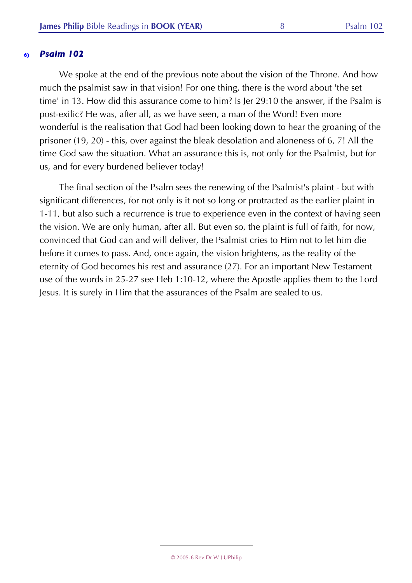We spoke at the end of the previous note about the vision of the Throne. And how much the psalmist saw in that vision! For one thing, there is the word about 'the set time' in 13. How did this assurance come to him? Is Jer 29:10 the answer, if the Psalm is post-exilic? He was, after all, as we have seen, a man of the Word! Even more wonderful is the realisation that God had been looking down to hear the groaning of the prisoner (19, 20) - this, over against the bleak desolation and aloneness of 6, 7! All the time God saw the situation. What an assurance this is, not only for the Psalmist, but for us, and for every burdened believer today!

The final section of the Psalm sees the renewing of the Psalmist's plaint - but with significant differences, for not only is it not so long or protracted as the earlier plaint in 1-11, but also such a recurrence is true to experience even in the context of having seen the vision. We are only human, after all. But even so, the plaint is full of faith, for now, convinced that God can and will deliver, the Psalmist cries to Him not to let him die before it comes to pass. And, once again, the vision brightens, as the reality of the eternity of God becomes his rest and assurance (27). For an important New Testament use of the words in 25-27 see Heb 1:10-12, where the Apostle applies them to the Lord Jesus. It is surely in Him that the assurances of the Psalm are sealed to us.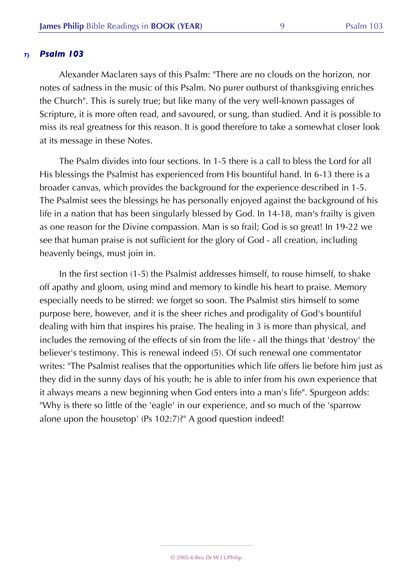Alexander Maclaren says of this Psalm: "There are no clouds on the horizon, nor notes of sadness in the music of this Psalm. No purer outburst of thanksgiving enriches the Church". This is surely true; but like many of the very well-known passages of Scripture, it is more often read, and savoured, or sung, than studied. And it is possible to miss its real greatness for this reason. It is good therefore to take a somewhat closer look at its message in these Notes.

The Psalm divides into four sections. In 1-5 there is a call to bless the Lord for all His blessings the Psalmist has experienced from His bountiful hand. In 6-13 there is a broader canvas, which provides the background for the experience described in 1-5. The Psalmist sees the blessings he has personally enjoyed against the background of his life in a nation that has been singularly blessed by God. In 14-18, man's frailty is given as one reason for the Divine compassion. Man is so frail; God is so great! In 19-22 we see that human praise is not sufficient for the glory of God - all creation, including heavenly beings, must join in.

In the first section (1-5) the Psalmist addresses himself, to rouse himself, to shake off apathy and gloom, using mind and memory to kindle his heart to praise. Memory especially needs to be stirred: we forget so soon. The Psalmist stirs himself to some purpose here, however, and it is the sheer riches and prodigality of God's bountiful dealing with him that inspires his praise. The healing in 3 is more than physical, and includes the removing of the effects of sin from the life - all the things that 'destroy' the believer's testimony. This is renewal indeed (5). Of such renewal one commentator writes: "The Psalmist realises that the opportunities which life offers lie before him just as they did in the sunny days of his youth; he is able to infer from his own experience that it always means a new beginning when God enters into a man's life". Spurgeon adds: "Why is there so little of the 'eagle' in our experience, and so much of the 'sparrow alone upon the housetop' (Ps 102:7)?" A good question indeed!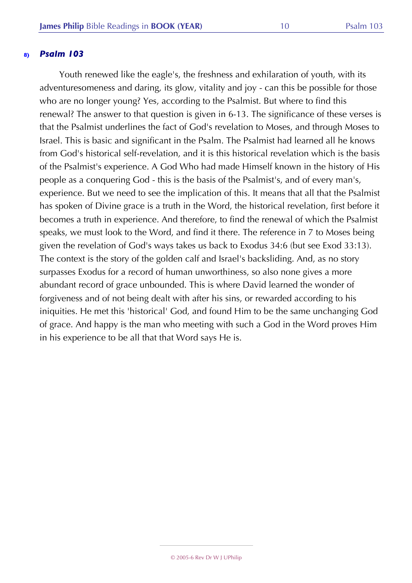Youth renewed like the eagle's, the freshness and exhilaration of youth, with its adventuresomeness and daring, its glow, vitality and joy - can this be possible for those who are no longer young? Yes, according to the Psalmist. But where to find this renewal? The answer to that question is given in 6-13. The significance of these verses is that the Psalmist underlines the fact of God's revelation to Moses, and through Moses to Israel. This is basic and significant in the Psalm. The Psalmist had learned all he knows from God's historical self-revelation, and it is this historical revelation which is the basis of the Psalmist's experience. A God Who had made Himself known in the history of His people as a conquering God - this is the basis of the Psalmist's, and of every man's, experience. But we need to see the implication of this. It means that all that the Psalmist has spoken of Divine grace is a truth in the Word, the historical revelation, first before it becomes a truth in experience. And therefore, to find the renewal of which the Psalmist speaks, we must look to the Word, and find it there. The reference in 7 to Moses being given the revelation of God's ways takes us back to Exodus 34:6 (but see Exod 33:13). The context is the story of the golden calf and Israel's backsliding. And, as no story surpasses Exodus for a record of human unworthiness, so also none gives a more abundant record of grace unbounded. This is where David learned the wonder of forgiveness and of not being dealt with after his sins, or rewarded according to his iniquities. He met this 'historical' God, and found Him to be the same unchanging God of grace. And happy is the man who meeting with such a God in the Word proves Him in his experience to be all that that Word says He is.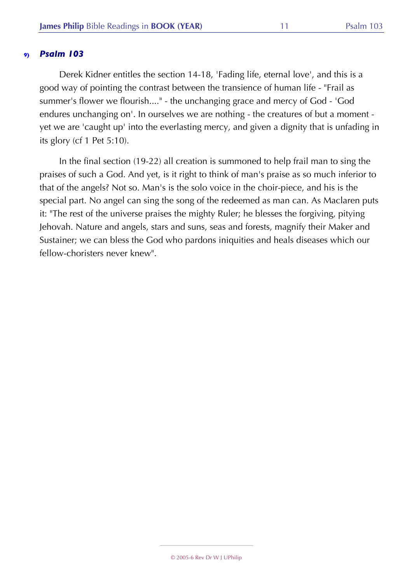Derek Kidner entitles the section 14-18, 'Fading life, eternal love', and this is a good way of pointing the contrast between the transience of human life - "Frail as summer's flower we flourish...." - the unchanging grace and mercy of God - 'God endures unchanging on'. In ourselves we are nothing - the creatures of but a moment yet we are 'caught up' into the everlasting mercy, and given a dignity that is unfading in its glory (cf 1 Pet 5:10).

In the final section (19-22) all creation is summoned to help frail man to sing the praises of such a God. And yet, is it right to think of man's praise as so much inferior to that of the angels? Not so. Man's is the solo voice in the choir-piece, and his is the special part. No angel can sing the song of the redeemed as man can. As Maclaren puts it: "The rest of the universe praises the mighty Ruler; he blesses the forgiving, pitying Jehovah. Nature and angels, stars and suns, seas and forests, magnify their Maker and Sustainer; we can bless the God who pardons iniquities and heals diseases which our fellow-choristers never knew".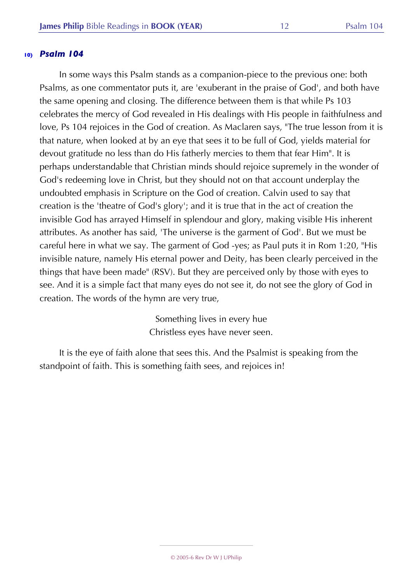In some ways this Psalm stands as a companion-piece to the previous one: both Psalms, as one commentator puts it, are 'exuberant in the praise of God', and both have the same opening and closing. The difference between them is that while Ps 103 celebrates the mercy of God revealed in His dealings with His people in faithfulness and love, Ps 104 rejoices in the God of creation. As Maclaren says, "The true lesson from it is that nature, when looked at by an eye that sees it to be full of God, yields material for devout gratitude no less than do His fatherly mercies to them that fear Him". It is perhaps understandable that Christian minds should rejoice supremely in the wonder of God's redeeming love in Christ, but they should not on that account underplay the undoubted emphasis in Scripture on the God of creation. Calvin used to say that creation is the 'theatre of God's glory'; and it is true that in the act of creation the invisible God has arrayed Himself in splendour and glory, making visible His inherent attributes. As another has said, 'The universe is the garment of God'. But we must be careful here in what we say. The garment of God -yes; as Paul puts it in Rom 1:20, "His invisible nature, namely His eternal power and Deity, has been clearly perceived in the things that have been made" (RSV). But they are perceived only by those with eyes to see. And it is a simple fact that many eyes do not see it, do not see the glory of God in creation. The words of the hymn are very true,

> Something lives in every hue Christless eyes have never seen.

It is the eye of faith alone that sees this. And the Psalmist is speaking from the standpoint of faith. This is something faith sees, and rejoices in!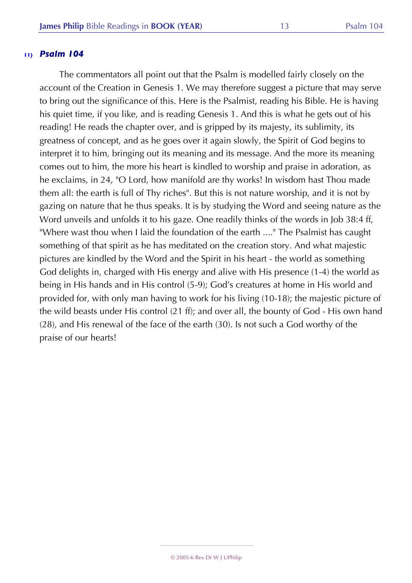The commentators all point out that the Psalm is modelled fairly closely on the account of the Creation in Genesis 1. We may therefore suggest a picture that may serve to bring out the significance of this. Here is the Psalmist, reading his Bible. He is having his quiet time, if you like, and is reading Genesis 1. And this is what he gets out of his reading! He reads the chapter over, and is gripped by its majesty, its sublimity, its greatness of concept, and as he goes over it again slowly, the Spirit of God begins to interpret it to him, bringing out its meaning and its message. And the more its meaning comes out to him, the more his heart is kindled to worship and praise in adoration, as he exclaims, in 24, "O Lord, how manifold are thy works! In wisdom hast Thou made them all: the earth is full of Thy riches". But this is not nature worship, and it is not by gazing on nature that he thus speaks. It is by studying the Word and seeing nature as the Word unveils and unfolds it to his gaze. One readily thinks of the words in Job 38:4 ff, "Where wast thou when I laid the foundation of the earth ...." The Psalmist has caught something of that spirit as he has meditated on the creation story. And what majestic pictures are kindled by the Word and the Spirit in his heart - the world as something God delights in, charged with His energy and alive with His presence (1-4) the world as being in His hands and in His control (5-9); God's creatures at home in His world and provided for, with only man having to work for his living (10-18); the majestic picture of the wild beasts under His control (21 ff); and over all, the bounty of God - His own hand (28), and His renewal of the face of the earth (30). Is not such a God worthy of the praise of our hearts!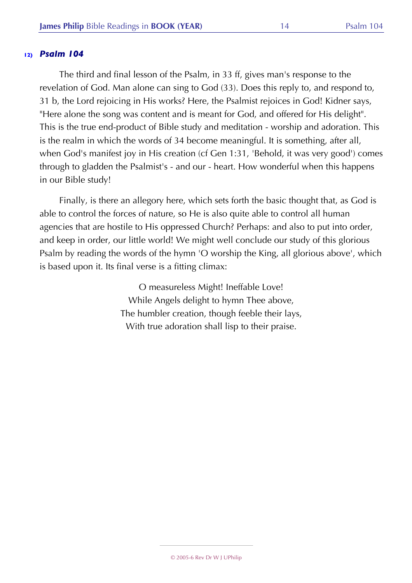The third and final lesson of the Psalm, in 33 ff, gives man's response to the revelation of God. Man alone can sing to God (33). Does this reply to, and respond to, 31 b, the Lord rejoicing in His works? Here, the Psalmist rejoices in God! Kidner says, "Here alone the song was content and is meant for God, and offered for His delight". This is the true end-product of Bible study and meditation - worship and adoration. This is the realm in which the words of 34 become meaningful. It is something, after all, when God's manifest joy in His creation (cf Gen 1:31, 'Behold, it was very good') comes through to gladden the Psalmist's - and our - heart. How wonderful when this happens in our Bible study!

Finally, is there an allegory here, which sets forth the basic thought that, as God is able to control the forces of nature, so He is also quite able to control all human agencies that are hostile to His oppressed Church? Perhaps: and also to put into order, and keep in order, our little world! We might well conclude our study of this glorious Psalm by reading the words of the hymn 'O worship the King, all glorious above', which is based upon it. Its final verse is a fitting climax:

> O measureless Might! Ineffable Love! While Angels delight to hymn Thee above, The humbler creation, though feeble their lays, With true adoration shall lisp to their praise.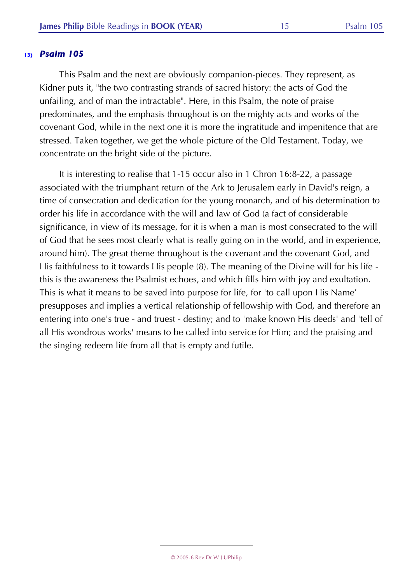This Psalm and the next are obviously companion-pieces. They represent, as Kidner puts it, "the two contrasting strands of sacred history: the acts of God the unfailing, and of man the intractable". Here, in this Psalm, the note of praise predominates, and the emphasis throughout is on the mighty acts and works of the covenant God, while in the next one it is more the ingratitude and impenitence that are stressed. Taken together, we get the whole picture of the Old Testament. Today, we concentrate on the bright side of the picture.

It is interesting to realise that 1-15 occur also in 1 Chron 16:8-22, a passage associated with the triumphant return of the Ark to Jerusalem early in David's reign, a time of consecration and dedication for the young monarch, and of his determination to order his life in accordance with the will and law of God (a fact of considerable significance, in view of its message, for it is when a man is most consecrated to the will of God that he sees most clearly what is really going on in the world, and in experience, around him). The great theme throughout is the covenant and the covenant God, and His faithfulness to it towards His people (8). The meaning of the Divine will for his life this is the awareness the Psalmist echoes, and which fills him with joy and exultation. This is what it means to be saved into purpose for life, for 'to call upon His Name' presupposes and implies a vertical relationship of fellowship with God, and therefore an entering into one's true - and truest - destiny; and to 'make known His deeds' and 'tell of all His wondrous works' means to be called into service for Him; and the praising and the singing redeem life from all that is empty and futile.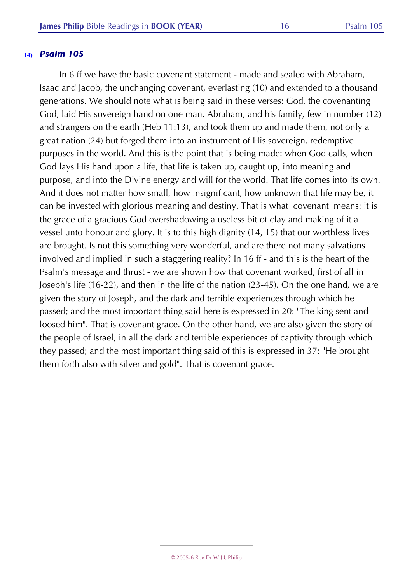In 6 ff we have the basic covenant statement - made and sealed with Abraham, Isaac and Jacob, the unchanging covenant, everlasting (10) and extended to a thousand generations. We should note what is being said in these verses: God, the covenanting God, laid His sovereign hand on one man, Abraham, and his family, few in number (12) and strangers on the earth (Heb 11:13), and took them up and made them, not only a great nation (24) but forged them into an instrument of His sovereign, redemptive purposes in the world. And this is the point that is being made: when God calls, when God lays His hand upon a life, that life is taken up, caught up, into meaning and purpose, and into the Divine energy and will for the world. That life comes into its own. And it does not matter how small, how insignificant, how unknown that life may be, it can be invested with glorious meaning and destiny. That is what 'covenant' means: it is the grace of a gracious God overshadowing a useless bit of clay and making of it a vessel unto honour and glory. It is to this high dignity (14, 15) that our worthless lives are brought. Is not this something very wonderful, and are there not many salvations involved and implied in such a staggering reality? In 16 ff - and this is the heart of the Psalm's message and thrust - we are shown how that covenant worked, first of all in Joseph's life (16-22), and then in the life of the nation (23-45). On the one hand, we are given the story of Joseph, and the dark and terrible experiences through which he passed; and the most important thing said here is expressed in 20: "The king sent and loosed him". That is covenant grace. On the other hand, we are also given the story of the people of Israel, in all the dark and terrible experiences of captivity through which they passed; and the most important thing said of this is expressed in 37: "He brought them forth also with silver and gold". That is covenant grace.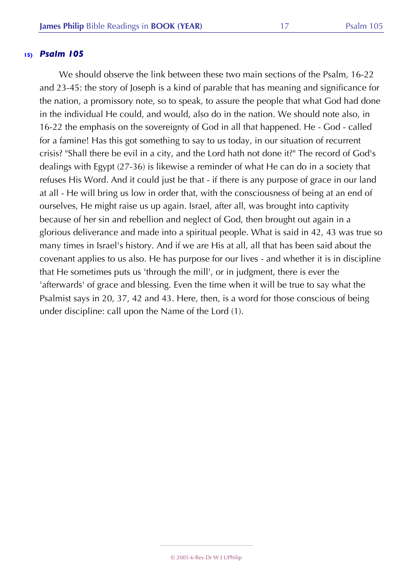We should observe the link between these two main sections of the Psalm, 16-22 and 23-45: the story of Joseph is a kind of parable that has meaning and significance for the nation, a promissory note, so to speak, to assure the people that what God had done in the individual He could, and would, also do in the nation. We should note also, in 16-22 the emphasis on the sovereignty of God in all that happened. He - God - called for a famine! Has this got something to say to us today, in our situation of recurrent crisis? "Shall there be evil in a city, and the Lord hath not done it?" The record of God's dealings with Egypt (27-36) is likewise a reminder of what He can do in a society that refuses His Word. And it could just be that - if there is any purpose of grace in our land at all - He will bring us low in order that, with the consciousness of being at an end of ourselves, He might raise us up again. Israel, after all, was brought into captivity because of her sin and rebellion and neglect of God, then brought out again in a glorious deliverance and made into a spiritual people. What is said in 42, 43 was true so many times in Israel's history. And if we are His at all, all that has been said about the covenant applies to us also. He has purpose for our lives - and whether it is in discipline that He sometimes puts us 'through the mill', or in judgment, there is ever the 'afterwards' of grace and blessing. Even the time when it will be true to say what the Psalmist says in 20, 37, 42 and 43. Here, then, is a word for those conscious of being under discipline: call upon the Name of the Lord (1).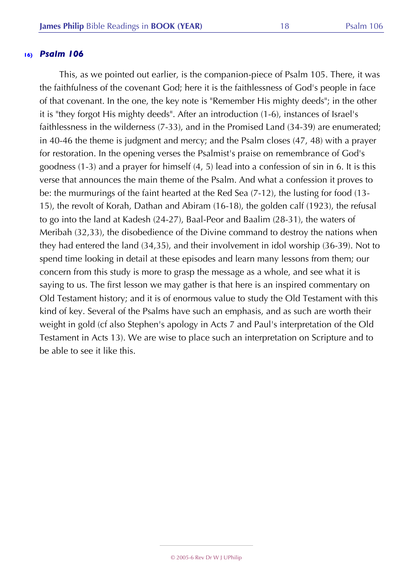This, as we pointed out earlier, is the companion-piece of Psalm 105. There, it was the faithfulness of the covenant God; here it is the faithlessness of God's people in face of that covenant. In the one, the key note is "Remember His mighty deeds"; in the other it is "they forgot His mighty deeds". After an introduction (1-6), instances of Israel's faithlessness in the wilderness (7-33), and in the Promised Land (34-39) are enumerated; in 40-46 the theme is judgment and mercy; and the Psalm closes (47, 48) with a prayer for restoration. In the opening verses the Psalmist's praise on remembrance of God's goodness (1-3) and a prayer for himself (4, 5) lead into a confession of sin in 6. It is this verse that announces the main theme of the Psalm. And what a confession it proves to be: the murmurings of the faint hearted at the Red Sea (7-12), the lusting for food (13- 15), the revolt of Korah, Dathan and Abiram (16-18), the golden calf (1923), the refusal to go into the land at Kadesh (24-27), Baal-Peor and Baalim (28-31), the waters of Meribah (32,33), the disobedience of the Divine command to destroy the nations when they had entered the land (34,35), and their involvement in idol worship (36-39). Not to spend time looking in detail at these episodes and learn many lessons from them; our concern from this study is more to grasp the message as a whole, and see what it is saying to us. The first lesson we may gather is that here is an inspired commentary on Old Testament history; and it is of enormous value to study the Old Testament with this kind of key. Several of the Psalms have such an emphasis, and as such are worth their weight in gold (cf also Stephen's apology in Acts 7 and Paul's interpretation of the Old Testament in Acts 13). We are wise to place such an interpretation on Scripture and to be able to see it like this.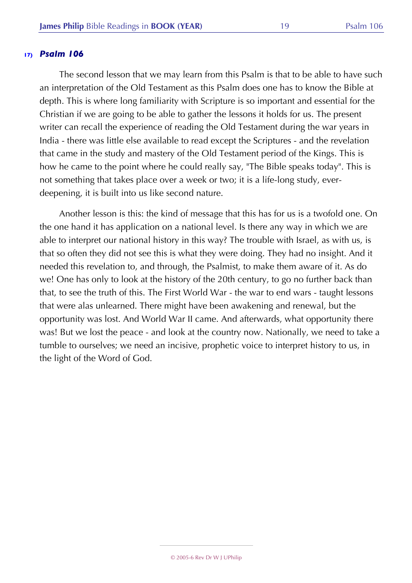The second lesson that we may learn from this Psalm is that to be able to have such an interpretation of the Old Testament as this Psalm does one has to know the Bible at depth. This is where long familiarity with Scripture is so important and essential for the Christian if we are going to be able to gather the lessons it holds for us. The present writer can recall the experience of reading the Old Testament during the war years in India - there was little else available to read except the Scriptures - and the revelation that came in the study and mastery of the Old Testament period of the Kings. This is how he came to the point where he could really say, "The Bible speaks today". This is not something that takes place over a week or two; it is a life-long study, everdeepening, it is built into us like second nature.

Another lesson is this: the kind of message that this has for us is a twofold one. On the one hand it has application on a national level. Is there any way in which we are able to interpret our national history in this way? The trouble with Israel, as with us, is that so often they did not see this is what they were doing. They had no insight. And it needed this revelation to, and through, the Psalmist, to make them aware of it. As do we! One has only to look at the history of the 20th century, to go no further back than that, to see the truth of this. The First World War - the war to end wars - taught lessons that were alas unlearned. There might have been awakening and renewal, but the opportunity was lost. And World War II came. And afterwards, what opportunity there was! But we lost the peace - and look at the country now. Nationally, we need to take a tumble to ourselves; we need an incisive, prophetic voice to interpret history to us, in the light of the Word of God.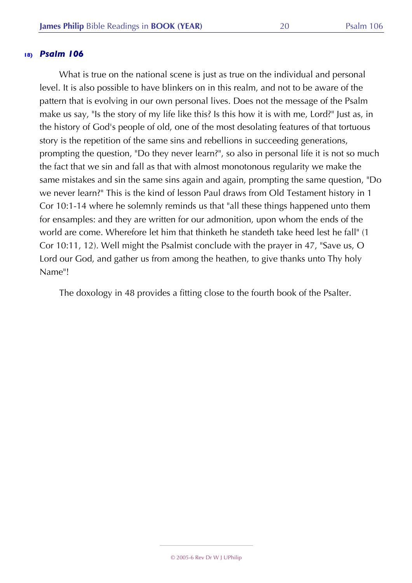What is true on the national scene is just as true on the individual and personal level. It is also possible to have blinkers on in this realm, and not to be aware of the pattern that is evolving in our own personal lives. Does not the message of the Psalm make us say, "Is the story of my life like this? Is this how it is with me, Lord?" Just as, in the history of God's people of old, one of the most desolating features of that tortuous story is the repetition of the same sins and rebellions in succeeding generations, prompting the question, "Do they never learn?", so also in personal life it is not so much the fact that we sin and fall as that with almost monotonous regularity we make the same mistakes and sin the same sins again and again, prompting the same question, "Do we never learn?" This is the kind of lesson Paul draws from Old Testament history in 1 Cor 10:1-14 where he solemnly reminds us that "all these things happened unto them for ensamples: and they are written for our admonition, upon whom the ends of the world are come. Wherefore let him that thinketh he standeth take heed lest he fall" (1 Cor 10:11, 12). Well might the Psalmist conclude with the prayer in 47, "Save us, O Lord our God, and gather us from among the heathen, to give thanks unto Thy holy Name"!

The doxology in 48 provides a fitting close to the fourth book of the Psalter.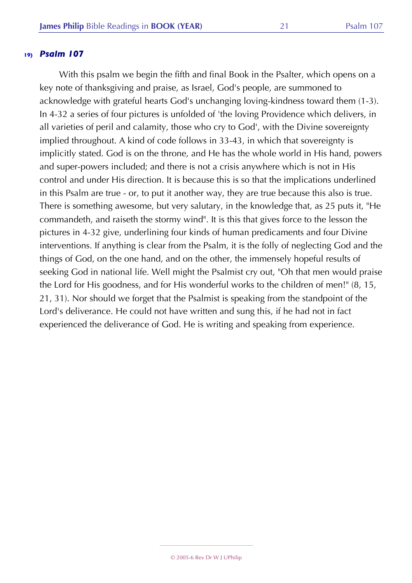With this psalm we begin the fifth and final Book in the Psalter, which opens on a key note of thanksgiving and praise, as Israel, God's people, are summoned to acknowledge with grateful hearts God's unchanging loving-kindness toward them (1-3). In 4-32 a series of four pictures is unfolded of 'the loving Providence which delivers, in all varieties of peril and calamity, those who cry to God', with the Divine sovereignty implied throughout. A kind of code follows in 33-43, in which that sovereignty is implicitly stated. God is on the throne, and He has the whole world in His hand, powers and super-powers included; and there is not a crisis anywhere which is not in His control and under His direction. It is because this is so that the implications underlined in this Psalm are true - or, to put it another way, they are true because this also is true. There is something awesome, but very salutary, in the knowledge that, as 25 puts it, "He commandeth, and raiseth the stormy wind". It is this that gives force to the lesson the pictures in 4-32 give, underlining four kinds of human predicaments and four Divine interventions. If anything is clear from the Psalm, it is the folly of neglecting God and the things of God, on the one hand, and on the other, the immensely hopeful results of seeking God in national life. Well might the Psalmist cry out, "Oh that men would praise the Lord for His goodness, and for His wonderful works to the children of men!" (8, 15, 21, 31). Nor should we forget that the Psalmist is speaking from the standpoint of the Lord's deliverance. He could not have written and sung this, if he had not in fact experienced the deliverance of God. He is writing and speaking from experience.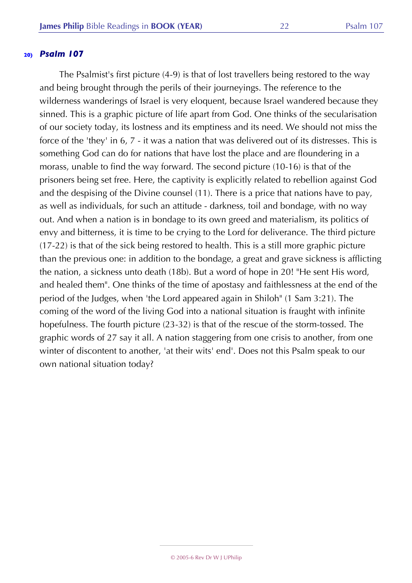The Psalmist's first picture (4-9) is that of lost travellers being restored to the way and being brought through the perils of their journeyings. The reference to the wilderness wanderings of Israel is very eloquent, because Israel wandered because they sinned. This is a graphic picture of life apart from God. One thinks of the secularisation of our society today, its lostness and its emptiness and its need. We should not miss the force of the 'they' in 6, 7 - it was a nation that was delivered out of its distresses. This is something God can do for nations that have lost the place and are floundering in a morass, unable to find the way forward. The second picture (10-16) is that of the prisoners being set free. Here, the captivity is explicitly related to rebellion against God and the despising of the Divine counsel (11). There is a price that nations have to pay, as well as individuals, for such an attitude - darkness, toil and bondage, with no way out. And when a nation is in bondage to its own greed and materialism, its politics of envy and bitterness, it is time to be crying to the Lord for deliverance. The third picture (17-22) is that of the sick being restored to health. This is a still more graphic picture than the previous one: in addition to the bondage, a great and grave sickness is afflicting the nation, a sickness unto death (18b). But a word of hope in 20! "He sent His word, and healed them". One thinks of the time of apostasy and faithlessness at the end of the period of the Judges, when 'the Lord appeared again in Shiloh" (1 Sam 3:21). The coming of the word of the living God into a national situation is fraught with infinite hopefulness. The fourth picture (23-32) is that of the rescue of the storm-tossed. The graphic words of 27 say it all. A nation staggering from one crisis to another, from one winter of discontent to another, 'at their wits' end'. Does not this Psalm speak to our own national situation today?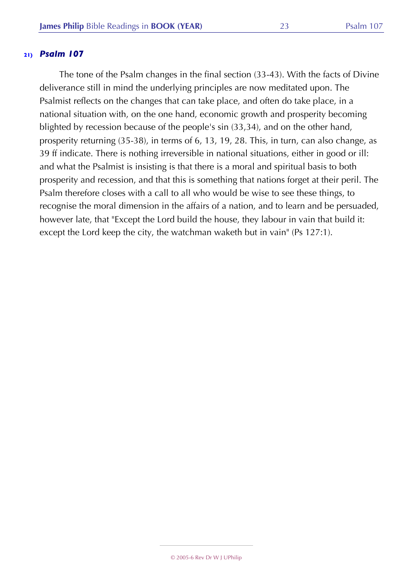The tone of the Psalm changes in the final section (33-43). With the facts of Divine deliverance still in mind the underlying principles are now meditated upon. The Psalmist reflects on the changes that can take place, and often do take place, in a national situation with, on the one hand, economic growth and prosperity becoming blighted by recession because of the people's sin (33,34), and on the other hand, prosperity returning (35-38), in terms of 6, 13, 19, 28. This, in turn, can also change, as 39 ff indicate. There is nothing irreversible in national situations, either in good or ill: and what the Psalmist is insisting is that there is a moral and spiritual basis to both prosperity and recession, and that this is something that nations forget at their peril. The Psalm therefore closes with a call to all who would be wise to see these things, to recognise the moral dimension in the affairs of a nation, and to learn and be persuaded, however late, that "Except the Lord build the house, they labour in vain that build it: except the Lord keep the city, the watchman waketh but in vain" (Ps 127:1).

© 2005-6 Rev Dr W J UPhilip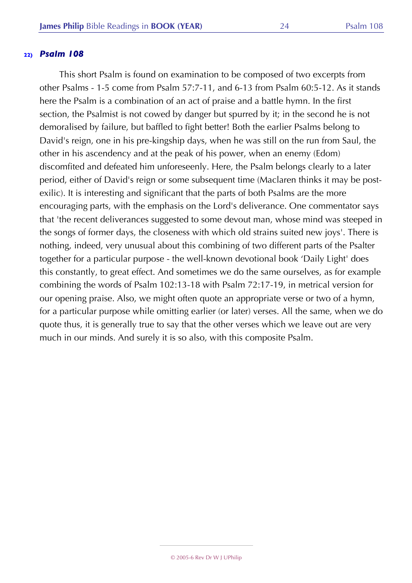This short Psalm is found on examination to be composed of two excerpts from other Psalms - 1-5 come from Psalm 57:7-11, and 6-13 from Psalm 60:5-12. As it stands here the Psalm is a combination of an act of praise and a battle hymn. In the first section, the Psalmist is not cowed by danger but spurred by it; in the second he is not demoralised by failure, but baffled to fight better! Both the earlier Psalms belong to David's reign, one in his pre-kingship days, when he was still on the run from Saul, the other in his ascendency and at the peak of his power, when an enemy (Edom) discomfited and defeated him unforeseenly. Here, the Psalm belongs clearly to a later period, either of David's reign or some subsequent time (Maclaren thinks it may be postexilic). It is interesting and significant that the parts of both Psalms are the more encouraging parts, with the emphasis on the Lord's deliverance. One commentator says that 'the recent deliverances suggested to some devout man, whose mind was steeped in the songs of former days, the closeness with which old strains suited new joys'. There is nothing, indeed, very unusual about this combining of two different parts of the Psalter together for a particular purpose - the well-known devotional book 'Daily Light' does this constantly, to great effect. And sometimes we do the same ourselves, as for example combining the words of Psalm 102:13-18 with Psalm 72:17-19, in metrical version for our opening praise. Also, we might often quote an appropriate verse or two of a hymn, for a particular purpose while omitting earlier (or later) verses. All the same, when we do quote thus, it is generally true to say that the other verses which we leave out are very much in our minds. And surely it is so also, with this composite Psalm.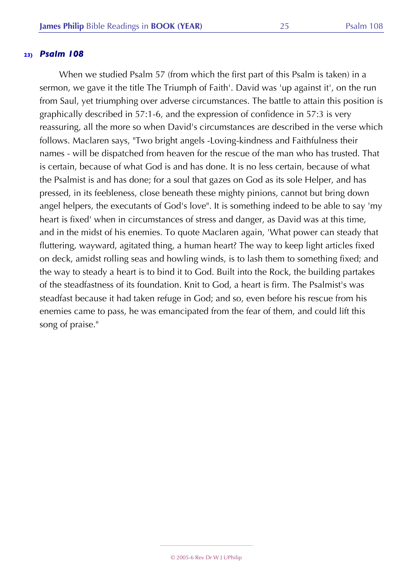When we studied Psalm 57 (from which the first part of this Psalm is taken) in a sermon, we gave it the title The Triumph of Faith'. David was 'up against it', on the run from Saul, yet triumphing over adverse circumstances. The battle to attain this position is graphically described in 57:1-6, and the expression of confidence in 57:3 is very reassuring, all the more so when David's circumstances are described in the verse which follows. Maclaren says, "Two bright angels -Loving-kindness and Faithfulness their names - will be dispatched from heaven for the rescue of the man who has trusted. That is certain, because of what God is and has done. It is no less certain, because of what the Psalmist is and has done; for a soul that gazes on God as its sole Helper, and has pressed, in its feebleness, close beneath these mighty pinions, cannot but bring down angel helpers, the executants of God's love". It is something indeed to be able to say 'my heart is fixed' when in circumstances of stress and danger, as David was at this time, and in the midst of his enemies. To quote Maclaren again, 'What power can steady that fluttering, wayward, agitated thing, a human heart? The way to keep light articles fixed on deck, amidst rolling seas and howling winds, is to lash them to something fixed; and the way to steady a heart is to bind it to God. Built into the Rock, the building partakes of the steadfastness of its foundation. Knit to God, a heart is firm. The Psalmist's was steadfast because it had taken refuge in God; and so, even before his rescue from his enemies came to pass, he was emancipated from the fear of them, and could lift this song of praise."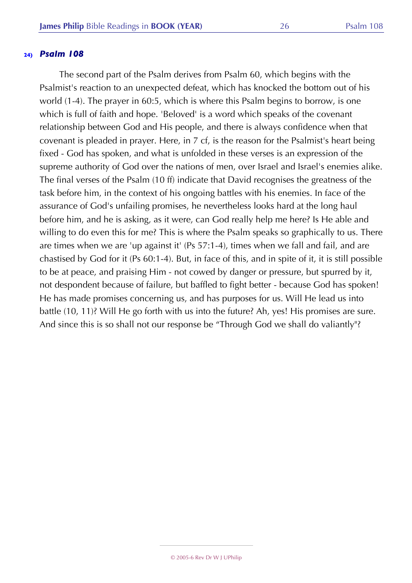The second part of the Psalm derives from Psalm 60, which begins with the Psalmist's reaction to an unexpected defeat, which has knocked the bottom out of his world (1-4). The prayer in 60:5, which is where this Psalm begins to borrow, is one which is full of faith and hope. 'Beloved' is a word which speaks of the covenant relationship between God and His people, and there is always confidence when that covenant is pleaded in prayer. Here, in 7 cf, is the reason for the Psalmist's heart being fixed - God has spoken, and what is unfolded in these verses is an expression of the supreme authority of God over the nations of men, over Israel and Israel's enemies alike. The final verses of the Psalm (10 ff) indicate that David recognises the greatness of the task before him, in the context of his ongoing battles with his enemies. In face of the assurance of God's unfailing promises, he nevertheless looks hard at the long haul before him, and he is asking, as it were, can God really help me here? Is He able and willing to do even this for me? This is where the Psalm speaks so graphically to us. There are times when we are 'up against it' (Ps 57:1-4), times when we fall and fail, and are chastised by God for it (Ps 60:1-4). But, in face of this, and in spite of it, it is still possible to be at peace, and praising Him - not cowed by danger or pressure, but spurred by it, not despondent because of failure, but baffled to fight better - because God has spoken! He has made promises concerning us, and has purposes for us. Will He lead us into battle (10, 11)? Will He go forth with us into the future? Ah, yes! His promises are sure. And since this is so shall not our response be "Through God we shall do valiantly"?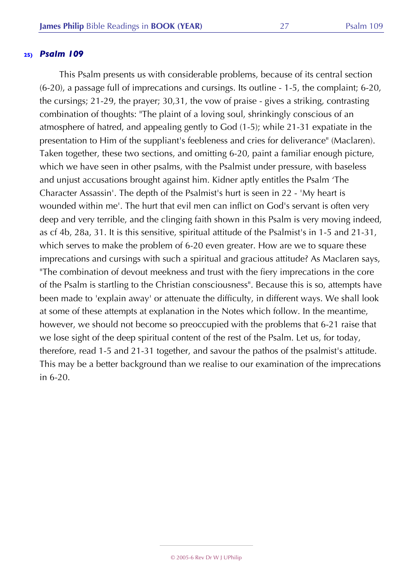This Psalm presents us with considerable problems, because of its central section (6-20), a passage full of imprecations and cursings. Its outline - 1-5, the complaint; 6-20, the cursings; 21-29, the prayer; 30,31, the vow of praise - gives a striking, contrasting combination of thoughts: "The plaint of a loving soul, shrinkingly conscious of an atmosphere of hatred, and appealing gently to God (1-5); while 21-31 expatiate in the presentation to Him of the suppliant's feebleness and cries for deliverance" (Maclaren). Taken together, these two sections, and omitting 6-20, paint a familiar enough picture, which we have seen in other psalms, with the Psalmist under pressure, with baseless and unjust accusations brought against him. Kidner aptly entitles the Psalm 'The Character Assassin'. The depth of the Psalmist's hurt is seen in 22 - 'My heart is wounded within me'. The hurt that evil men can inflict on God's servant is often very deep and very terrible, and the clinging faith shown in this Psalm is very moving indeed, as cf 4b, 28a, 31. It is this sensitive, spiritual attitude of the Psalmist's in 1-5 and 21-31, which serves to make the problem of 6-20 even greater. How are we to square these imprecations and cursings with such a spiritual and gracious attitude? As Maclaren says, "The combination of devout meekness and trust with the fiery imprecations in the core of the Psalm is startling to the Christian consciousness". Because this is so, attempts have been made to 'explain away' or attenuate the difficulty, in different ways. We shall look at some of these attempts at explanation in the Notes which follow. In the meantime, however, we should not become so preoccupied with the problems that 6-21 raise that we lose sight of the deep spiritual content of the rest of the Psalm. Let us, for today, therefore, read 1-5 and 21-31 together, and savour the pathos of the psalmist's attitude. This may be a better background than we realise to our examination of the imprecations in 6-20.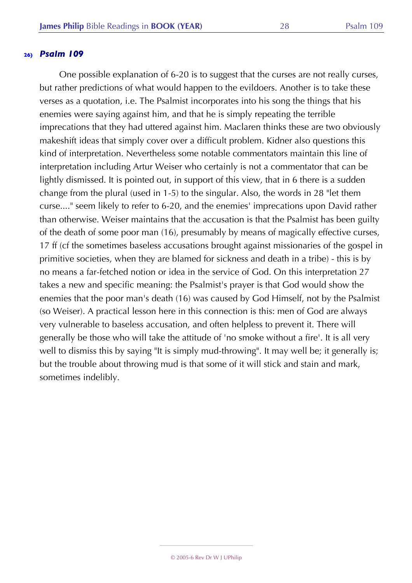One possible explanation of 6-20 is to suggest that the curses are not really curses, but rather predictions of what would happen to the evildoers. Another is to take these verses as a quotation, i.e. The Psalmist incorporates into his song the things that his enemies were saying against him, and that he is simply repeating the terrible imprecations that they had uttered against him. Maclaren thinks these are two obviously makeshift ideas that simply cover over a difficult problem. Kidner also questions this kind of interpretation. Nevertheless some notable commentators maintain this line of interpretation including Artur Weiser who certainly is not a commentator that can be lightly dismissed. It is pointed out, in support of this view, that in 6 there is a sudden change from the plural (used in 1-5) to the singular. Also, the words in 28 "let them curse...." seem likely to refer to 6-20, and the enemies' imprecations upon David rather than otherwise. Weiser maintains that the accusation is that the Psalmist has been guilty of the death of some poor man (16), presumably by means of magically effective curses, 17 ff (cf the sometimes baseless accusations brought against missionaries of the gospel in primitive societies, when they are blamed for sickness and death in a tribe) - this is by no means a far-fetched notion or idea in the service of God. On this interpretation 27 takes a new and specific meaning: the Psalmist's prayer is that God would show the enemies that the poor man's death (16) was caused by God Himself, not by the Psalmist (so Weiser). A practical lesson here in this connection is this: men of God are always very vulnerable to baseless accusation, and often helpless to prevent it. There will generally be those who will take the attitude of 'no smoke without a fire'. It is all very well to dismiss this by saying "It is simply mud-throwing". It may well be; it generally is; but the trouble about throwing mud is that some of it will stick and stain and mark, sometimes indelibly.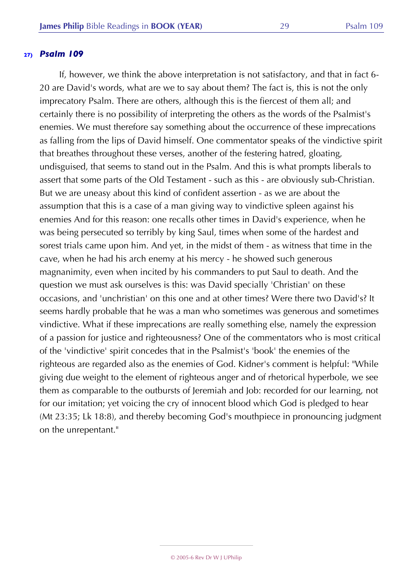If, however, we think the above interpretation is not satisfactory, and that in fact 6- 20 are David's words, what are we to say about them? The fact is, this is not the only imprecatory Psalm. There are others, although this is the fiercest of them all; and certainly there is no possibility of interpreting the others as the words of the Psalmist's enemies. We must therefore say something about the occurrence of these imprecations as falling from the lips of David himself. One commentator speaks of the vindictive spirit that breathes throughout these verses, another of the festering hatred, gloating, undisguised, that seems to stand out in the Psalm. And this is what prompts liberals to assert that some parts of the Old Testament - such as this - are obviously sub-Christian. But we are uneasy about this kind of confident assertion - as we are about the assumption that this is a case of a man giving way to vindictive spleen against his enemies And for this reason: one recalls other times in David's experience, when he was being persecuted so terribly by king Saul, times when some of the hardest and sorest trials came upon him. And yet, in the midst of them - as witness that time in the cave, when he had his arch enemy at his mercy - he showed such generous magnanimity, even when incited by his commanders to put Saul to death. And the question we must ask ourselves is this: was David specially 'Christian' on these occasions, and 'unchristian' on this one and at other times? Were there two David's? It seems hardly probable that he was a man who sometimes was generous and sometimes vindictive. What if these imprecations are really something else, namely the expression of a passion for justice and righteousness? One of the commentators who is most critical of the 'vindictive' spirit concedes that in the Psalmist's 'book' the enemies of the righteous are regarded also as the enemies of God. Kidner's comment is helpful: "While giving due weight to the element of righteous anger and of rhetorical hyperbole, we see them as comparable to the outbursts of Jeremiah and Job: recorded for our learning, not for our imitation; yet voicing the cry of innocent blood which God is pledged to hear (Mt 23:35; Lk 18:8), and thereby becoming God's mouthpiece in pronouncing judgment on the unrepentant."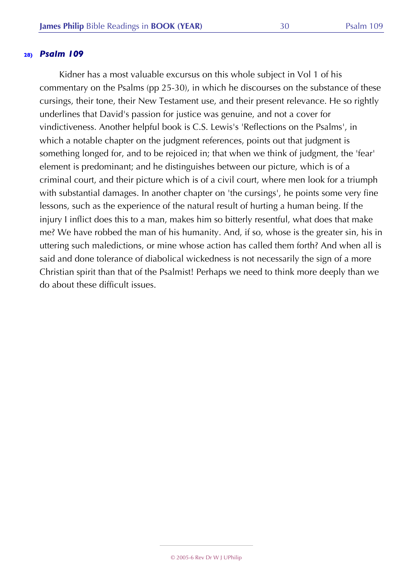Kidner has a most valuable excursus on this whole subject in Vol 1 of his commentary on the Psalms (pp 25-30), in which he discourses on the substance of these cursings, their tone, their New Testament use, and their present relevance. He so rightly underlines that David's passion for justice was genuine, and not a cover for vindictiveness. Another helpful book is C.S. Lewis's 'Reflections on the Psalms', in which a notable chapter on the judgment references, points out that judgment is something longed for, and to be rejoiced in; that when we think of judgment, the 'fear' element is predominant; and he distinguishes between our picture, which is of a criminal court, and their picture which is of a civil court, where men look for a triumph with substantial damages. In another chapter on 'the cursings', he points some very fine lessons, such as the experience of the natural result of hurting a human being. If the injury I inflict does this to a man, makes him so bitterly resentful, what does that make me? We have robbed the man of his humanity. And, if so, whose is the greater sin, his in uttering such maledictions, or mine whose action has called them forth? And when all is said and done tolerance of diabolical wickedness is not necessarily the sign of a more Christian spirit than that of the Psalmist! Perhaps we need to think more deeply than we do about these difficult issues.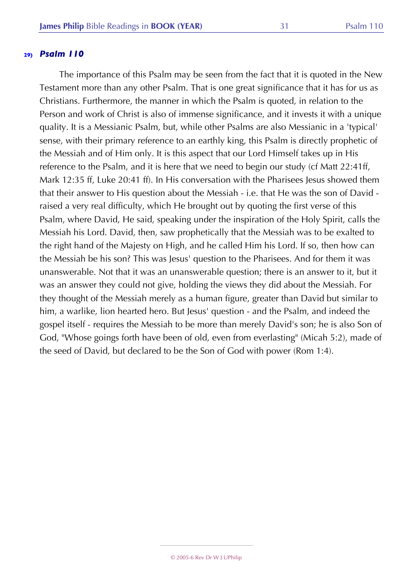The importance of this Psalm may be seen from the fact that it is quoted in the New Testament more than any other Psalm. That is one great significance that it has for us as Christians. Furthermore, the manner in which the Psalm is quoted, in relation to the Person and work of Christ is also of immense significance, and it invests it with a unique quality. It is a Messianic Psalm, but, while other Psalms are also Messianic in a 'typical' sense, with their primary reference to an earthly king, this Psalm is directly prophetic of the Messiah and of Him only. It is this aspect that our Lord Himself takes up in His reference to the Psalm, and it is here that we need to begin our study (cf Matt 22:41ff, Mark 12:35 ff, Luke 20:41 ff). In His conversation with the Pharisees Jesus showed them that their answer to His question about the Messiah - i.e. that He was the son of David raised a very real difficulty, which He brought out by quoting the first verse of this Psalm, where David, He said, speaking under the inspiration of the Holy Spirit, calls the Messiah his Lord. David, then, saw prophetically that the Messiah was to be exalted to the right hand of the Majesty on High, and he called Him his Lord. If so, then how can the Messiah be his son? This was Jesus' question to the Pharisees. And for them it was unanswerable. Not that it was an unanswerable question; there is an answer to it, but it was an answer they could not give, holding the views they did about the Messiah. For they thought of the Messiah merely as a human figure, greater than David but similar to him, a warlike, lion hearted hero. But Jesus' question - and the Psalm, and indeed the gospel itself - requires the Messiah to be more than merely David's son; he is also Son of God, "Whose goings forth have been of old, even from everlasting" (Micah 5:2), made of the seed of David, but declared to be the Son of God with power (Rom 1:4).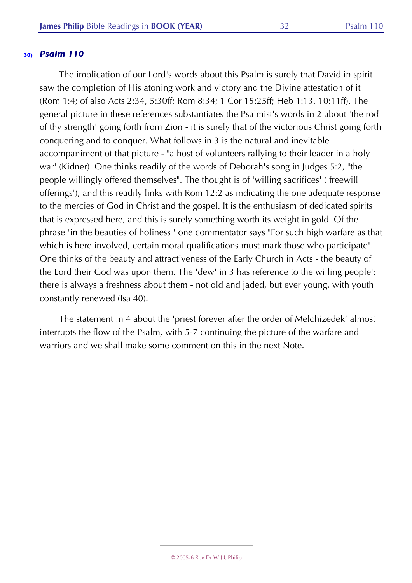The implication of our Lord's words about this Psalm is surely that David in spirit saw the completion of His atoning work and victory and the Divine attestation of it (Rom 1:4; of also Acts 2:34, 5:30ff; Rom 8:34; 1 Cor 15:25ff; Heb 1:13, 10:11ff). The general picture in these references substantiates the Psalmist's words in 2 about 'the rod of thy strength' going forth from Zion - it is surely that of the victorious Christ going forth conquering and to conquer. What follows in 3 is the natural and inevitable accompaniment of that picture - "a host of volunteers rallying to their leader in a holy war' (Kidner). One thinks readily of the words of Deborah's song in Judges 5:2, "the people willingly offered themselves". The thought is of 'willing sacrifices' ('freewill offerings'), and this readily links with Rom 12:2 as indicating the one adequate response to the mercies of God in Christ and the gospel. It is the enthusiasm of dedicated spirits that is expressed here, and this is surely something worth its weight in gold. Of the phrase 'in the beauties of holiness ' one commentator says "For such high warfare as that which is here involved, certain moral qualifications must mark those who participate". One thinks of the beauty and attractiveness of the Early Church in Acts - the beauty of the Lord their God was upon them. The 'dew' in 3 has reference to the willing people': there is always a freshness about them - not old and jaded, but ever young, with youth constantly renewed (Isa 40).

The statement in 4 about the 'priest forever after the order of Melchizedek' almost interrupts the flow of the Psalm, with 5-7 continuing the picture of the warfare and warriors and we shall make some comment on this in the next Note.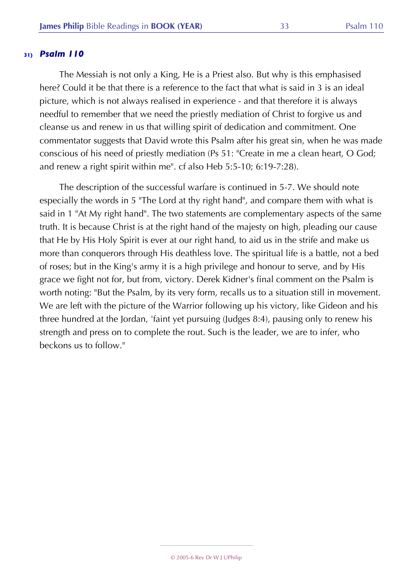The Messiah is not only a King, He is a Priest also. But why is this emphasised here? Could it be that there is a reference to the fact that what is said in 3 is an ideal picture, which is not always realised in experience - and that therefore it is always needful to remember that we need the priestly mediation of Christ to forgive us and cleanse us and renew in us that willing spirit of dedication and commitment. One commentator suggests that David wrote this Psalm after his great sin, when he was made conscious of his need of priestly mediation (Ps 51: "Create in me a clean heart, O God; and renew a right spirit within me". cf also Heb 5:5-10; 6:19-7:28).

The description of the successful warfare is continued in 5-7. We should note especially the words in 5 "The Lord at thy right hand", and compare them with what is said in 1 "At My right hand". The two statements are complementary aspects of the same truth. It is because Christ is at the right hand of the majesty on high, pleading our cause that He by His Holy Spirit is ever at our right hand, to aid us in the strife and make us more than conquerors through His deathless love. The spiritual life is a battle, not a bed of roses; but in the King's army it is a high privilege and honour to serve, and by His grace we fight not for, but from, victory. Derek Kidner's final comment on the Psalm is worth noting: "But the Psalm, by its very form, recalls us to a situation still in movement. We are left with the picture of the Warrior following up his victory, like Gideon and his three hundred at the Jordan, 'faint yet pursuing (Judges 8:4), pausing only to renew his strength and press on to complete the rout. Such is the leader, we are to infer, who beckons us to follow."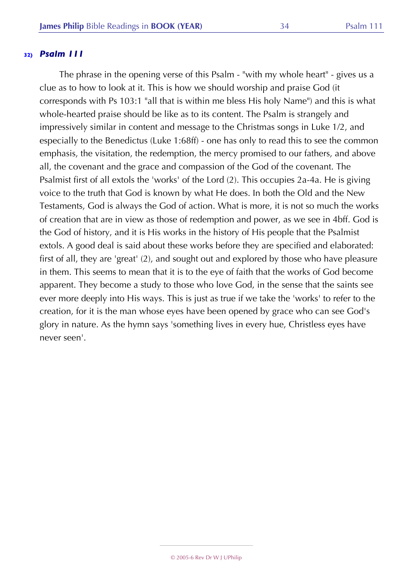The phrase in the opening verse of this Psalm - "with my whole heart" - gives us a clue as to how to look at it. This is how we should worship and praise God (it corresponds with Ps 103:1 "all that is within me bless His holy Name") and this is what whole-hearted praise should be like as to its content. The Psalm is strangely and impressively similar in content and message to the Christmas songs in Luke 1/2, and especially to the Benedictus (Luke 1:68ff) - one has only to read this to see the common emphasis, the visitation, the redemption, the mercy promised to our fathers, and above all, the covenant and the grace and compassion of the God of the covenant. The Psalmist first of all extols the 'works' of the Lord (2). This occupies 2a-4a. He is giving voice to the truth that God is known by what He does. In both the Old and the New Testaments, God is always the God of action. What is more, it is not so much the works of creation that are in view as those of redemption and power, as we see in 4bff. God is the God of history, and it is His works in the history of His people that the Psalmist extols. A good deal is said about these works before they are specified and elaborated: first of all, they are 'great' (2), and sought out and explored by those who have pleasure in them. This seems to mean that it is to the eye of faith that the works of God become apparent. They become a study to those who love God, in the sense that the saints see ever more deeply into His ways. This is just as true if we take the 'works' to refer to the creation, for it is the man whose eyes have been opened by grace who can see God's glory in nature. As the hymn says 'something lives in every hue, Christless eyes have never seen'.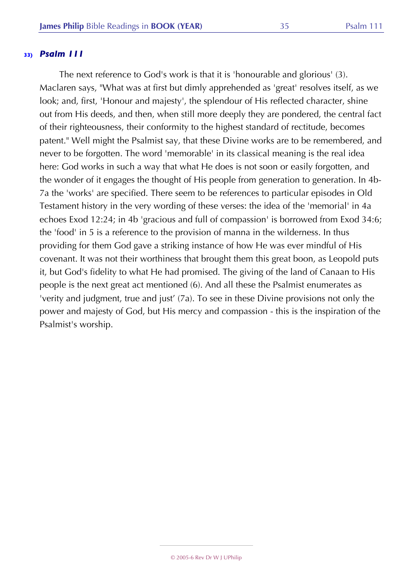The next reference to God's work is that it is 'honourable and glorious' (3). Maclaren says, "What was at first but dimly apprehended as 'great' resolves itself, as we look; and, first, 'Honour and majesty', the splendour of His reflected character, shine out from His deeds, and then, when still more deeply they are pondered, the central fact of their righteousness, their conformity to the highest standard of rectitude, becomes patent." Well might the Psalmist say, that these Divine works are to be remembered, and never to be forgotten. The word 'memorable' in its classical meaning is the real idea here: God works in such a way that what He does is not soon or easily forgotten, and the wonder of it engages the thought of His people from generation to generation. In 4b-7a the 'works' are specified. There seem to be references to particular episodes in Old Testament history in the very wording of these verses: the idea of the 'memorial' in 4a echoes Exod 12:24; in 4b 'gracious and full of compassion' is borrowed from Exod 34:6; the 'food' in 5 is a reference to the provision of manna in the wilderness. In thus providing for them God gave a striking instance of how He was ever mindful of His covenant. It was not their worthiness that brought them this great boon, as Leopold puts it, but God's fidelity to what He had promised. The giving of the land of Canaan to His people is the next great act mentioned (6). And all these the Psalmist enumerates as 'verity and judgment, true and just' (7a). To see in these Divine provisions not only the power and majesty of God, but His mercy and compassion - this is the inspiration of the Psalmist's worship.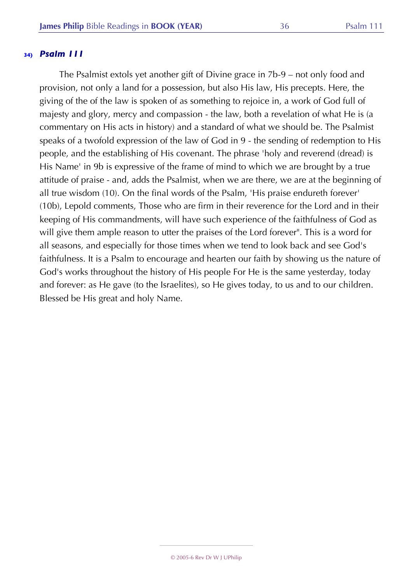The Psalmist extols yet another gift of Divine grace in 7b-9 – not only food and provision, not only a land for a possession, but also His law, His precepts. Here, the giving of the of the law is spoken of as something to rejoice in, a work of God full of majesty and glory, mercy and compassion - the law, both a revelation of what He is (a commentary on His acts in history) and a standard of what we should be. The Psalmist speaks of a twofold expression of the law of God in 9 - the sending of redemption to His people, and the establishing of His covenant. The phrase 'holy and reverend (dread) is His Name' in 9b is expressive of the frame of mind to which we are brought by a true attitude of praise - and, adds the Psalmist, when we are there, we are at the beginning of all true wisdom (10). On the final words of the Psalm, 'His praise endureth forever' (10b), Lepold comments, Those who are firm in their reverence for the Lord and in their keeping of His commandments, will have such experience of the faithfulness of God as will give them ample reason to utter the praises of the Lord forever". This is a word for all seasons, and especially for those times when we tend to look back and see God's faithfulness. It is a Psalm to encourage and hearten our faith by showing us the nature of God's works throughout the history of His people For He is the same yesterday, today and forever: as He gave (to the Israelites), so He gives today, to us and to our children. Blessed be His great and holy Name.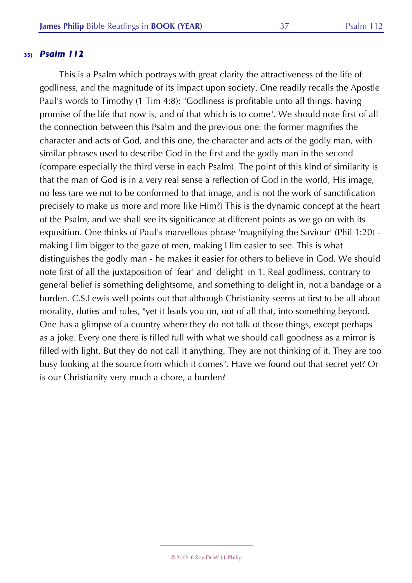This is a Psalm which portrays with great clarity the attractiveness of the life of godliness, and the magnitude of its impact upon society. One readily recalls the Apostle Paul's words to Timothy (1 Tim 4:8): "Godliness is profitable unto all things, having promise of the life that now is, and of that which is to come". We should note first of all the connection between this Psalm and the previous one: the former magnifies the character and acts of God, and this one, the character and acts of the godly man, with similar phrases used to describe God in the first and the godly man in the second (compare especially the third verse in each Psalm). The point of this kind of similarity is that the man of God is in a very real sense a reflection of God in the world, His image, no less (are we not to be conformed to that image, and is not the work of sanctification precisely to make us more and more like Him?) This is the dynamic concept at the heart of the Psalm, and we shall see its significance at different points as we go on with its exposition. One thinks of Paul's marvellous phrase 'magnifying the Saviour' (Phil 1:20) making Him bigger to the gaze of men, making Him easier to see. This is what distinguishes the godly man - he makes it easier for others to believe in God. We should note first of all the juxtaposition of 'fear' and 'delight' in 1. Real godliness, contrary to general belief is something delightsome, and something to delight in, not a bandage or a burden. C.S.Lewis well points out that although Christianity seems at first to be all about morality, duties and rules, "yet it leads you on, out of all that, into something beyond. One has a glimpse of a country where they do not talk of those things, except perhaps as a joke. Every one there is filled full with what we should call goodness as a mirror is filled with light. But they do not call it anything. They are not thinking of it. They are too busy looking at the source from which it comes". Have we found out that secret yet? Or is our Christianity very much a chore, a burden?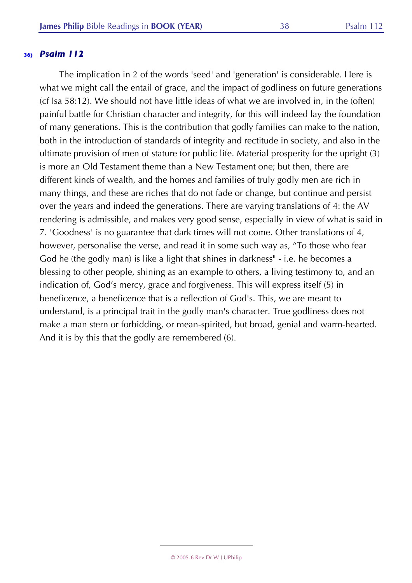The implication in 2 of the words 'seed' and 'generation' is considerable. Here is what we might call the entail of grace, and the impact of godliness on future generations (cf Isa 58:12). We should not have little ideas of what we are involved in, in the (often) painful battle for Christian character and integrity, for this will indeed lay the foundation of many generations. This is the contribution that godly families can make to the nation, both in the introduction of standards of integrity and rectitude in society, and also in the ultimate provision of men of stature for public life. Material prosperity for the upright (3) is more an Old Testament theme than a New Testament one; but then, there are different kinds of wealth, and the homes and families of truly godly men are rich in many things, and these are riches that do not fade or change, but continue and persist over the years and indeed the generations. There are varying translations of 4: the AV rendering is admissible, and makes very good sense, especially in view of what is said in 7. 'Goodness' is no guarantee that dark times will not come. Other translations of 4, however, personalise the verse, and read it in some such way as, "To those who fear God he (the godly man) is like a light that shines in darkness" - i.e. he becomes a blessing to other people, shining as an example to others, a living testimony to, and an indication of, God's mercy, grace and forgiveness. This will express itself (5) in beneficence, a beneficence that is a reflection of God's. This, we are meant to understand, is a principal trait in the godly man's character. True godliness does not make a man stern or forbidding, or mean-spirited, but broad, genial and warm-hearted. And it is by this that the godly are remembered (6).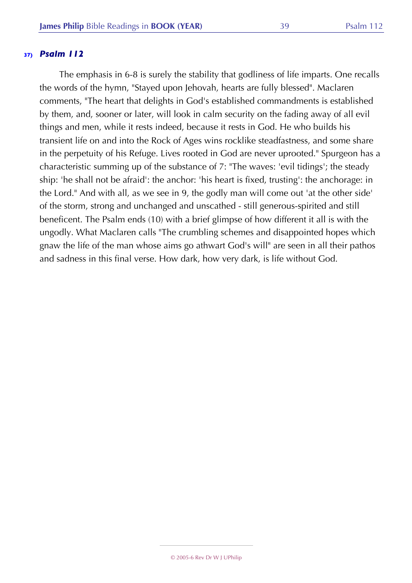The emphasis in 6-8 is surely the stability that godliness of life imparts. One recalls the words of the hymn, "Stayed upon Jehovah, hearts are fully blessed". Maclaren comments, "The heart that delights in God's established commandments is established by them, and, sooner or later, will look in calm security on the fading away of all evil things and men, while it rests indeed, because it rests in God. He who builds his transient life on and into the Rock of Ages wins rocklike steadfastness, and some share in the perpetuity of his Refuge. Lives rooted in God are never uprooted." Spurgeon has a characteristic summing up of the substance of 7: "The waves: 'evil tidings'; the steady ship: 'he shall not be afraid': the anchor: 'his heart is fixed, trusting': the anchorage: in the Lord." And with all, as we see in 9, the godly man will come out 'at the other side' of the storm, strong and unchanged and unscathed - still generous-spirited and still beneficent. The Psalm ends (10) with a brief glimpse of how different it all is with the ungodly. What Maclaren calls "The crumbling schemes and disappointed hopes which gnaw the life of the man whose aims go athwart God's will" are seen in all their pathos and sadness in this final verse. How dark, how very dark, is life without God.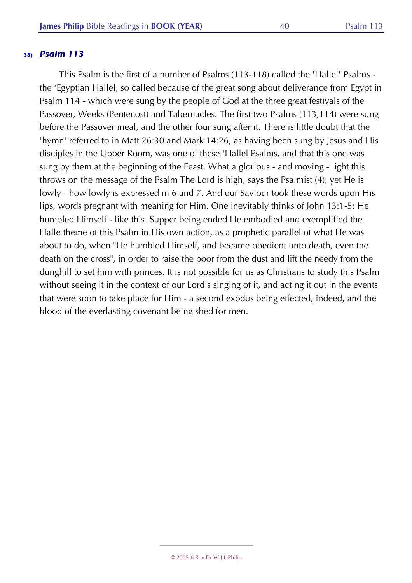This Psalm is the first of a number of Psalms (113-118) called the 'Hallel' Psalms the 'Egyptian Hallel, so called because of the great song about deliverance from Egypt in Psalm 114 - which were sung by the people of God at the three great festivals of the Passover, Weeks (Pentecost) and Tabernacles. The first two Psalms (113,114) were sung before the Passover meal, and the other four sung after it. There is little doubt that the 'hymn' referred to in Matt 26:30 and Mark 14:26, as having been sung by Jesus and His disciples in the Upper Room, was one of these 'Hallel Psalms, and that this one was sung by them at the beginning of the Feast. What a glorious - and moving - light this throws on the message of the Psalm The Lord is high, says the Psalmist (4); yet He is lowly - how lowly is expressed in 6 and 7. And our Saviour took these words upon His lips, words pregnant with meaning for Him. One inevitably thinks of John 13:1-5: He humbled Himself - like this. Supper being ended He embodied and exemplified the Halle theme of this Psalm in His own action, as a prophetic parallel of what He was about to do, when "He humbled Himself, and became obedient unto death, even the death on the cross", in order to raise the poor from the dust and lift the needy from the dunghill to set him with princes. It is not possible for us as Christians to study this Psalm without seeing it in the context of our Lord's singing of it, and acting it out in the events that were soon to take place for Him - a second exodus being effected, indeed, and the blood of the everlasting covenant being shed for men.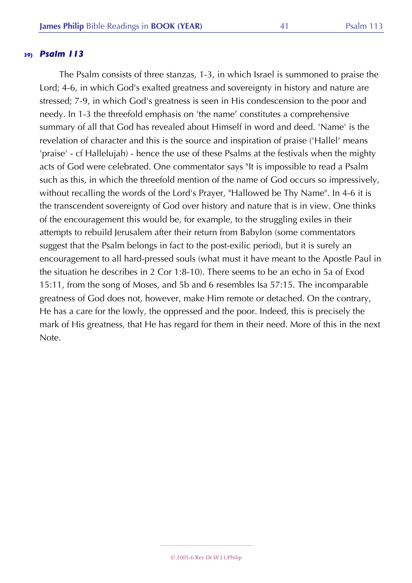The Psalm consists of three stanzas, 1-3, in which Israel is summoned to praise the Lord; 4-6, in which God's exalted greatness and sovereignty in history and nature are stressed; 7-9, in which God's greatness is seen in His condescension to the poor and needy. In 1-3 the threefold emphasis on 'the name' constitutes a comprehensive summary of all that God has revealed about Himself in word and deed. 'Name' is the revelation of character and this is the source and inspiration of praise ('Hallel' means 'praise' - cf Hallelujah) - hence the use of these Psalms at the festivals when the mighty acts of God were celebrated. One commentator says "It is impossible to read a Psalm such as this, in which the threefold mention of the name of God occurs so impressively, without recalling the words of the Lord's Prayer, "Hallowed be Thy Name". In 4-6 it is the transcendent sovereignty of God over history and nature that is in view. One thinks of the encouragement this would be, for example, to the struggling exiles in their attempts to rebuild Jerusalem after their return from Babylon (some commentators suggest that the Psalm belongs in fact to the post-exilic period), but it is surely an encouragement to all hard-pressed souls (what must it have meant to the Apostle Paul in the situation he describes in 2 Cor 1:8-10). There seems to be an echo in 5a of Exod 15:11, from the song of Moses, and 5b and 6 resembles Isa 57:15. The incomparable greatness of God does not, however, make Him remote or detached. On the contrary, He has a care for the lowly, the oppressed and the poor. Indeed, this is precisely the mark of His greatness, that He has regard for them in their need. More of this in the next Note.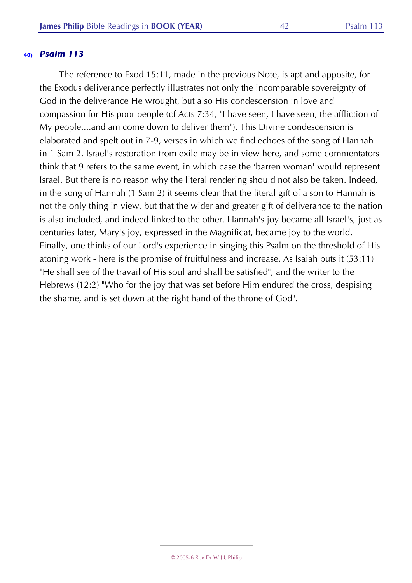The reference to Exod 15:11, made in the previous Note, is apt and apposite, for the Exodus deliverance perfectly illustrates not only the incomparable sovereignty of God in the deliverance He wrought, but also His condescension in love and compassion for His poor people (cf Acts 7:34, "I have seen, I have seen, the affliction of My people....and am come down to deliver them"). This Divine condescension is elaborated and spelt out in 7-9, verses in which we find echoes of the song of Hannah in 1 Sam 2. Israel's restoration from exile may be in view here, and some commentators think that 9 refers to the same event, in which case the 'barren woman' would represent Israel. But there is no reason why the literal rendering should not also be taken. Indeed, in the song of Hannah (1 Sam 2) it seems clear that the literal gift of a son to Hannah is not the only thing in view, but that the wider and greater gift of deliverance to the nation is also included, and indeed linked to the other. Hannah's joy became all Israel's, just as centuries later, Mary's joy, expressed in the Magnificat, became joy to the world. Finally, one thinks of our Lord's experience in singing this Psalm on the threshold of His atoning work - here is the promise of fruitfulness and increase. As Isaiah puts it (53:11) "He shall see of the travail of His soul and shall be satisfied", and the writer to the Hebrews (12:2) "Who for the joy that was set before Him endured the cross, despising the shame, and is set down at the right hand of the throne of God".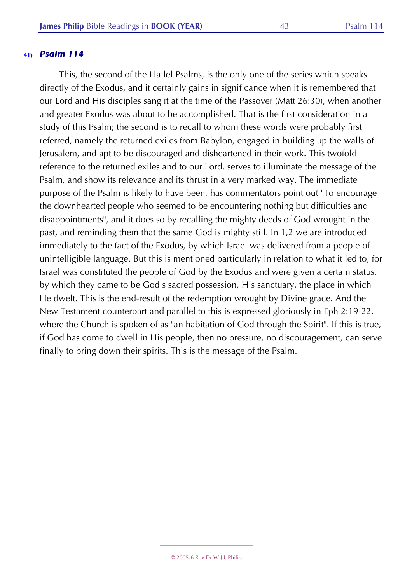This, the second of the Hallel Psalms, is the only one of the series which speaks directly of the Exodus, and it certainly gains in significance when it is remembered that our Lord and His disciples sang it at the time of the Passover (Matt 26:30), when another and greater Exodus was about to be accomplished. That is the first consideration in a study of this Psalm; the second is to recall to whom these words were probably first referred, namely the returned exiles from Babylon, engaged in building up the walls of Jerusalem, and apt to be discouraged and disheartened in their work. This twofold reference to the returned exiles and to our Lord, serves to illuminate the message of the Psalm, and show its relevance and its thrust in a very marked way. The immediate purpose of the Psalm is likely to have been, has commentators point out "To encourage the downhearted people who seemed to be encountering nothing but difficulties and disappointments", and it does so by recalling the mighty deeds of God wrought in the past, and reminding them that the same God is mighty still. In 1,2 we are introduced immediately to the fact of the Exodus, by which Israel was delivered from a people of unintelligible language. But this is mentioned particularly in relation to what it led to, for Israel was constituted the people of God by the Exodus and were given a certain status, by which they came to be God's sacred possession, His sanctuary, the place in which He dwelt. This is the end-result of the redemption wrought by Divine grace. And the New Testament counterpart and parallel to this is expressed gloriously in Eph 2:19-22, where the Church is spoken of as "an habitation of God through the Spirit". If this is true, if God has come to dwell in His people, then no pressure, no discouragement, can serve finally to bring down their spirits. This is the message of the Psalm.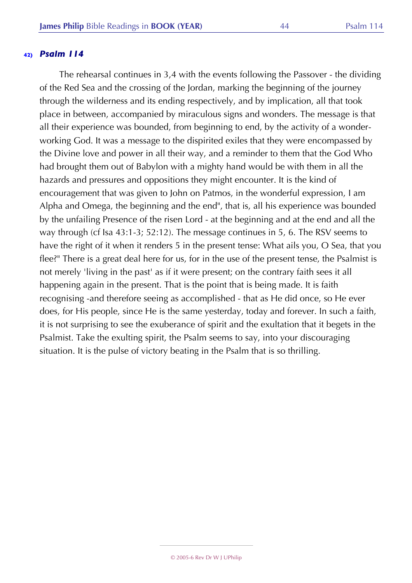The rehearsal continues in 3,4 with the events following the Passover - the dividing of the Red Sea and the crossing of the Jordan, marking the beginning of the journey through the wilderness and its ending respectively, and by implication, all that took place in between, accompanied by miraculous signs and wonders. The message is that all their experience was bounded, from beginning to end, by the activity of a wonderworking God. It was a message to the dispirited exiles that they were encompassed by the Divine love and power in all their way, and a reminder to them that the God Who had brought them out of Babylon with a mighty hand would be with them in all the hazards and pressures and oppositions they might encounter. It is the kind of encouragement that was given to John on Patmos, in the wonderful expression, I am Alpha and Omega, the beginning and the end", that is, all his experience was bounded by the unfailing Presence of the risen Lord - at the beginning and at the end and all the way through (cf Isa 43:1-3; 52:12). The message continues in 5, 6. The RSV seems to have the right of it when it renders 5 in the present tense: What ails you, O Sea, that you flee?" There is a great deal here for us, for in the use of the present tense, the Psalmist is not merely 'living in the past' as if it were present; on the contrary faith sees it all happening again in the present. That is the point that is being made. It is faith recognising -and therefore seeing as accomplished - that as He did once, so He ever does, for His people, since He is the same yesterday, today and forever. In such a faith, it is not surprising to see the exuberance of spirit and the exultation that it begets in the Psalmist. Take the exulting spirit, the Psalm seems to say, into your discouraging situation. It is the pulse of victory beating in the Psalm that is so thrilling.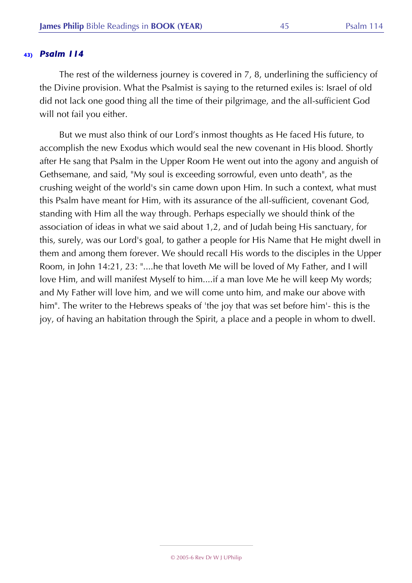The rest of the wilderness journey is covered in 7, 8, underlining the sufficiency of the Divine provision. What the Psalmist is saying to the returned exiles is: Israel of old did not lack one good thing all the time of their pilgrimage, and the all-sufficient God will not fail you either.

But we must also think of our Lord's inmost thoughts as He faced His future, to accomplish the new Exodus which would seal the new covenant in His blood. Shortly after He sang that Psalm in the Upper Room He went out into the agony and anguish of Gethsemane, and said, "My soul is exceeding sorrowful, even unto death", as the crushing weight of the world's sin came down upon Him. In such a context, what must this Psalm have meant for Him, with its assurance of the all-sufficient, covenant God, standing with Him all the way through. Perhaps especially we should think of the association of ideas in what we said about 1,2, and of Judah being His sanctuary, for this, surely, was our Lord's goal, to gather a people for His Name that He might dwell in them and among them forever. We should recall His words to the disciples in the Upper Room, in John 14:21, 23: "....he that loveth Me will be loved of My Father, and I will love Him, and will manifest Myself to him....if a man love Me he will keep My words; and My Father will love him, and we will come unto him, and make our above with him". The writer to the Hebrews speaks of 'the joy that was set before him'- this is the joy, of having an habitation through the Spirit, a place and a people in whom to dwell.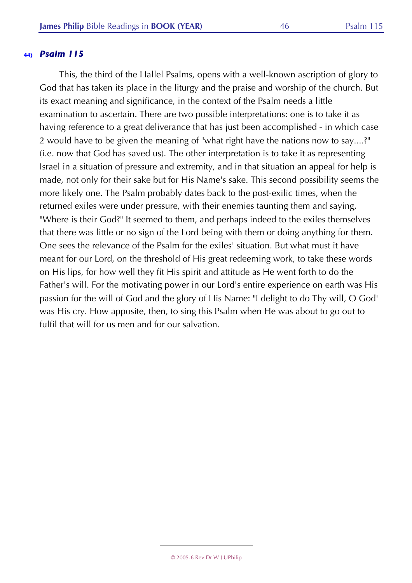This, the third of the Hallel Psalms, opens with a well-known ascription of glory to God that has taken its place in the liturgy and the praise and worship of the church. But its exact meaning and significance, in the context of the Psalm needs a little examination to ascertain. There are two possible interpretations: one is to take it as having reference to a great deliverance that has just been accomplished - in which case 2 would have to be given the meaning of "what right have the nations now to say....?" (i.e. now that God has saved us). The other interpretation is to take it as representing Israel in a situation of pressure and extremity, and in that situation an appeal for help is made, not only for their sake but for His Name's sake. This second possibility seems the more likely one. The Psalm probably dates back to the post-exilic times, when the returned exiles were under pressure, with their enemies taunting them and saying, "Where is their God?" It seemed to them, and perhaps indeed to the exiles themselves that there was little or no sign of the Lord being with them or doing anything for them. One sees the relevance of the Psalm for the exiles' situation. But what must it have meant for our Lord, on the threshold of His great redeeming work, to take these words on His lips, for how well they fit His spirit and attitude as He went forth to do the Father's will. For the motivating power in our Lord's entire experience on earth was His passion for the will of God and the glory of His Name: "I delight to do Thy will, O God' was His cry. How apposite, then, to sing this Psalm when He was about to go out to fulfil that will for us men and for our salvation.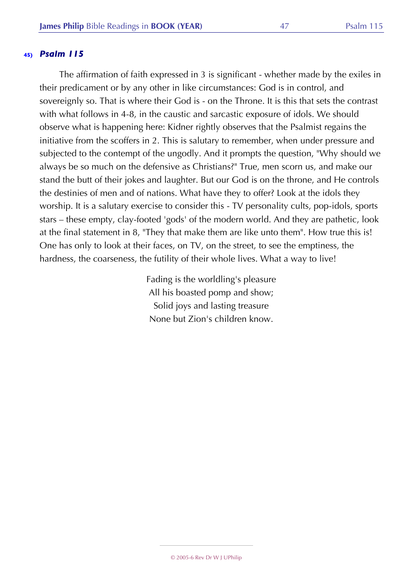The affirmation of faith expressed in 3 is significant - whether made by the exiles in their predicament or by any other in like circumstances: God is in control, and sovereignly so. That is where their God is - on the Throne. It is this that sets the contrast with what follows in 4-8, in the caustic and sarcastic exposure of idols. We should observe what is happening here: Kidner rightly observes that the Psalmist regains the initiative from the scoffers in 2. This is salutary to remember, when under pressure and subjected to the contempt of the ungodly. And it prompts the question, "Why should we always be so much on the defensive as Christians?" True, men scorn us, and make our stand the butt of their jokes and laughter. But our God is on the throne, and He controls the destinies of men and of nations. What have they to offer? Look at the idols they worship. It is a salutary exercise to consider this - TV personality cults, pop-idols, sports stars – these empty, clay-footed 'gods' of the modern world. And they are pathetic, look at the final statement in 8, "They that make them are like unto them". How true this is! One has only to look at their faces, on TV, on the street, to see the emptiness, the hardness, the coarseness, the futility of their whole lives. What a way to live!

> Fading is the worldling's pleasure All his boasted pomp and show; Solid joys and lasting treasure None but Zion's children know.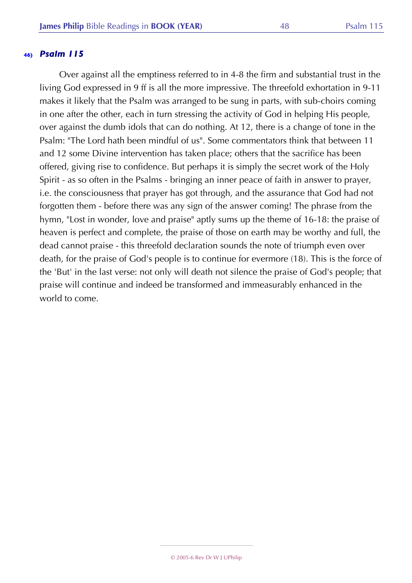Over against all the emptiness referred to in 4-8 the firm and substantial trust in the living God expressed in 9 ff is all the more impressive. The threefold exhortation in 9-11 makes it likely that the Psalm was arranged to be sung in parts, with sub-choirs coming in one after the other, each in turn stressing the activity of God in helping His people, over against the dumb idols that can do nothing. At 12, there is a change of tone in the Psalm: "The Lord hath been mindful of us". Some commentators think that between 11 and 12 some Divine intervention has taken place; others that the sacrifice has been offered, giving rise to confidence. But perhaps it is simply the secret work of the Holy Spirit - as so often in the Psalms - bringing an inner peace of faith in answer to prayer, i.e. the consciousness that prayer has got through, and the assurance that God had not forgotten them - before there was any sign of the answer coming! The phrase from the hymn, "Lost in wonder, love and praise" aptly sums up the theme of 16-18: the praise of heaven is perfect and complete, the praise of those on earth may be worthy and full, the dead cannot praise - this threefold declaration sounds the note of triumph even over death, for the praise of God's people is to continue for evermore (18). This is the force of the 'But' in the last verse: not only will death not silence the praise of God's people; that praise will continue and indeed be transformed and immeasurably enhanced in the world to come.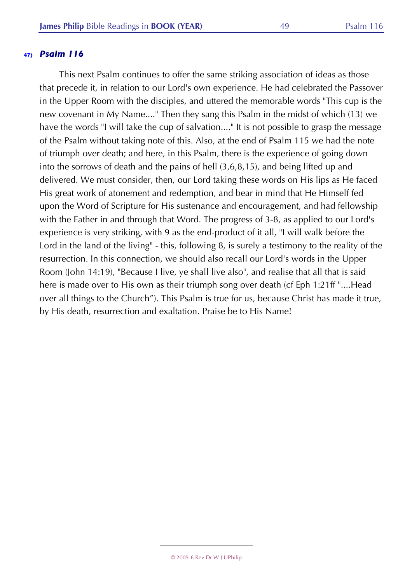This next Psalm continues to offer the same striking association of ideas as those that precede it, in relation to our Lord's own experience. He had celebrated the Passover in the Upper Room with the disciples, and uttered the memorable words "This cup is the new covenant in My Name...." Then they sang this Psalm in the midst of which (13) we have the words "I will take the cup of salvation...." It is not possible to grasp the message of the Psalm without taking note of this. Also, at the end of Psalm 115 we had the note of triumph over death; and here, in this Psalm, there is the experience of going down into the sorrows of death and the pains of hell (3,6,8,15), and being lifted up and delivered. We must consider, then, our Lord taking these words on His lips as He faced His great work of atonement and redemption, and bear in mind that He Himself fed upon the Word of Scripture for His sustenance and encouragement, and had fellowship with the Father in and through that Word. The progress of 3-8, as applied to our Lord's experience is very striking, with 9 as the end-product of it all, "I will walk before the Lord in the land of the living" - this, following 8, is surely a testimony to the reality of the resurrection. In this connection, we should also recall our Lord's words in the Upper Room (John 14:19), "Because I live, ye shall live also", and realise that all that is said here is made over to His own as their triumph song over death (cf Eph 1:21ff "....Head over all things to the Church"). This Psalm is true for us, because Christ has made it true, by His death, resurrection and exaltation. Praise be to His Name!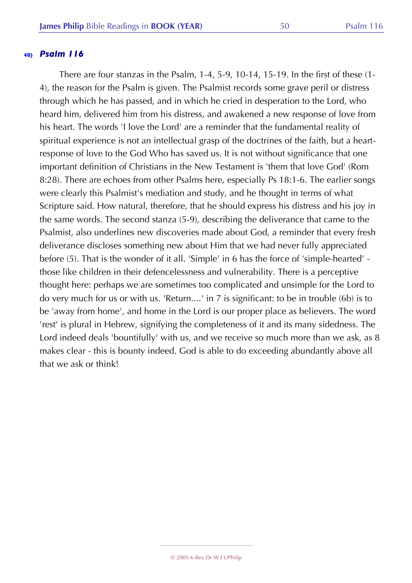There are four stanzas in the Psalm, 1-4, 5-9, 10-14, 15-19. In the first of these (1- 4), the reason for the Psalm is given. The Psalmist records some grave peril or distress through which he has passed, and in which he cried in desperation to the Lord, who heard him, delivered him from his distress, and awakened a new response of love from his heart. The words 'I love the Lord' are a reminder that the fundamental reality of spiritual experience is not an intellectual grasp of the doctrines of the faith, but a heartresponse of love to the God Who has saved us. It is not without significance that one important definition of Christians in the New Testament is 'them that love God' (Rom 8:28). There are echoes from other Psalms here, especially Ps 18:1-6. The earlier songs were clearly this Psalmist's mediation and study, and he thought in terms of what Scripture said. How natural, therefore, that he should express his distress and his joy in the same words. The second stanza (5-9), describing the deliverance that came to the Psalmist, also underlines new discoveries made about God, a reminder that every fresh deliverance discloses something new about Him that we had never fully appreciated before (5). That is the wonder of it all. 'Simple' in 6 has the force of 'simple-hearted' those like children in their defencelessness and vulnerability. There is a perceptive thought here: perhaps we are sometimes too complicated and unsimple for the Lord to do very much for us or with us. 'Return....' in 7 is significant: to be in trouble (6b) is to be 'away from home', and home in the Lord is our proper place as believers. The word 'rest' is plural in Hebrew, signifying the completeness of it and its many sidedness. The Lord indeed deals 'bountifully' with us, and we receive so much more than we ask, as 8 makes clear - this is bounty indeed. God is able to do exceeding abundantly above all that we ask or think!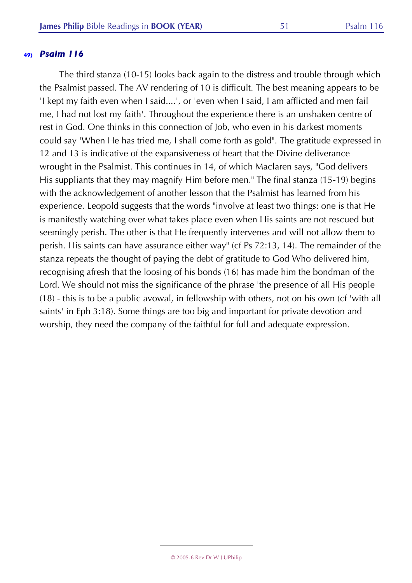The third stanza (10-15) looks back again to the distress and trouble through which the Psalmist passed. The AV rendering of 10 is difficult. The best meaning appears to be 'I kept my faith even when I said....', or 'even when I said, I am afflicted and men fail me, I had not lost my faith'. Throughout the experience there is an unshaken centre of rest in God. One thinks in this connection of Job, who even in his darkest moments could say 'When He has tried me, I shall come forth as gold". The gratitude expressed in 12 and 13 is indicative of the expansiveness of heart that the Divine deliverance wrought in the Psalmist. This continues in 14, of which Maclaren says, "God delivers His suppliants that they may magnify Him before men." The final stanza (15-19) begins with the acknowledgement of another lesson that the Psalmist has learned from his experience. Leopold suggests that the words "involve at least two things: one is that He is manifestly watching over what takes place even when His saints are not rescued but seemingly perish. The other is that He frequently intervenes and will not allow them to perish. His saints can have assurance either way" (cf Ps 72:13, 14). The remainder of the stanza repeats the thought of paying the debt of gratitude to God Who delivered him, recognising afresh that the loosing of his bonds (16) has made him the bondman of the Lord. We should not miss the significance of the phrase 'the presence of all His people (18) - this is to be a public avowal, in fellowship with others, not on his own (cf 'with all saints' in Eph 3:18). Some things are too big and important for private devotion and worship, they need the company of the faithful for full and adequate expression.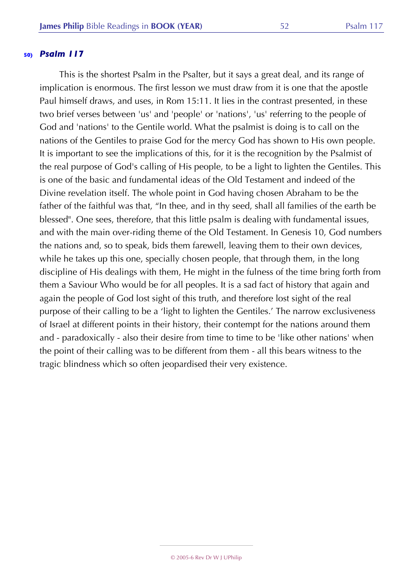This is the shortest Psalm in the Psalter, but it says a great deal, and its range of implication is enormous. The first lesson we must draw from it is one that the apostle Paul himself draws, and uses, in Rom 15:11. It lies in the contrast presented, in these two brief verses between 'us' and 'people' or 'nations', 'us' referring to the people of God and 'nations' to the Gentile world. What the psalmist is doing is to call on the nations of the Gentiles to praise God for the mercy God has shown to His own people. It is important to see the implications of this, for it is the recognition by the Psalmist of the real purpose of God's calling of His people, to be a light to lighten the Gentiles. This is one of the basic and fundamental ideas of the Old Testament and indeed of the Divine revelation itself. The whole point in God having chosen Abraham to be the father of the faithful was that, "In thee, and in thy seed, shall all families of the earth be blessed". One sees, therefore, that this little psalm is dealing with fundamental issues, and with the main over-riding theme of the Old Testament. In Genesis 10, God numbers the nations and, so to speak, bids them farewell, leaving them to their own devices, while he takes up this one, specially chosen people, that through them, in the long discipline of His dealings with them, He might in the fulness of the time bring forth from them a Saviour Who would be for all peoples. It is a sad fact of history that again and again the people of God lost sight of this truth, and therefore lost sight of the real purpose of their calling to be a 'light to lighten the Gentiles.' The narrow exclusiveness of Israel at different points in their history, their contempt for the nations around them and - paradoxically - also their desire from time to time to be 'like other nations' when the point of their calling was to be different from them - all this bears witness to the tragic blindness which so often jeopardised their very existence.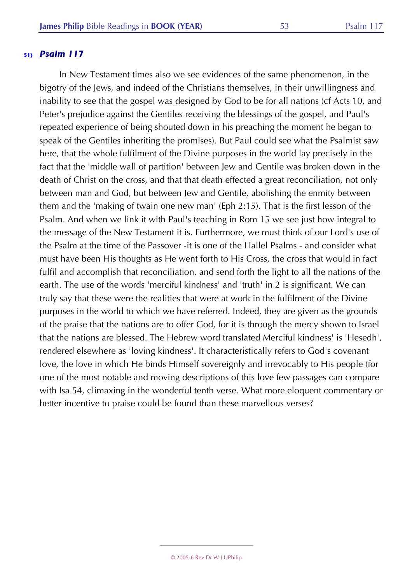In New Testament times also we see evidences of the same phenomenon, in the bigotry of the Jews, and indeed of the Christians themselves, in their unwillingness and inability to see that the gospel was designed by God to be for all nations (cf Acts 10, and Peter's prejudice against the Gentiles receiving the blessings of the gospel, and Paul's repeated experience of being shouted down in his preaching the moment he began to speak of the Gentiles inheriting the promises). But Paul could see what the Psalmist saw here, that the whole fulfilment of the Divine purposes in the world lay precisely in the fact that the 'middle wall of partition' between Jew and Gentile was broken down in the death of Christ on the cross, and that that death effected a great reconciliation, not only between man and God, but between Jew and Gentile, abolishing the enmity between them and the 'making of twain one new man' (Eph 2:15). That is the first lesson of the Psalm. And when we link it with Paul's teaching in Rom 15 we see just how integral to the message of the New Testament it is. Furthermore, we must think of our Lord's use of the Psalm at the time of the Passover -it is one of the Hallel Psalms - and consider what must have been His thoughts as He went forth to His Cross, the cross that would in fact fulfil and accomplish that reconciliation, and send forth the light to all the nations of the earth. The use of the words 'merciful kindness' and 'truth' in 2 is significant. We can truly say that these were the realities that were at work in the fulfilment of the Divine purposes in the world to which we have referred. Indeed, they are given as the grounds of the praise that the nations are to offer God, for it is through the mercy shown to Israel that the nations are blessed. The Hebrew word translated Merciful kindness' is 'Hesedh', rendered elsewhere as 'loving kindness'. It characteristically refers to God's covenant love, the love in which He binds Himself sovereignly and irrevocably to His people (for one of the most notable and moving descriptions of this love few passages can compare with Isa 54, climaxing in the wonderful tenth verse. What more eloquent commentary or better incentive to praise could be found than these marvellous verses?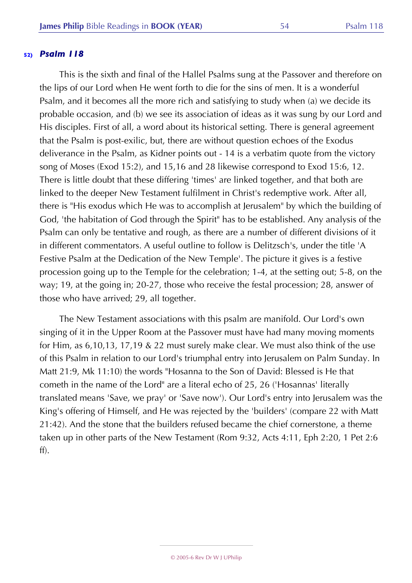This is the sixth and final of the Hallel Psalms sung at the Passover and therefore on the lips of our Lord when He went forth to die for the sins of men. It is a wonderful Psalm, and it becomes all the more rich and satisfying to study when (a) we decide its probable occasion, and (b) we see its association of ideas as it was sung by our Lord and His disciples. First of all, a word about its historical setting. There is general agreement that the Psalm is post-exilic, but, there are without question echoes of the Exodus deliverance in the Psalm, as Kidner points out - 14 is a verbatim quote from the victory song of Moses (Exod 15:2), and 15,16 and 28 likewise correspond to Exod 15:6, 12. There is little doubt that these differing 'times' are linked together, and that both are linked to the deeper New Testament fulfilment in Christ's redemptive work. After all, there is "His exodus which He was to accomplish at Jerusalem" by which the building of God, 'the habitation of God through the Spirit" has to be established. Any analysis of the Psalm can only be tentative and rough, as there are a number of different divisions of it in different commentators. A useful outline to follow is Delitzsch's, under the title 'A Festive Psalm at the Dedication of the New Temple'. The picture it gives is a festive procession going up to the Temple for the celebration; 1-4, at the setting out; 5-8, on the way; 19, at the going in; 20-27, those who receive the festal procession; 28, answer of those who have arrived; 29, all together.

The New Testament associations with this psalm are manifold. Our Lord's own singing of it in the Upper Room at the Passover must have had many moving moments for Him, as 6,10,13, 17,19 & 22 must surely make clear. We must also think of the use of this Psalm in relation to our Lord's triumphal entry into Jerusalem on Palm Sunday. In Matt 21:9, Mk 11:10) the words "Hosanna to the Son of David: Blessed is He that cometh in the name of the Lord" are a literal echo of 25, 26 ('Hosannas' literally translated means 'Save, we pray' or 'Save now'). Our Lord's entry into Jerusalem was the King's offering of Himself, and He was rejected by the 'builders' (compare 22 with Matt 21:42). And the stone that the builders refused became the chief cornerstone, a theme taken up in other parts of the New Testament (Rom 9:32, Acts 4:11, Eph 2:20, 1 Pet 2:6 ff).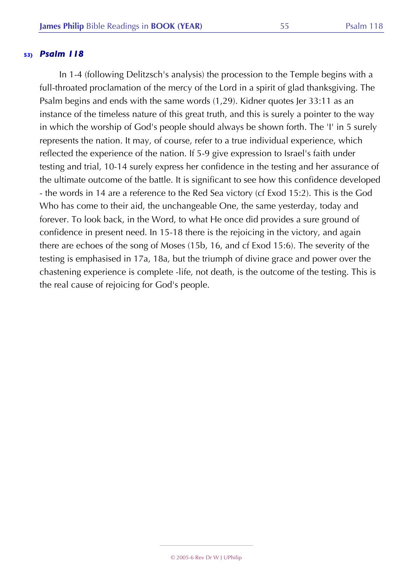In 1-4 (following Delitzsch's analysis) the procession to the Temple begins with a full-throated proclamation of the mercy of the Lord in a spirit of glad thanksgiving. The Psalm begins and ends with the same words (1,29). Kidner quotes Jer 33:11 as an instance of the timeless nature of this great truth, and this is surely a pointer to the way in which the worship of God's people should always be shown forth. The 'I' in 5 surely represents the nation. It may, of course, refer to a true individual experience, which reflected the experience of the nation. If 5-9 give expression to Israel's faith under testing and trial, 10-14 surely express her confidence in the testing and her assurance of the ultimate outcome of the battle. It is significant to see how this confidence developed - the words in 14 are a reference to the Red Sea victory (cf Exod 15:2). This is the God Who has come to their aid, the unchangeable One, the same yesterday, today and forever. To look back, in the Word, to what He once did provides a sure ground of confidence in present need. In 15-18 there is the rejoicing in the victory, and again there are echoes of the song of Moses (15b, 16, and cf Exod 15:6). The severity of the testing is emphasised in 17a, 18a, but the triumph of divine grace and power over the chastening experience is complete -life, not death, is the outcome of the testing. This is the real cause of rejoicing for God's people.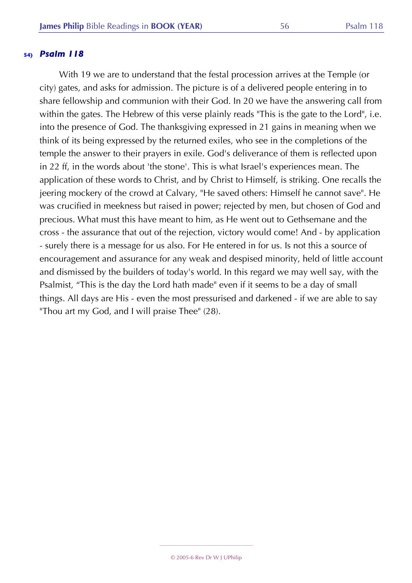With 19 we are to understand that the festal procession arrives at the Temple (or city) gates, and asks for admission. The picture is of a delivered people entering in to share fellowship and communion with their God. In 20 we have the answering call from within the gates. The Hebrew of this verse plainly reads "This is the gate to the Lord", i.e. into the presence of God. The thanksgiving expressed in 21 gains in meaning when we think of its being expressed by the returned exiles, who see in the completions of the temple the answer to their prayers in exile. God's deliverance of them is reflected upon in 22 ff, in the words about 'the stone'. This is what Israel's experiences mean. The application of these words to Christ, and by Christ to Himself, is striking. One recalls the jeering mockery of the crowd at Calvary, "He saved others: Himself he cannot save". He was crucified in meekness but raised in power; rejected by men, but chosen of God and precious. What must this have meant to him, as He went out to Gethsemane and the cross - the assurance that out of the rejection, victory would come! And - by application - surely there is a message for us also. For He entered in for us. Is not this a source of encouragement and assurance for any weak and despised minority, held of little account and dismissed by the builders of today's world. In this regard we may well say, with the Psalmist, "This is the day the Lord hath made" even if it seems to be a day of small things. All days are His - even the most pressurised and darkened - if we are able to say "Thou art my God, and I will praise Thee" (28).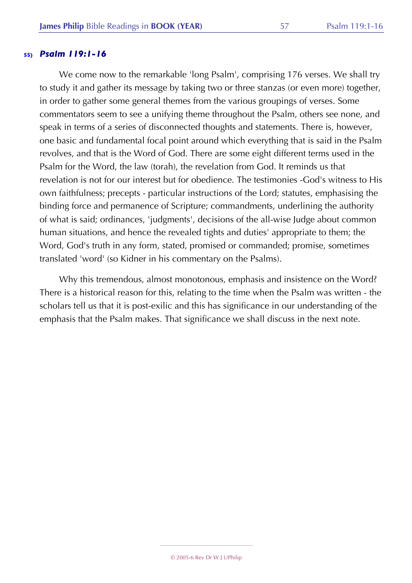# **55)** *Psalm 119:1-16*

We come now to the remarkable 'long Psalm', comprising 176 verses. We shall try to study it and gather its message by taking two or three stanzas (or even more) together, in order to gather some general themes from the various groupings of verses. Some commentators seem to see a unifying theme throughout the Psalm, others see none, and speak in terms of a series of disconnected thoughts and statements. There is, however, one basic and fundamental focal point around which everything that is said in the Psalm revolves, and that is the Word of God. There are some eight different terms used in the Psalm for the Word, the law (torah), the revelation from God. It reminds us that revelation is not for our interest but for obedience. The testimonies -God's witness to His own faithfulness; precepts - particular instructions of the Lord; statutes, emphasising the binding force and permanence of Scripture; commandments, underlining the authority of what is said; ordinances, 'judgments', decisions of the all-wise Judge about common human situations, and hence the revealed tights and duties' appropriate to them; the Word, God's truth in any form, stated, promised or commanded; promise, sometimes translated 'word' (so Kidner in his commentary on the Psalms).

Why this tremendous, almost monotonous, emphasis and insistence on the Word? There is a historical reason for this, relating to the time when the Psalm was written - the scholars tell us that it is post-exilic and this has significance in our understanding of the emphasis that the Psalm makes. That significance we shall discuss in the next note.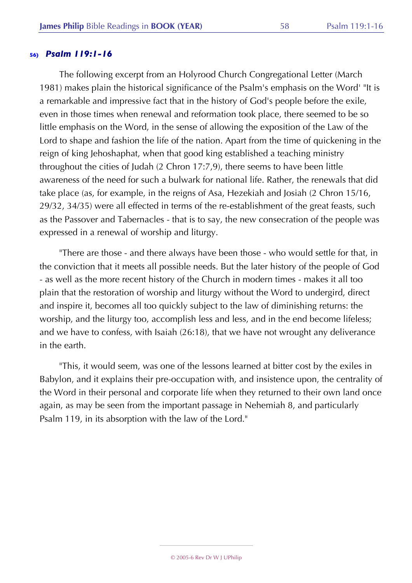The following excerpt from an Holyrood Church Congregational Letter (March 1981) makes plain the historical significance of the Psalm's emphasis on the Word' "It is a remarkable and impressive fact that in the history of God's people before the exile, even in those times when renewal and reformation took place, there seemed to be so little emphasis on the Word, in the sense of allowing the exposition of the Law of the Lord to shape and fashion the life of the nation. Apart from the time of quickening in the reign of king Jehoshaphat, when that good king established a teaching ministry throughout the cities of Judah (2 Chron 17:7,9), there seems to have been little awareness of the need for such a bulwark for national life. Rather, the renewals that did take place (as, for example, in the reigns of Asa, Hezekiah and Josiah (2 Chron 15/16, 29/32, 34/35) were all effected in terms of the re-establishment of the great feasts, such as the Passover and Tabernacles - that is to say, the new consecration of the people was expressed in a renewal of worship and liturgy.

"There are those - and there always have been those - who would settle for that, in the conviction that it meets all possible needs. But the later history of the people of God - as well as the more recent history of the Church in modern times - makes it all too plain that the restoration of worship and liturgy without the Word to undergird, direct and inspire it, becomes all too quickly subject to the law of diminishing returns: the worship, and the liturgy too, accomplish less and less, and in the end become lifeless; and we have to confess, with Isaiah (26:18), that we have not wrought any deliverance in the earth.

"This, it would seem, was one of the lessons learned at bitter cost by the exiles in Babylon, and it explains their pre-occupation with, and insistence upon, the centrality of the Word in their personal and corporate life when they returned to their own land once again, as may be seen from the important passage in Nehemiah 8, and particularly Psalm 119, in its absorption with the law of the Lord."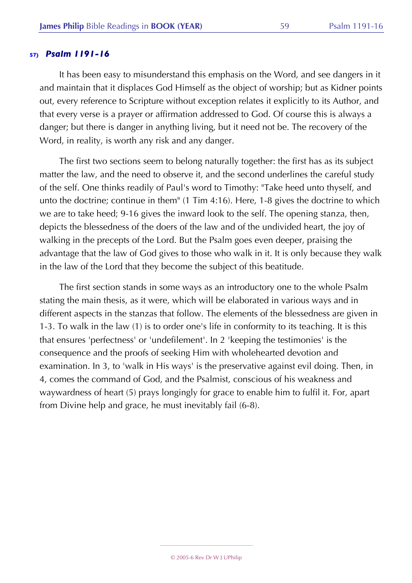It has been easy to misunderstand this emphasis on the Word, and see dangers in it and maintain that it displaces God Himself as the object of worship; but as Kidner points out, every reference to Scripture without exception relates it explicitly to its Author, and that every verse is a prayer or affirmation addressed to God. Of course this is always a danger; but there is danger in anything living, but it need not be. The recovery of the Word, in reality, is worth any risk and any danger.

The first two sections seem to belong naturally together: the first has as its subject matter the law, and the need to observe it, and the second underlines the careful study of the self. One thinks readily of Paul's word to Timothy: "Take heed unto thyself, and unto the doctrine; continue in them" (1 Tim 4:16). Here, 1-8 gives the doctrine to which we are to take heed; 9-16 gives the inward look to the self. The opening stanza, then, depicts the blessedness of the doers of the law and of the undivided heart, the joy of walking in the precepts of the Lord. But the Psalm goes even deeper, praising the advantage that the law of God gives to those who walk in it. It is only because they walk in the law of the Lord that they become the subject of this beatitude.

The first section stands in some ways as an introductory one to the whole Psalm stating the main thesis, as it were, which will be elaborated in various ways and in different aspects in the stanzas that follow. The elements of the blessedness are given in 1-3. To walk in the law (1) is to order one's life in conformity to its teaching. It is this that ensures 'perfectness' or 'undefilement'. In 2 'keeping the testimonies' is the consequence and the proofs of seeking Him with wholehearted devotion and examination. In 3, to 'walk in His ways' is the preservative against evil doing. Then, in 4, comes the command of God, and the Psalmist, conscious of his weakness and waywardness of heart (5) prays longingly for grace to enable him to fulfil it. For, apart from Divine help and grace, he must inevitably fail (6-8).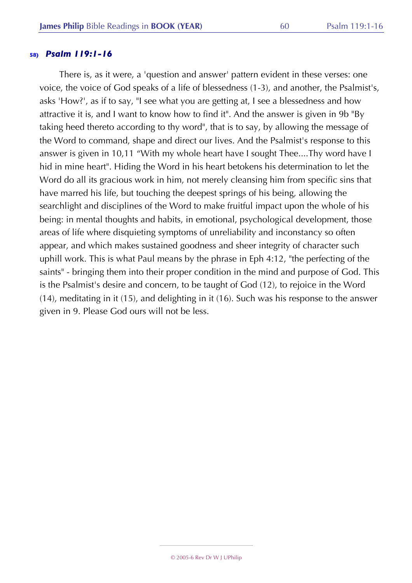# **58)** *Psalm 119:1-16*

There is, as it were, a 'question and answer' pattern evident in these verses: one voice, the voice of God speaks of a life of blessedness (1-3), and another, the Psalmist's, asks 'How?', as if to say, "I see what you are getting at, I see a blessedness and how attractive it is, and I want to know how to find it". And the answer is given in 9b "By taking heed thereto according to thy word", that is to say, by allowing the message of the Word to command, shape and direct our lives. And the Psalmist's response to this answer is given in 10,11 "With my whole heart have I sought Thee....Thy word have I hid in mine heart". Hiding the Word in his heart betokens his determination to let the Word do all its gracious work in him, not merely cleansing him from specific sins that have marred his life, but touching the deepest springs of his being, allowing the searchlight and disciplines of the Word to make fruitful impact upon the whole of his being: in mental thoughts and habits, in emotional, psychological development, those areas of life where disquieting symptoms of unreliability and inconstancy so often appear, and which makes sustained goodness and sheer integrity of character such uphill work. This is what Paul means by the phrase in Eph 4:12, "the perfecting of the saints" - bringing them into their proper condition in the mind and purpose of God. This is the Psalmist's desire and concern, to be taught of God (12), to rejoice in the Word (14), meditating in it (15), and delighting in it (16). Such was his response to the answer given in 9. Please God ours will not be less.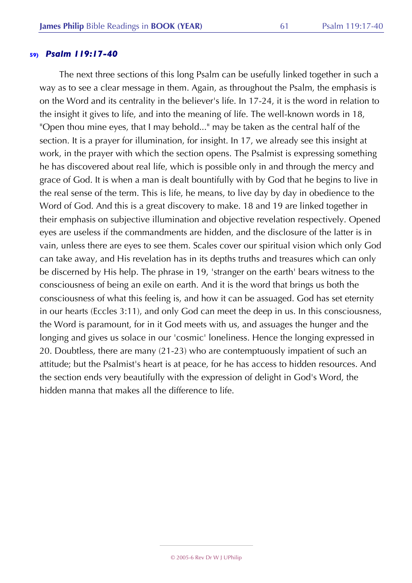#### **59)** *Psalm 119:17-40*

The next three sections of this long Psalm can be usefully linked together in such a way as to see a clear message in them. Again, as throughout the Psalm, the emphasis is on the Word and its centrality in the believer's life. In 17-24, it is the word in relation to the insight it gives to life, and into the meaning of life. The well-known words in 18, "Open thou mine eyes, that I may behold..." may be taken as the central half of the section. It is a prayer for illumination, for insight. In 17, we already see this insight at work, in the prayer with which the section opens. The Psalmist is expressing something he has discovered about real life, which is possible only in and through the mercy and grace of God. It is when a man is dealt bountifully with by God that he begins to live in the real sense of the term. This is life, he means, to live day by day in obedience to the Word of God. And this is a great discovery to make. 18 and 19 are linked together in their emphasis on subjective illumination and objective revelation respectively. Opened eyes are useless if the commandments are hidden, and the disclosure of the latter is in vain, unless there are eyes to see them. Scales cover our spiritual vision which only God can take away, and His revelation has in its depths truths and treasures which can only be discerned by His help. The phrase in 19, 'stranger on the earth' bears witness to the consciousness of being an exile on earth. And it is the word that brings us both the consciousness of what this feeling is, and how it can be assuaged. God has set eternity in our hearts (Eccles 3:11), and only God can meet the deep in us. In this consciousness, the Word is paramount, for in it God meets with us, and assuages the hunger and the longing and gives us solace in our 'cosmic' loneliness. Hence the longing expressed in 20. Doubtless, there are many (21-23) who are contemptuously impatient of such an attitude; but the Psalmist's heart is at peace, for he has access to hidden resources. And the section ends very beautifully with the expression of delight in God's Word, the hidden manna that makes all the difference to life.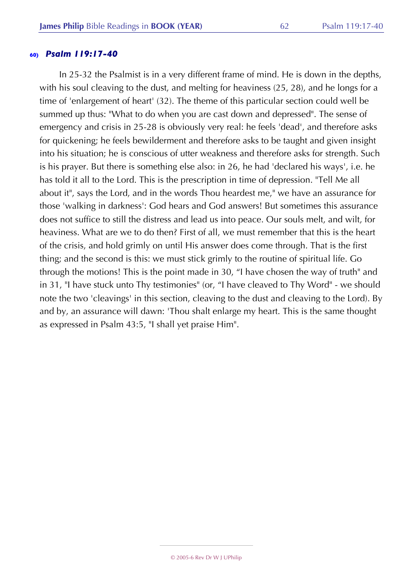# **60)** *Psalm 119:17-40*

In 25-32 the Psalmist is in a very different frame of mind. He is down in the depths, with his soul cleaving to the dust, and melting for heaviness (25, 28), and he longs for a time of 'enlargement of heart' (32). The theme of this particular section could well be summed up thus: "What to do when you are cast down and depressed". The sense of emergency and crisis in 25-28 is obviously very real: he feels 'dead', and therefore asks for quickening; he feels bewilderment and therefore asks to be taught and given insight into his situation; he is conscious of utter weakness and therefore asks for strength. Such is his prayer. But there is something else also: in 26, he had 'declared his ways', i.e. he has told it all to the Lord. This is the prescription in time of depression. "Tell Me all about it", says the Lord, and in the words Thou heardest me," we have an assurance for those 'walking in darkness': God hears and God answers! But sometimes this assurance does not suffice to still the distress and lead us into peace. Our souls melt, and wilt, for heaviness. What are we to do then? First of all, we must remember that this is the heart of the crisis, and hold grimly on until His answer does come through. That is the first thing; and the second is this: we must stick grimly to the routine of spiritual life. Go through the motions! This is the point made in 30, "I have chosen the way of truth" and in 31, "I have stuck unto Thy testimonies" (or, "I have cleaved to Thy Word" - we should note the two 'cleavings' in this section, cleaving to the dust and cleaving to the Lord). By and by, an assurance will dawn: 'Thou shalt enlarge my heart. This is the same thought as expressed in Psalm 43:5, "I shall yet praise Him".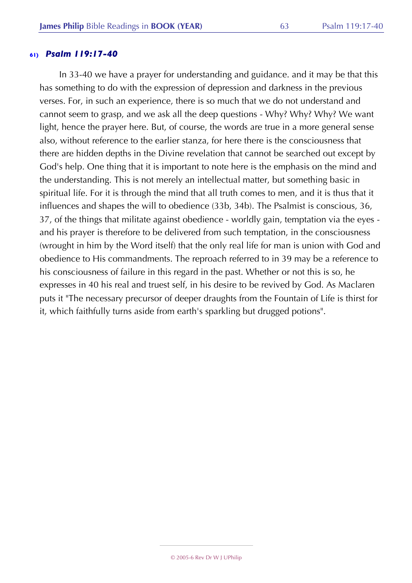# **61)** *Psalm 119:17-40*

In 33-40 we have a prayer for understanding and guidance. and it may be that this has something to do with the expression of depression and darkness in the previous verses. For, in such an experience, there is so much that we do not understand and cannot seem to grasp, and we ask all the deep questions - Why? Why? Why? We want light, hence the prayer here. But, of course, the words are true in a more general sense also, without reference to the earlier stanza, for here there is the consciousness that there are hidden depths in the Divine revelation that cannot be searched out except by God's help. One thing that it is important to note here is the emphasis on the mind and the understanding. This is not merely an intellectual matter, but something basic in spiritual life. For it is through the mind that all truth comes to men, and it is thus that it influences and shapes the will to obedience (33b, 34b). The Psalmist is conscious, 36, 37, of the things that militate against obedience - worldly gain, temptation via the eyes and his prayer is therefore to be delivered from such temptation, in the consciousness (wrought in him by the Word itself) that the only real life for man is union with God and obedience to His commandments. The reproach referred to in 39 may be a reference to his consciousness of failure in this regard in the past. Whether or not this is so, he expresses in 40 his real and truest self, in his desire to be revived by God. As Maclaren puts it "The necessary precursor of deeper draughts from the Fountain of Life is thirst for it, which faithfully turns aside from earth's sparkling but drugged potions".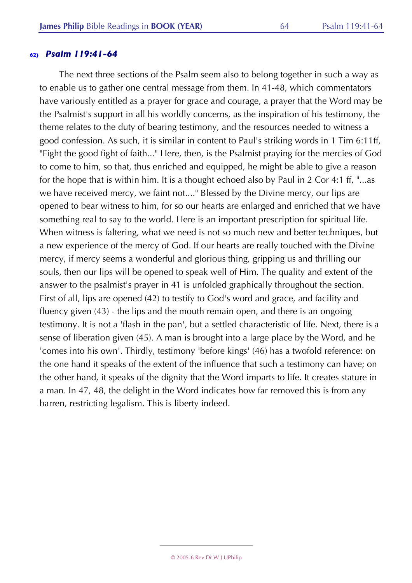#### **62)** *Psalm 119:41-64*

The next three sections of the Psalm seem also to belong together in such a way as to enable us to gather one central message from them. In 41-48, which commentators have variously entitled as a prayer for grace and courage, a prayer that the Word may be the Psalmist's support in all his worldly concerns, as the inspiration of his testimony, the theme relates to the duty of bearing testimony, and the resources needed to witness a good confession. As such, it is similar in content to Paul's striking words in 1 Tim 6:11ff, "Fight the good fight of faith..." Here, then, is the Psalmist praying for the mercies of God to come to him, so that, thus enriched and equipped, he might be able to give a reason for the hope that is within him. It is a thought echoed also by Paul in 2 Cor 4:1 ff, "...as we have received mercy, we faint not...." Blessed by the Divine mercy, our lips are opened to bear witness to him, for so our hearts are enlarged and enriched that we have something real to say to the world. Here is an important prescription for spiritual life. When witness is faltering, what we need is not so much new and better techniques, but a new experience of the mercy of God. If our hearts are really touched with the Divine mercy, if mercy seems a wonderful and glorious thing, gripping us and thrilling our souls, then our lips will be opened to speak well of Him. The quality and extent of the answer to the psalmist's prayer in 41 is unfolded graphically throughout the section. First of all, lips are opened (42) to testify to God's word and grace, and facility and fluency given (43) - the lips and the mouth remain open, and there is an ongoing testimony. It is not a 'flash in the pan', but a settled characteristic of life. Next, there is a sense of liberation given (45). A man is brought into a large place by the Word, and he 'comes into his own'. Thirdly, testimony 'before kings' (46) has a twofold reference: on the one hand it speaks of the extent of the influence that such a testimony can have; on the other hand, it speaks of the dignity that the Word imparts to life. It creates stature in a man. In 47, 48, the delight in the Word indicates how far removed this is from any barren, restricting legalism. This is liberty indeed.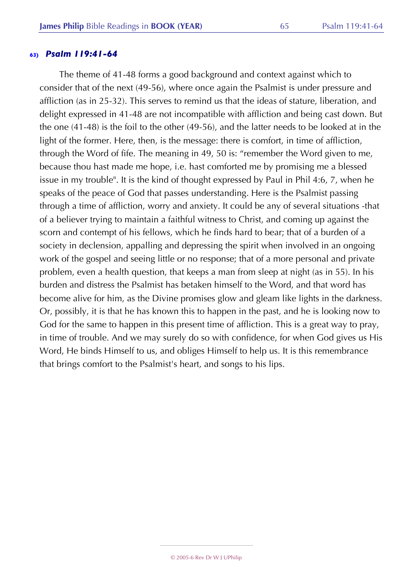#### **63)** *Psalm 119:41-64*

The theme of 41-48 forms a good background and context against which to consider that of the next (49-56), where once again the Psalmist is under pressure and affliction (as in 25-32). This serves to remind us that the ideas of stature, liberation, and delight expressed in 41-48 are not incompatible with affliction and being cast down. But the one (41-48) is the foil to the other (49-56), and the latter needs to be looked at in the light of the former. Here, then, is the message: there is comfort, in time of affliction, through the Word of fife. The meaning in 49, 50 is: "remember the Word given to me, because thou hast made me hope, i.e. hast comforted me by promising me a blessed issue in my trouble". It is the kind of thought expressed by Paul in Phil 4:6, 7, when he speaks of the peace of God that passes understanding. Here is the Psalmist passing through a time of affliction, worry and anxiety. It could be any of several situations -that of a believer trying to maintain a faithful witness to Christ, and coming up against the scorn and contempt of his fellows, which he finds hard to bear; that of a burden of a society in declension, appalling and depressing the spirit when involved in an ongoing work of the gospel and seeing little or no response; that of a more personal and private problem, even a health question, that keeps a man from sleep at night (as in 55). In his burden and distress the Psalmist has betaken himself to the Word, and that word has become alive for him, as the Divine promises glow and gleam like lights in the darkness. Or, possibly, it is that he has known this to happen in the past, and he is looking now to God for the same to happen in this present time of affliction. This is a great way to pray, in time of trouble. And we may surely do so with confidence, for when God gives us His Word, He binds Himself to us, and obliges Himself to help us. It is this remembrance that brings comfort to the Psalmist's heart, and songs to his lips.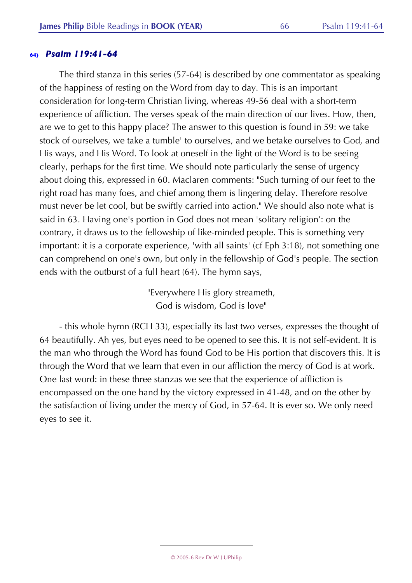# **64)** *Psalm 119:41-64*

The third stanza in this series (57-64) is described by one commentator as speaking of the happiness of resting on the Word from day to day. This is an important consideration for long-term Christian living, whereas 49-56 deal with a short-term experience of affliction. The verses speak of the main direction of our lives. How, then, are we to get to this happy place? The answer to this question is found in 59: we take stock of ourselves, we take a tumble' to ourselves, and we betake ourselves to God, and His ways, and His Word. To look at oneself in the light of the Word is to be seeing clearly, perhaps for the first time. We should note particularly the sense of urgency about doing this, expressed in 60. Maclaren comments: "Such turning of our feet to the right road has many foes, and chief among them is lingering delay. Therefore resolve must never be let cool, but be swiftly carried into action." We should also note what is said in 63. Having one's portion in God does not mean 'solitary religion': on the contrary, it draws us to the fellowship of like-minded people. This is something very important: it is a corporate experience, 'with all saints' (cf Eph 3:18), not something one can comprehend on one's own, but only in the fellowship of God's people. The section ends with the outburst of a full heart (64). The hymn says,

> "Everywhere His glory streameth, God is wisdom, God is love"

- this whole hymn (RCH 33), especially its last two verses, expresses the thought of 64 beautifully. Ah yes, but eyes need to be opened to see this. It is not self-evident. It is the man who through the Word has found God to be His portion that discovers this. It is through the Word that we learn that even in our affliction the mercy of God is at work. One last word: in these three stanzas we see that the experience of affliction is encompassed on the one hand by the victory expressed in 41-48, and on the other by the satisfaction of living under the mercy of God, in 57-64. It is ever so. We only need eyes to see it.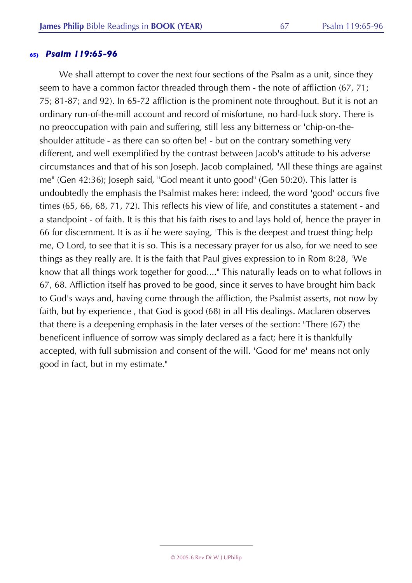We shall attempt to cover the next four sections of the Psalm as a unit, since they seem to have a common factor threaded through them - the note of affliction (67, 71; 75; 81-87; and 92). In 65-72 affliction is the prominent note throughout. But it is not an ordinary run-of-the-mill account and record of misfortune, no hard-luck story. There is no preoccupation with pain and suffering, still less any bitterness or 'chip-on-theshoulder attitude - as there can so often be! - but on the contrary something very different, and well exemplified by the contrast between Jacob's attitude to his adverse circumstances and that of his son Joseph. Jacob complained, "All these things are against me" (Gen 42:36); Joseph said, "God meant it unto good" (Gen 50:20). This latter is undoubtedly the emphasis the Psalmist makes here: indeed, the word 'good' occurs five times (65, 66, 68, 71, 72). This reflects his view of life, and constitutes a statement - and a standpoint - of faith. It is this that his faith rises to and lays hold of, hence the prayer in 66 for discernment. It is as if he were saying, 'This is the deepest and truest thing; help me, O Lord, to see that it is so. This is a necessary prayer for us also, for we need to see things as they really are. It is the faith that Paul gives expression to in Rom 8:28, 'We know that all things work together for good...." This naturally leads on to what follows in 67, 68. Affliction itself has proved to be good, since it serves to have brought him back to God's ways and, having come through the affliction, the Psalmist asserts, not now by faith, but by experience , that God is good (68) in all His dealings. Maclaren observes that there is a deepening emphasis in the later verses of the section: "There (67) the beneficent influence of sorrow was simply declared as a fact; here it is thankfully accepted, with full submission and consent of the will. 'Good for me' means not only good in fact, but in my estimate."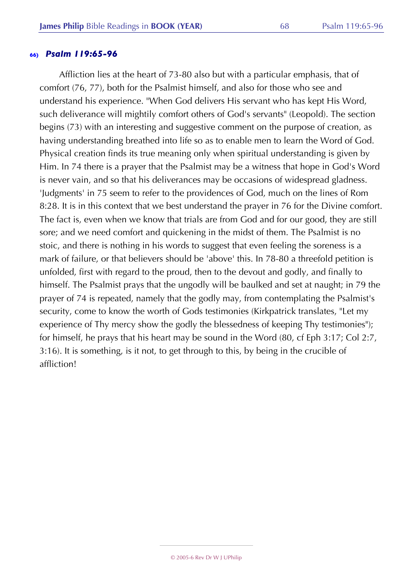Affliction lies at the heart of 73-80 also but with a particular emphasis, that of comfort (76, 77), both for the Psalmist himself, and also for those who see and understand his experience. "When God delivers His servant who has kept His Word, such deliverance will mightily comfort others of God's servants" (Leopold). The section begins (73) with an interesting and suggestive comment on the purpose of creation, as having understanding breathed into life so as to enable men to learn the Word of God. Physical creation finds its true meaning only when spiritual understanding is given by Him. In 74 there is a prayer that the Psalmist may be a witness that hope in God's Word is never vain, and so that his deliverances may be occasions of widespread gladness. 'Judgments' in 75 seem to refer to the providences of God, much on the lines of Rom 8:28. It is in this context that we best understand the prayer in 76 for the Divine comfort. The fact is, even when we know that trials are from God and for our good, they are still sore; and we need comfort and quickening in the midst of them. The Psalmist is no stoic, and there is nothing in his words to suggest that even feeling the soreness is a mark of failure, or that believers should be 'above' this. In 78-80 a threefold petition is unfolded, first with regard to the proud, then to the devout and godly, and finally to himself. The Psalmist prays that the ungodly will be baulked and set at naught; in 79 the prayer of 74 is repeated, namely that the godly may, from contemplating the Psalmist's security, come to know the worth of Gods testimonies (Kirkpatrick translates, "Let my experience of Thy mercy show the godly the blessedness of keeping Thy testimonies"); for himself, he prays that his heart may be sound in the Word (80, cf Eph 3:17; Col 2:7, 3:16). It is something, is it not, to get through to this, by being in the crucible of affliction!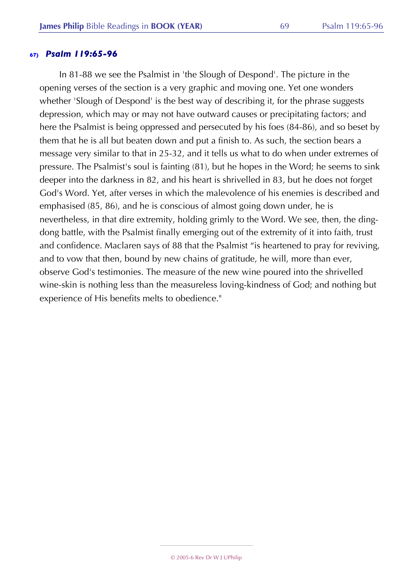In 81-88 we see the Psalmist in 'the Slough of Despond'. The picture in the opening verses of the section is a very graphic and moving one. Yet one wonders whether 'Slough of Despond' is the best way of describing it, for the phrase suggests depression, which may or may not have outward causes or precipitating factors; and here the Psalmist is being oppressed and persecuted by his foes (84-86), and so beset by them that he is all but beaten down and put a finish to. As such, the section bears a message very similar to that in 25-32, and it tells us what to do when under extremes of pressure. The Psalmist's soul is fainting (81), but he hopes in the Word; he seems to sink deeper into the darkness in 82, and his heart is shrivelled in 83, but he does not forget God's Word. Yet, after verses in which the malevolence of his enemies is described and emphasised (85, 86), and he is conscious of almost going down under, he is nevertheless, in that dire extremity, holding grimly to the Word. We see, then, the dingdong battle, with the Psalmist finally emerging out of the extremity of it into faith, trust and confidence. Maclaren says of 88 that the Psalmist "is heartened to pray for reviving, and to vow that then, bound by new chains of gratitude, he will, more than ever, observe God's testimonies. The measure of the new wine poured into the shrivelled wine-skin is nothing less than the measureless loving-kindness of God; and nothing but experience of His benefits melts to obedience."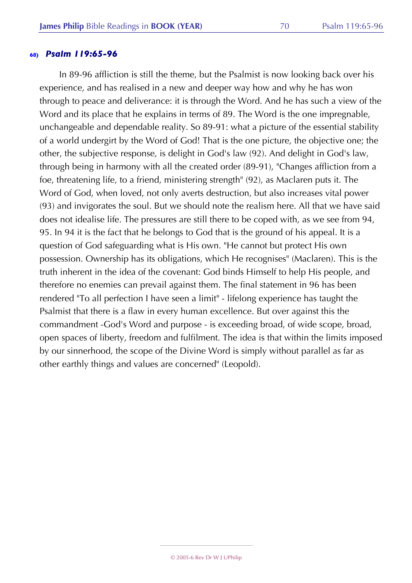In 89-96 affliction is still the theme, but the Psalmist is now looking back over his experience, and has realised in a new and deeper way how and why he has won through to peace and deliverance: it is through the Word. And he has such a view of the Word and its place that he explains in terms of 89. The Word is the one impregnable, unchangeable and dependable reality. So 89-91: what a picture of the essential stability of a world undergirt by the Word of God! That is the one picture, the objective one; the other, the subjective response, is delight in God's law (92). And delight in God's law, through being in harmony with all the created order (89-91), "Changes affliction from a foe, threatening life, to a friend, ministering strength" (92), as Maclaren puts it. The Word of God, when loved, not only averts destruction, but also increases vital power (93) and invigorates the soul. But we should note the realism here. All that we have said does not idealise life. The pressures are still there to be coped with, as we see from 94, 95. In 94 it is the fact that he belongs to God that is the ground of his appeal. It is a question of God safeguarding what is His own. "He cannot but protect His own possession. Ownership has its obligations, which He recognises" (Maclaren). This is the truth inherent in the idea of the covenant: God binds Himself to help His people, and therefore no enemies can prevail against them. The final statement in 96 has been rendered "To all perfection I have seen a limit" - lifelong experience has taught the Psalmist that there is a flaw in every human excellence. But over against this the commandment -God's Word and purpose - is exceeding broad, of wide scope, broad, open spaces of liberty, freedom and fulfilment. The idea is that within the limits imposed by our sinnerhood, the scope of the Divine Word is simply without parallel as far as other earthly things and values are concerned" (Leopold).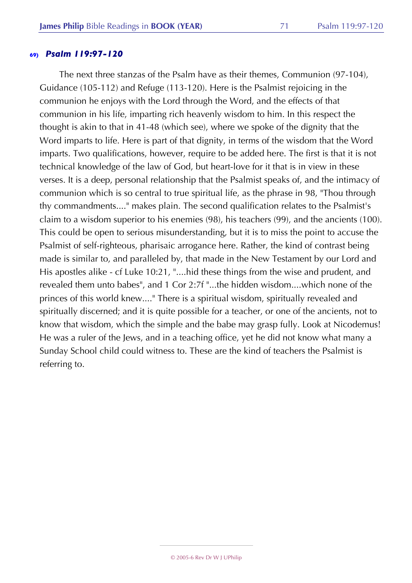#### **69)** *Psalm 119:97-120*

The next three stanzas of the Psalm have as their themes, Communion (97-104), Guidance (105-112) and Refuge (113-120). Here is the Psalmist rejoicing in the communion he enjoys with the Lord through the Word, and the effects of that communion in his life, imparting rich heavenly wisdom to him. In this respect the thought is akin to that in 41-48 (which see), where we spoke of the dignity that the Word imparts to life. Here is part of that dignity, in terms of the wisdom that the Word imparts. Two qualifications, however, require to be added here. The first is that it is not technical knowledge of the law of God, but heart-love for it that is in view in these verses. It is a deep, personal relationship that the Psalmist speaks of, and the intimacy of communion which is so central to true spiritual life, as the phrase in 98, "Thou through thy commandments...." makes plain. The second qualification relates to the Psalmist's claim to a wisdom superior to his enemies (98), his teachers (99), and the ancients (100). This could be open to serious misunderstanding, but it is to miss the point to accuse the Psalmist of self-righteous, pharisaic arrogance here. Rather, the kind of contrast being made is similar to, and paralleled by, that made in the New Testament by our Lord and His apostles alike - cf Luke 10:21, "....hid these things from the wise and prudent, and revealed them unto babes", and 1 Cor 2:7f "...the hidden wisdom....which none of the princes of this world knew...." There is a spiritual wisdom, spiritually revealed and spiritually discerned; and it is quite possible for a teacher, or one of the ancients, not to know that wisdom, which the simple and the babe may grasp fully. Look at Nicodemus! He was a ruler of the Jews, and in a teaching office, yet he did not know what many a Sunday School child could witness to. These are the kind of teachers the Psalmist is referring to.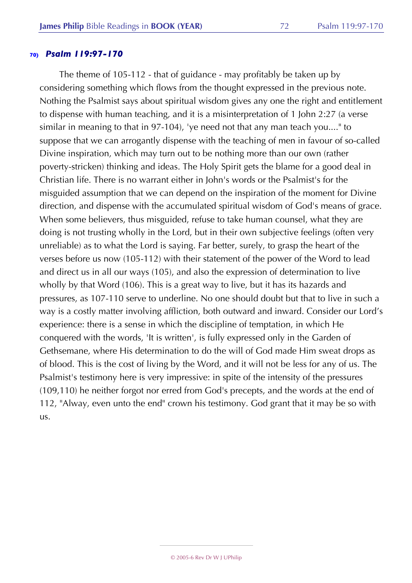# **70)** *Psalm 119:97-170*

The theme of 105-112 - that of guidance - may profitably be taken up by considering something which flows from the thought expressed in the previous note. Nothing the Psalmist says about spiritual wisdom gives any one the right and entitlement to dispense with human teaching, and it is a misinterpretation of 1 John 2:27 (a verse similar in meaning to that in 97-104), 'ye need not that any man teach you...." to suppose that we can arrogantly dispense with the teaching of men in favour of so-called Divine inspiration, which may turn out to be nothing more than our own (rather poverty-stricken) thinking and ideas. The Holy Spirit gets the blame for a good deal in Christian life. There is no warrant either in John's words or the Psalmist's for the misguided assumption that we can depend on the inspiration of the moment for Divine direction, and dispense with the accumulated spiritual wisdom of God's means of grace. When some believers, thus misguided, refuse to take human counsel, what they are doing is not trusting wholly in the Lord, but in their own subjective feelings (often very unreliable) as to what the Lord is saying. Far better, surely, to grasp the heart of the verses before us now (105-112) with their statement of the power of the Word to lead and direct us in all our ways (105), and also the expression of determination to live wholly by that Word (106). This is a great way to live, but it has its hazards and pressures, as 107-110 serve to underline. No one should doubt but that to live in such a way is a costly matter involving affliction, both outward and inward. Consider our Lord's experience: there is a sense in which the discipline of temptation, in which He conquered with the words, 'It is written', is fully expressed only in the Garden of Gethsemane, where His determination to do the will of God made Him sweat drops as of blood. This is the cost of living by the Word, and it will not be less for any of us. The Psalmist's testimony here is very impressive: in spite of the intensity of the pressures (109,110) he neither forgot nor erred from God's precepts, and the words at the end of 112, "Alway, even unto the end" crown his testimony. God grant that it may be so with us.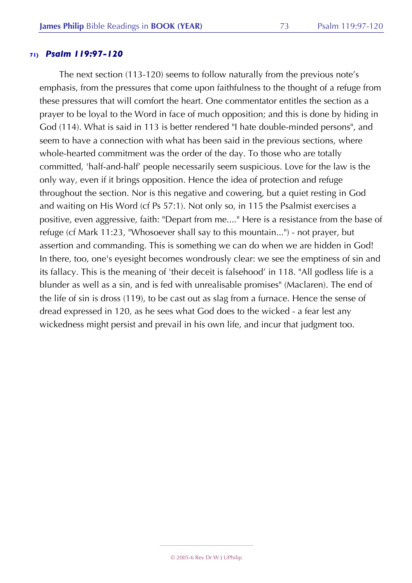# **71)** *Psalm 119:97-120*

The next section (113-120) seems to follow naturally from the previous note's emphasis, from the pressures that come upon faithfulness to the thought of a refuge from these pressures that will comfort the heart. One commentator entitles the section as a prayer to be loyal to the Word in face of much opposition; and this is done by hiding in God (114). What is said in 113 is better rendered "I hate double-minded persons", and seem to have a connection with what has been said in the previous sections, where whole-hearted commitment was the order of the day. To those who are totally committed, 'half-and-half' people necessarily seem suspicious. Love for the law is the only way, even if it brings opposition. Hence the idea of protection and refuge throughout the section. Nor is this negative and cowering, but a quiet resting in God and waiting on His Word (cf Ps 57:1). Not only so, in 115 the Psalmist exercises a positive, even aggressive, faith: "Depart from me...." Here is a resistance from the base of refuge (cf Mark 11:23, "Whosoever shall say to this mountain...") - not prayer, but assertion and commanding. This is something we can do when we are hidden in God! In there, too, one's eyesight becomes wondrously clear: we see the emptiness of sin and its fallacy. This is the meaning of 'their deceit is falsehood' in 118. "All godless life is a blunder as well as a sin, and is fed with unrealisable promises" (Maclaren). The end of the life of sin is dross (119), to be cast out as slag from a furnace. Hence the sense of dread expressed in 120, as he sees what God does to the wicked - a fear lest any wickedness might persist and prevail in his own life, and incur that judgment too.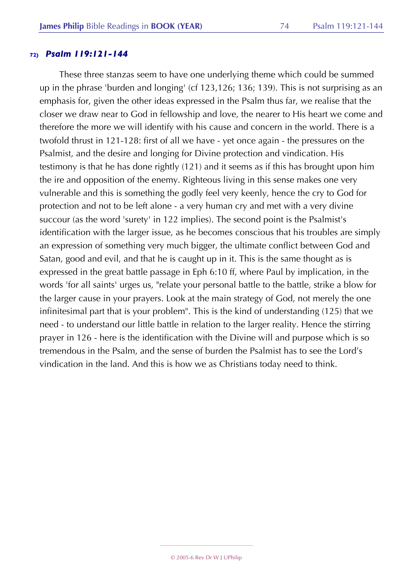### **72)** *Psalm 119:121-144*

These three stanzas seem to have one underlying theme which could be summed up in the phrase 'burden and longing' (cf 123,126; 136; 139). This is not surprising as an emphasis for, given the other ideas expressed in the Psalm thus far, we realise that the closer we draw near to God in fellowship and love, the nearer to His heart we come and therefore the more we will identify with his cause and concern in the world. There is a twofold thrust in 121-128: first of all we have - yet once again - the pressures on the Psalmist, and the desire and longing for Divine protection and vindication. His testimony is that he has done rightly (121) and it seems as if this has brought upon him the ire and opposition of the enemy. Righteous living in this sense makes one very vulnerable and this is something the godly feel very keenly, hence the cry to God for protection and not to be left alone - a very human cry and met with a very divine succour (as the word 'surety' in 122 implies). The second point is the Psalmist's identification with the larger issue, as he becomes conscious that his troubles are simply an expression of something very much bigger, the ultimate conflict between God and Satan, good and evil, and that he is caught up in it. This is the same thought as is expressed in the great battle passage in Eph 6:10 ff, where Paul by implication, in the words 'for all saints' urges us, "relate your personal battle to the battle, strike a blow for the larger cause in your prayers. Look at the main strategy of God, not merely the one infinitesimal part that is your problem". This is the kind of understanding (125) that we need - to understand our little battle in relation to the larger reality. Hence the stirring prayer in 126 - here is the identification with the Divine will and purpose which is so tremendous in the Psalm, and the sense of burden the Psalmist has to see the Lord's vindication in the land. And this is how we as Christians today need to think.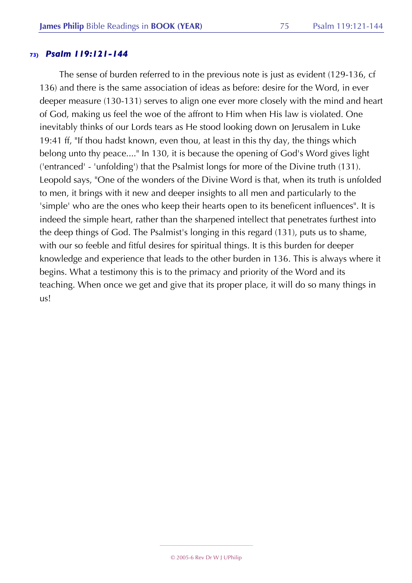### **73)** *Psalm 119:121-144*

The sense of burden referred to in the previous note is just as evident (129-136, cf 136) and there is the same association of ideas as before: desire for the Word, in ever deeper measure (130-131) serves to align one ever more closely with the mind and heart of God, making us feel the woe of the affront to Him when His law is violated. One inevitably thinks of our Lords tears as He stood looking down on Jerusalem in Luke 19:41 ff, "If thou hadst known, even thou, at least in this thy day, the things which belong unto thy peace...." In 130, it is because the opening of God's Word gives light ('entranced' - 'unfolding') that the Psalmist longs for more of the Divine truth (131). Leopold says, "One of the wonders of the Divine Word is that, when its truth is unfolded to men, it brings with it new and deeper insights to all men and particularly to the 'simple' who are the ones who keep their hearts open to its beneficent influences". It is indeed the simple heart, rather than the sharpened intellect that penetrates furthest into the deep things of God. The Psalmist's longing in this regard (131), puts us to shame, with our so feeble and fitful desires for spiritual things. It is this burden for deeper knowledge and experience that leads to the other burden in 136. This is always where it begins. What a testimony this is to the primacy and priority of the Word and its teaching. When once we get and give that its proper place, it will do so many things in us!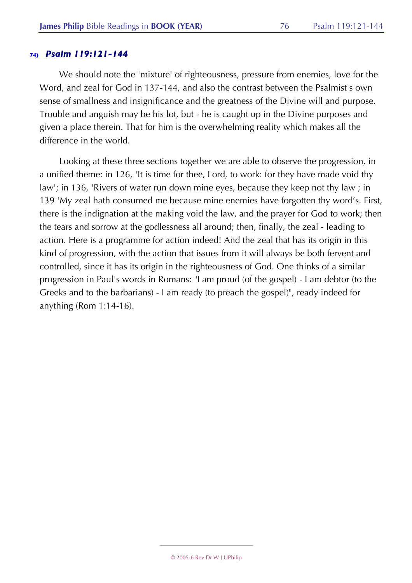# **74)** *Psalm 119:121-144*

We should note the 'mixture' of righteousness, pressure from enemies, love for the Word, and zeal for God in 137-144, and also the contrast between the Psalmist's own sense of smallness and insignificance and the greatness of the Divine will and purpose. Trouble and anguish may be his lot, but - he is caught up in the Divine purposes and given a place therein. That for him is the overwhelming reality which makes all the difference in the world.

Looking at these three sections together we are able to observe the progression, in a unified theme: in 126, 'It is time for thee, Lord, to work: for they have made void thy law'; in 136, 'Rivers of water run down mine eyes, because they keep not thy law ; in 139 'My zeal hath consumed me because mine enemies have forgotten thy word's. First, there is the indignation at the making void the law, and the prayer for God to work; then the tears and sorrow at the godlessness all around; then, finally, the zeal - leading to action. Here is a programme for action indeed! And the zeal that has its origin in this kind of progression, with the action that issues from it will always be both fervent and controlled, since it has its origin in the righteousness of God. One thinks of a similar progression in Paul's words in Romans: "I am proud (of the gospel) - I am debtor (to the Greeks and to the barbarians) - I am ready (to preach the gospel)", ready indeed for anything (Rom 1:14-16).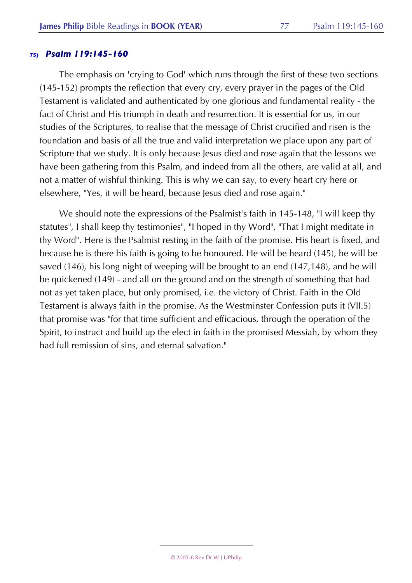### **75)** *Psalm 119:145-160*

The emphasis on 'crying to God' which runs through the first of these two sections (145-152) prompts the reflection that every cry, every prayer in the pages of the Old Testament is validated and authenticated by one glorious and fundamental reality - the fact of Christ and His triumph in death and resurrection. It is essential for us, in our studies of the Scriptures, to realise that the message of Christ crucified and risen is the foundation and basis of all the true and valid interpretation we place upon any part of Scripture that we study. It is only because Jesus died and rose again that the lessons we have been gathering from this Psalm, and indeed from all the others, are valid at all, and not a matter of wishful thinking. This is why we can say, to every heart cry here or elsewhere, "Yes, it will be heard, because Jesus died and rose again."

We should note the expressions of the Psalmist's faith in 145-148, "I will keep thy statutes", I shall keep thy testimonies", "I hoped in thy Word", "That I might meditate in thy Word". Here is the Psalmist resting in the faith of the promise. His heart is fixed, and because he is there his faith is going to be honoured. He will be heard (145), he will be saved (146), his long night of weeping will be brought to an end (147,148), and he will be quickened (149) - and all on the ground and on the strength of something that had not as yet taken place, but only promised, i.e. the victory of Christ. Faith in the Old Testament is always faith in the promise. As the Westminster Confession puts it (VII.5) that promise was "for that time sufficient and efficacious, through the operation of the Spirit, to instruct and build up the elect in faith in the promised Messiah, by whom they had full remission of sins, and eternal salvation."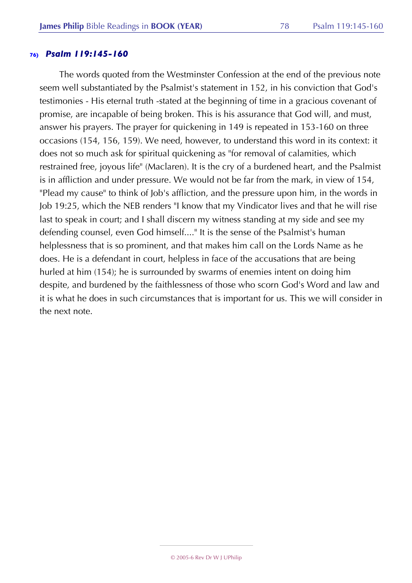### **76)** *Psalm 119:145-160*

The words quoted from the Westminster Confession at the end of the previous note seem well substantiated by the Psalmist's statement in 152, in his conviction that God's testimonies - His eternal truth -stated at the beginning of time in a gracious covenant of promise, are incapable of being broken. This is his assurance that God will, and must, answer his prayers. The prayer for quickening in 149 is repeated in 153-160 on three occasions (154, 156, 159). We need, however, to understand this word in its context: it does not so much ask for spiritual quickening as "for removal of calamities, which restrained free, joyous life" (Maclaren). It is the cry of a burdened heart, and the Psalmist is in affliction and under pressure. We would not be far from the mark, in view of 154, "Plead my cause" to think of Job's affliction, and the pressure upon him, in the words in Job 19:25, which the NEB renders "I know that my Vindicator lives and that he will rise last to speak in court; and I shall discern my witness standing at my side and see my defending counsel, even God himself...." It is the sense of the Psalmist's human helplessness that is so prominent, and that makes him call on the Lords Name as he does. He is a defendant in court, helpless in face of the accusations that are being hurled at him (154); he is surrounded by swarms of enemies intent on doing him despite, and burdened by the faithlessness of those who scorn God's Word and law and it is what he does in such circumstances that is important for us. This we will consider in the next note.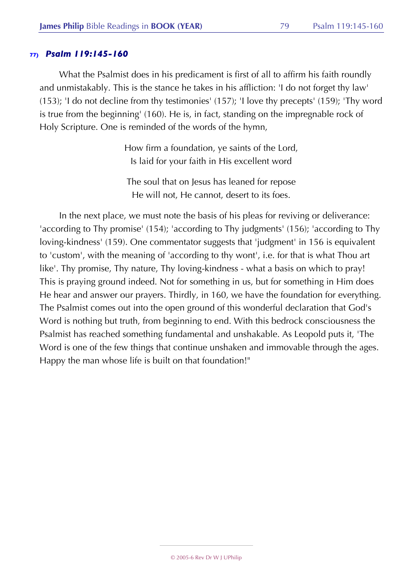# **77)** *Psalm 119:145-160*

What the Psalmist does in his predicament is first of all to affirm his faith roundly and unmistakably. This is the stance he takes in his affliction: 'I do not forget thy law' (153); 'I do not decline from thy testimonies' (157); 'I love thy precepts' (159); 'Thy word is true from the beginning' (160). He is, in fact, standing on the impregnable rock of Holy Scripture. One is reminded of the words of the hymn,

> How firm a foundation, ye saints of the Lord, Is laid for your faith in His excellent word

The soul that on Jesus has leaned for repose He will not, He cannot, desert to its foes.

In the next place, we must note the basis of his pleas for reviving or deliverance: 'according to Thy promise' (154); 'according to Thy judgments' (156); 'according to Thy loving-kindness' (159). One commentator suggests that 'judgment' in 156 is equivalent to 'custom', with the meaning of 'according to thy wont', i.e. for that is what Thou art like'. Thy promise, Thy nature, Thy loving-kindness - what a basis on which to pray! This is praying ground indeed. Not for something in us, but for something in Him does He hear and answer our prayers. Thirdly, in 160, we have the foundation for everything. The Psalmist comes out into the open ground of this wonderful declaration that God's Word is nothing but truth, from beginning to end. With this bedrock consciousness the Psalmist has reached something fundamental and unshakable. As Leopold puts it, 'The Word is one of the few things that continue unshaken and immovable through the ages. Happy the man whose life is built on that foundation!"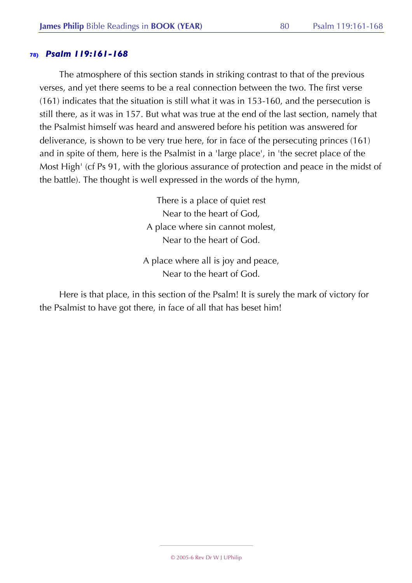# **78)** *Psalm 119:161-168*

The atmosphere of this section stands in striking contrast to that of the previous verses, and yet there seems to be a real connection between the two. The first verse (161) indicates that the situation is still what it was in 153-160, and the persecution is still there, as it was in 157. But what was true at the end of the last section, namely that the Psalmist himself was heard and answered before his petition was answered for deliverance, is shown to be very true here, for in face of the persecuting princes (161) and in spite of them, here is the Psalmist in a 'large place', in 'the secret place of the Most High' (cf Ps 91, with the glorious assurance of protection and peace in the midst of the battle). The thought is well expressed in the words of the hymn,

> There is a place of quiet rest Near to the heart of God, A place where sin cannot molest, Near to the heart of God.

A place where all is joy and peace, Near to the heart of God.

Here is that place, in this section of the Psalm! It is surely the mark of victory for the Psalmist to have got there, in face of all that has beset him!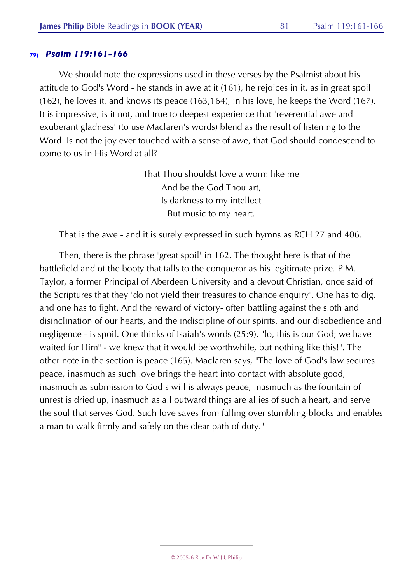# **79)** *Psalm 119:161-166*

We should note the expressions used in these verses by the Psalmist about his attitude to God's Word - he stands in awe at it (161), he rejoices in it, as in great spoil (162), he loves it, and knows its peace (163,164), in his love, he keeps the Word (167). It is impressive, is it not, and true to deepest experience that 'reverential awe and exuberant gladness' (to use Maclaren's words) blend as the result of listening to the Word. Is not the joy ever touched with a sense of awe, that God should condescend to come to us in His Word at all?

> That Thou shouldst love a worm like me And be the God Thou art, Is darkness to my intellect But music to my heart.

That is the awe - and it is surely expressed in such hymns as RCH 27 and 406.

Then, there is the phrase 'great spoil' in 162. The thought here is that of the battlefield and of the booty that falls to the conqueror as his legitimate prize. P.M. Taylor, a former Principal of Aberdeen University and a devout Christian, once said of the Scriptures that they 'do not yield their treasures to chance enquiry'. One has to dig, and one has to fight. And the reward of victory- often battling against the sloth and disinclination of our hearts, and the indiscipline of our spirits, and our disobedience and negligence - is spoil. One thinks of Isaiah's words (25:9), "lo, this is our God; we have waited for Him" - we knew that it would be worthwhile, but nothing like this!". The other note in the section is peace (165). Maclaren says, "The love of God's law secures peace, inasmuch as such love brings the heart into contact with absolute good, inasmuch as submission to God's will is always peace, inasmuch as the fountain of unrest is dried up, inasmuch as all outward things are allies of such a heart, and serve the soul that serves God. Such love saves from falling over stumbling-blocks and enables a man to walk firmly and safely on the clear path of duty."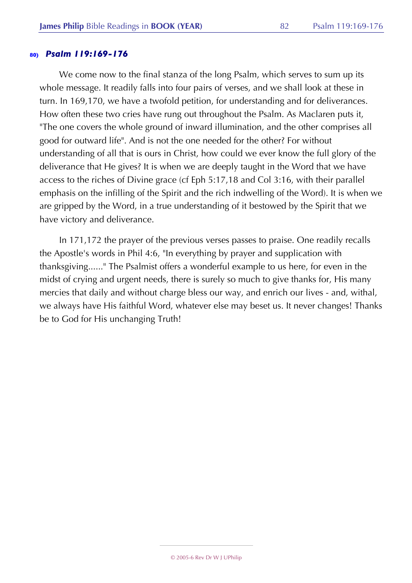# **80)** *Psalm 119:169-176*

We come now to the final stanza of the long Psalm, which serves to sum up its whole message. It readily falls into four pairs of verses, and we shall look at these in turn. In 169,170, we have a twofold petition, for understanding and for deliverances. How often these two cries have rung out throughout the Psalm. As Maclaren puts it, "The one covers the whole ground of inward illumination, and the other comprises all good for outward life". And is not the one needed for the other? For without understanding of all that is ours in Christ, how could we ever know the full glory of the deliverance that He gives? It is when we are deeply taught in the Word that we have access to the riches of Divine grace (cf Eph 5:17,18 and Col 3:16, with their parallel emphasis on the infilling of the Spirit and the rich indwelling of the Word). It is when we are gripped by the Word, in a true understanding of it bestowed by the Spirit that we have victory and deliverance.

In 171,172 the prayer of the previous verses passes to praise. One readily recalls the Apostle's words in Phil 4:6, "In everything by prayer and supplication with thanksgiving......" The Psalmist offers a wonderful example to us here, for even in the midst of crying and urgent needs, there is surely so much to give thanks for, His many mercies that daily and without charge bless our way, and enrich our lives - and, withal, we always have His faithful Word, whatever else may beset us. It never changes! Thanks be to God for His unchanging Truth!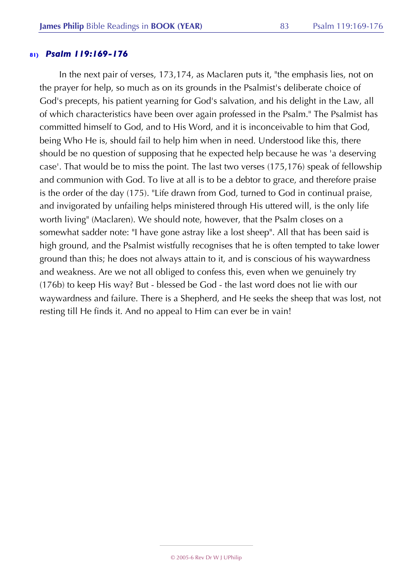### **81)** *Psalm 119:169-176*

In the next pair of verses, 173,174, as Maclaren puts it, "the emphasis lies, not on the prayer for help, so much as on its grounds in the Psalmist's deliberate choice of God's precepts, his patient yearning for God's salvation, and his delight in the Law, all of which characteristics have been over again professed in the Psalm." The Psalmist has committed himself to God, and to His Word, and it is inconceivable to him that God, being Who He is, should fail to help him when in need. Understood like this, there should be no question of supposing that he expected help because he was 'a deserving case'. That would be to miss the point. The last two verses (175,176) speak of fellowship and communion with God. To live at all is to be a debtor to grace, and therefore praise is the order of the day (175). "Life drawn from God, turned to God in continual praise, and invigorated by unfailing helps ministered through His uttered will, is the only life worth living" (Maclaren). We should note, however, that the Psalm closes on a somewhat sadder note: "I have gone astray like a lost sheep". All that has been said is high ground, and the Psalmist wistfully recognises that he is often tempted to take lower ground than this; he does not always attain to it, and is conscious of his waywardness and weakness. Are we not all obliged to confess this, even when we genuinely try (176b) to keep His way? But - blessed be God - the last word does not lie with our waywardness and failure. There is a Shepherd, and He seeks the sheep that was lost, not resting till He finds it. And no appeal to Him can ever be in vain!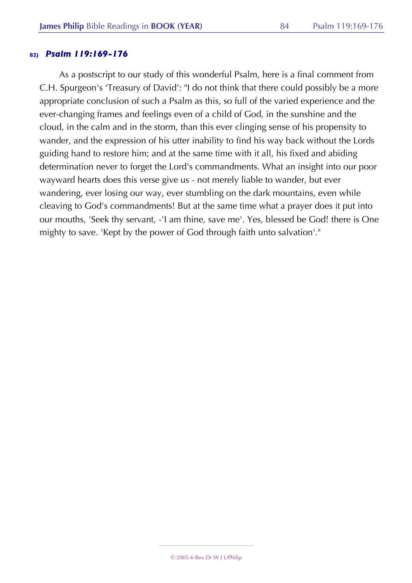# **82)** *Psalm 119:169-176*

As a postscript to our study of this wonderful Psalm, here is a final comment from C.H. Spurgeon's 'Treasury of David': "I do not think that there could possibly be a more appropriate conclusion of such a Psalm as this, so full of the varied experience and the ever-changing frames and feelings even of a child of God, in the sunshine and the cloud, in the calm and in the storm, than this ever clinging sense of his propensity to wander, and the expression of his utter inability to find his way back without the Lords guiding hand to restore him; and at the same time with it all, his fixed and abiding determination never to forget the Lord's commandments. What an insight into our poor wayward hearts does this verse give us - not merely liable to wander, but ever wandering, ever losing our way, ever stumbling on the dark mountains, even while cleaving to God's commandments! But at the same time what a prayer does it put into our mouths, 'Seek thy servant, -'I am thine, save me'. Yes, blessed be God! there is One mighty to save. 'Kept by the power of God through faith unto salvation'."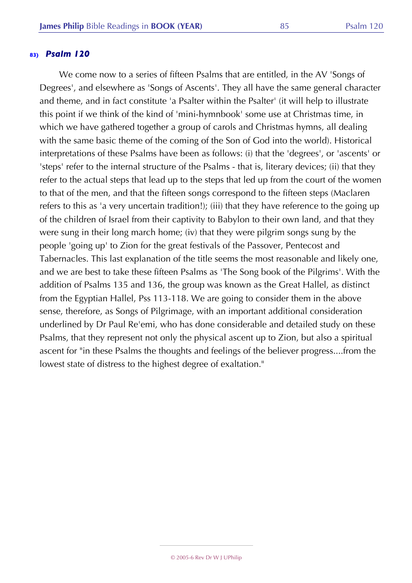We come now to a series of fifteen Psalms that are entitled, in the AV 'Songs of Degrees', and elsewhere as 'Songs of Ascents'. They all have the same general character and theme, and in fact constitute 'a Psalter within the Psalter' (it will help to illustrate this point if we think of the kind of 'mini-hymnbook' some use at Christmas time, in which we have gathered together a group of carols and Christmas hymns, all dealing with the same basic theme of the coming of the Son of God into the world). Historical interpretations of these Psalms have been as follows: (i) that the 'degrees', or 'ascents' or 'steps' refer to the internal structure of the Psalms - that is, literary devices; (ii) that they refer to the actual steps that lead up to the steps that led up from the court of the women to that of the men, and that the fifteen songs correspond to the fifteen steps (Maclaren refers to this as 'a very uncertain tradition!); (iii) that they have reference to the going up of the children of Israel from their captivity to Babylon to their own land, and that they were sung in their long march home; (iv) that they were pilgrim songs sung by the people 'going up' to Zion for the great festivals of the Passover, Pentecost and Tabernacles. This last explanation of the title seems the most reasonable and likely one, and we are best to take these fifteen Psalms as 'The Song book of the Pilgrims'. With the addition of Psalms 135 and 136, the group was known as the Great Hallel, as distinct from the Egyptian Hallel, Pss 113-118. We are going to consider them in the above sense, therefore, as Songs of Pilgrimage, with an important additional consideration underlined by Dr Paul Re'emi, who has done considerable and detailed study on these Psalms, that they represent not only the physical ascent up to Zion, but also a spiritual ascent for "in these Psalms the thoughts and feelings of the believer progress....from the lowest state of distress to the highest degree of exaltation."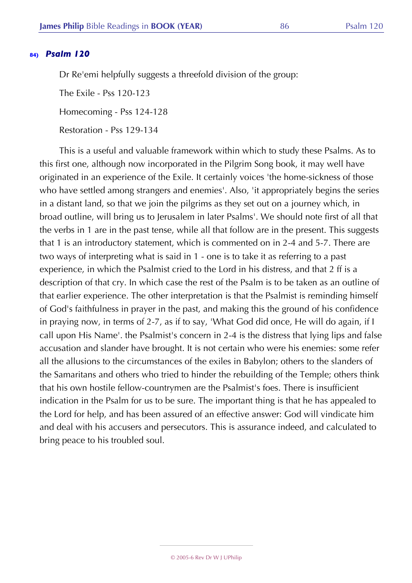Dr Re'emi helpfully suggests a threefold division of the group:

The Exile - Pss 120-123

Homecoming - Pss 124-128

Restoration - Pss 129-134

This is a useful and valuable framework within which to study these Psalms. As to this first one, although now incorporated in the Pilgrim Song book, it may well have originated in an experience of the Exile. It certainly voices 'the home-sickness of those who have settled among strangers and enemies'. Also, 'it appropriately begins the series in a distant land, so that we join the pilgrims as they set out on a journey which, in broad outline, will bring us to Jerusalem in later Psalms'. We should note first of all that the verbs in 1 are in the past tense, while all that follow are in the present. This suggests that 1 is an introductory statement, which is commented on in 2-4 and 5-7. There are two ways of interpreting what is said in 1 - one is to take it as referring to a past experience, in which the Psalmist cried to the Lord in his distress, and that 2 ff is a description of that cry. In which case the rest of the Psalm is to be taken as an outline of that earlier experience. The other interpretation is that the Psalmist is reminding himself of God's faithfulness in prayer in the past, and making this the ground of his confidence in praying now, in terms of 2-7, as if to say, 'What God did once, He will do again, if I call upon His Name'. the Psalmist's concern in 2-4 is the distress that lying lips and false accusation and slander have brought. It is not certain who were his enemies: some refer all the allusions to the circumstances of the exiles in Babylon; others to the slanders of the Samaritans and others who tried to hinder the rebuilding of the Temple; others think that his own hostile fellow-countrymen are the Psalmist's foes. There is insufficient indication in the Psalm for us to be sure. The important thing is that he has appealed to the Lord for help, and has been assured of an effective answer: God will vindicate him and deal with his accusers and persecutors. This is assurance indeed, and calculated to bring peace to his troubled soul.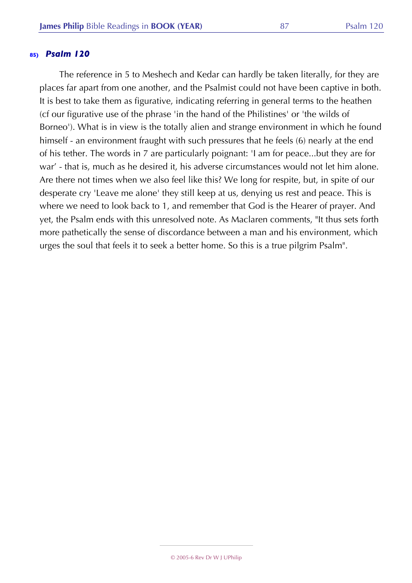The reference in 5 to Meshech and Kedar can hardly be taken literally, for they are places far apart from one another, and the Psalmist could not have been captive in both. It is best to take them as figurative, indicating referring in general terms to the heathen (cf our figurative use of the phrase 'in the hand of the Philistines' or 'the wilds of Borneo'). What is in view is the totally alien and strange environment in which he found himself - an environment fraught with such pressures that he feels (6) nearly at the end of his tether. The words in 7 are particularly poignant: 'I am for peace...but they are for war' - that is, much as he desired it, his adverse circumstances would not let him alone. Are there not times when we also feel like this? We long for respite, but, in spite of our desperate cry 'Leave me alone' they still keep at us, denying us rest and peace. This is where we need to look back to 1, and remember that God is the Hearer of prayer. And yet, the Psalm ends with this unresolved note. As Maclaren comments, "It thus sets forth more pathetically the sense of discordance between a man and his environment, which urges the soul that feels it to seek a better home. So this is a true pilgrim Psalm".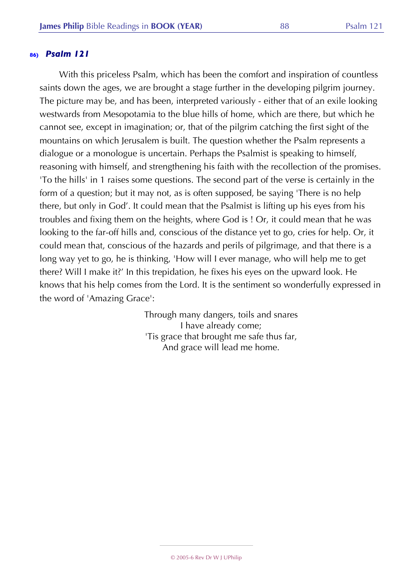With this priceless Psalm, which has been the comfort and inspiration of countless saints down the ages, we are brought a stage further in the developing pilgrim journey. The picture may be, and has been, interpreted variously - either that of an exile looking westwards from Mesopotamia to the blue hills of home, which are there, but which he cannot see, except in imagination; or, that of the pilgrim catching the first sight of the mountains on which Jerusalem is built. The question whether the Psalm represents a dialogue or a monologue is uncertain. Perhaps the Psalmist is speaking to himself, reasoning with himself, and strengthening his faith with the recollection of the promises. 'To the hills' in 1 raises some questions. The second part of the verse is certainly in the form of a question; but it may not, as is often supposed, be saying 'There is no help there, but only in God'. It could mean that the Psalmist is lifting up his eyes from his troubles and fixing them on the heights, where God is ! Or, it could mean that he was looking to the far-off hills and, conscious of the distance yet to go, cries for help. Or, it could mean that, conscious of the hazards and perils of pilgrimage, and that there is a long way yet to go, he is thinking, 'How will I ever manage, who will help me to get there? Will I make it?' In this trepidation, he fixes his eyes on the upward look. He knows that his help comes from the Lord. It is the sentiment so wonderfully expressed in the word of 'Amazing Grace':

> Through many dangers, toils and snares I have already come; 'Tis grace that brought me safe thus far, And grace will lead me home.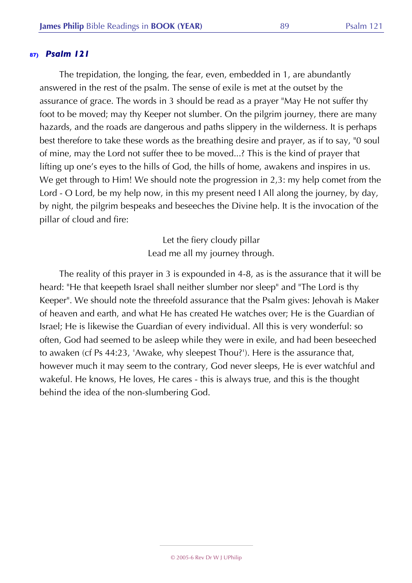The trepidation, the longing, the fear, even, embedded in 1, are abundantly answered in the rest of the psalm. The sense of exile is met at the outset by the assurance of grace. The words in 3 should be read as a prayer "May He not suffer thy foot to be moved; may thy Keeper not slumber. On the pilgrim journey, there are many hazards, and the roads are dangerous and paths slippery in the wilderness. It is perhaps best therefore to take these words as the breathing desire and prayer, as if to say, "0 soul of mine, may the Lord not suffer thee to be moved...? This is the kind of prayer that lifting up one's eyes to the hills of God, the hills of home, awakens and inspires in us. We get through to Him! We should note the progression in 2,3: my help comet from the Lord - O Lord, be my help now, in this my present need I All along the journey, by day, by night, the pilgrim bespeaks and beseeches the Divine help. It is the invocation of the pillar of cloud and fire:

> Let the fiery cloudy pillar Lead me all my journey through.

The reality of this prayer in 3 is expounded in 4-8, as is the assurance that it will be heard: "He that keepeth Israel shall neither slumber nor sleep" and "The Lord is thy Keeper". We should note the threefold assurance that the Psalm gives: Jehovah is Maker of heaven and earth, and what He has created He watches over; He is the Guardian of Israel; He is likewise the Guardian of every individual. All this is very wonderful: so often, God had seemed to be asleep while they were in exile, and had been beseeched to awaken (cf Ps 44:23, 'Awake, why sleepest Thou?'). Here is the assurance that, however much it may seem to the contrary, God never sleeps, He is ever watchful and wakeful. He knows, He loves, He cares - this is always true, and this is the thought behind the idea of the non-slumbering God.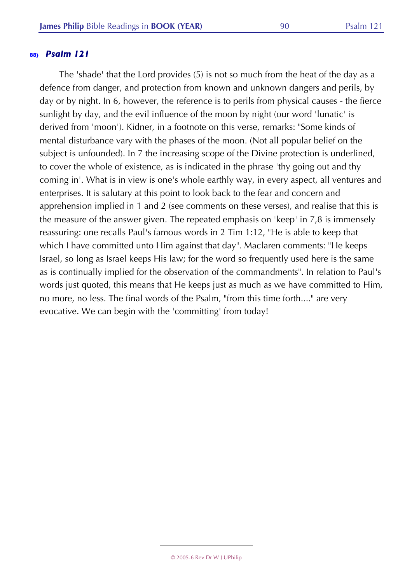The 'shade' that the Lord provides (5) is not so much from the heat of the day as a defence from danger, and protection from known and unknown dangers and perils, by day or by night. In 6, however, the reference is to perils from physical causes - the fierce sunlight by day, and the evil influence of the moon by night (our word 'lunatic' is derived from 'moon'). Kidner, in a footnote on this verse, remarks: "Some kinds of mental disturbance vary with the phases of the moon. (Not all popular belief on the subject is unfounded). In 7 the increasing scope of the Divine protection is underlined, to cover the whole of existence, as is indicated in the phrase 'thy going out and thy coming in'. What is in view is one's whole earthly way, in every aspect, all ventures and enterprises. It is salutary at this point to look back to the fear and concern and apprehension implied in 1 and 2 (see comments on these verses), and realise that this is the measure of the answer given. The repeated emphasis on 'keep' in 7,8 is immensely reassuring: one recalls Paul's famous words in 2 Tim 1:12, "He is able to keep that which I have committed unto Him against that day". Maclaren comments: "He keeps Israel, so long as Israel keeps His law; for the word so frequently used here is the same as is continually implied for the observation of the commandments". In relation to Paul's words just quoted, this means that He keeps just as much as we have committed to Him, no more, no less. The final words of the Psalm, "from this time forth...." are very evocative. We can begin with the 'committing' from today!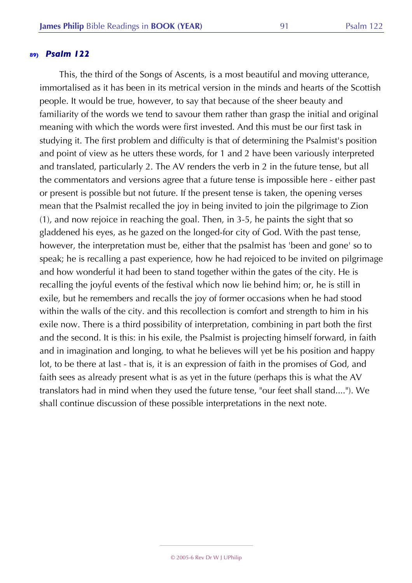This, the third of the Songs of Ascents, is a most beautiful and moving utterance, immortalised as it has been in its metrical version in the minds and hearts of the Scottish people. It would be true, however, to say that because of the sheer beauty and familiarity of the words we tend to savour them rather than grasp the initial and original meaning with which the words were first invested. And this must be our first task in studying it. The first problem and difficulty is that of determining the Psalmist's position and point of view as he utters these words, for 1 and 2 have been variously interpreted and translated, particularly 2. The AV renders the verb in 2 in the future tense, but all the commentators and versions agree that a future tense is impossible here - either past or present is possible but not future. If the present tense is taken, the opening verses mean that the Psalmist recalled the joy in being invited to join the pilgrimage to Zion (1), and now rejoice in reaching the goal. Then, in 3-5, he paints the sight that so gladdened his eyes, as he gazed on the longed-for city of God. With the past tense, however, the interpretation must be, either that the psalmist has 'been and gone' so to speak; he is recalling a past experience, how he had rejoiced to be invited on pilgrimage and how wonderful it had been to stand together within the gates of the city. He is recalling the joyful events of the festival which now lie behind him; or, he is still in exile, but he remembers and recalls the joy of former occasions when he had stood within the walls of the city. and this recollection is comfort and strength to him in his exile now. There is a third possibility of interpretation, combining in part both the first and the second. It is this: in his exile, the Psalmist is projecting himself forward, in faith and in imagination and longing, to what he believes will yet be his position and happy lot, to be there at last - that is, it is an expression of faith in the promises of God, and faith sees as already present what is as yet in the future (perhaps this is what the AV translators had in mind when they used the future tense, "our feet shall stand...."). We shall continue discussion of these possible interpretations in the next note.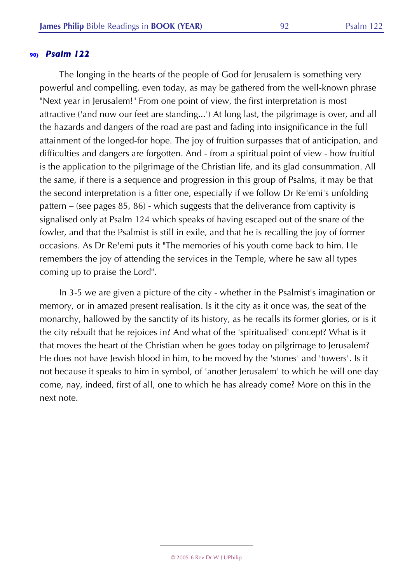The longing in the hearts of the people of God for Jerusalem is something very powerful and compelling, even today, as may be gathered from the well-known phrase "Next year in Jerusalem!" From one point of view, the first interpretation is most attractive ('and now our feet are standing...') At long last, the pilgrimage is over, and all the hazards and dangers of the road are past and fading into insignificance in the full attainment of the longed-for hope. The joy of fruition surpasses that of anticipation, and difficulties and dangers are forgotten. And - from a spiritual point of view - how fruitful is the application to the pilgrimage of the Christian life, and its glad consummation. All the same, if there is a sequence and progression in this group of Psalms, it may be that the second interpretation is a fitter one, especially if we follow Dr Re'emi's unfolding pattern – (see pages 85, 86) - which suggests that the deliverance from captivity is signalised only at Psalm 124 which speaks of having escaped out of the snare of the fowler, and that the Psalmist is still in exile, and that he is recalling the joy of former occasions. As Dr Re'emi puts it "The memories of his youth come back to him. He remembers the joy of attending the services in the Temple, where he saw all types coming up to praise the Lord".

In 3-5 we are given a picture of the city - whether in the Psalmist's imagination or memory, or in amazed present realisation. Is it the city as it once was, the seat of the monarchy, hallowed by the sanctity of its history, as he recalls its former glories, or is it the city rebuilt that he rejoices in? And what of the 'spiritualised' concept? What is it that moves the heart of the Christian when he goes today on pilgrimage to Jerusalem? He does not have Jewish blood in him, to be moved by the 'stones' and 'towers'. Is it not because it speaks to him in symbol, of 'another Jerusalem' to which he will one day come, nay, indeed, first of all, one to which he has already come? More on this in the next note.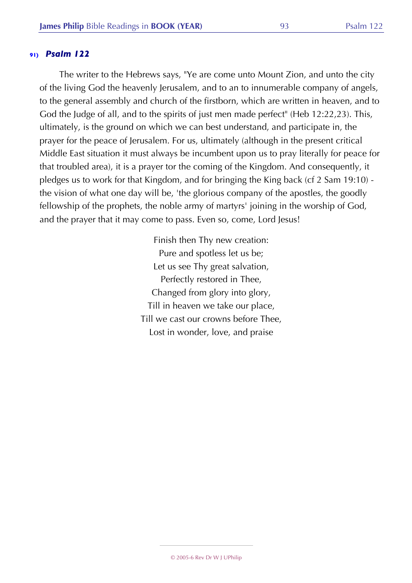The writer to the Hebrews says, "Ye are come unto Mount Zion, and unto the city of the living God the heavenly Jerusalem, and to an to innumerable company of angels, to the general assembly and church of the firstborn, which are written in heaven, and to God the Judge of all, and to the spirits of just men made perfect" (Heb 12:22,23). This, ultimately, is the ground on which we can best understand, and participate in, the prayer for the peace of Jerusalem. For us, ultimately (although in the present critical Middle East situation it must always be incumbent upon us to pray literally for peace for that troubled area), it is a prayer tor the coming of the Kingdom. And consequently, it pledges us to work for that Kingdom, and for bringing the King back (cf 2 Sam 19:10) the vision of what one day will be, 'the glorious company of the apostles, the goodly fellowship of the prophets, the noble army of martyrs' joining in the worship of God, and the prayer that it may come to pass. Even so, come, Lord Jesus!

> Finish then Thy new creation: Pure and spotless let us be; Let us see Thy great salvation, Perfectly restored in Thee, Changed from glory into glory, Till in heaven we take our place, Till we cast our crowns before Thee, Lost in wonder, love, and praise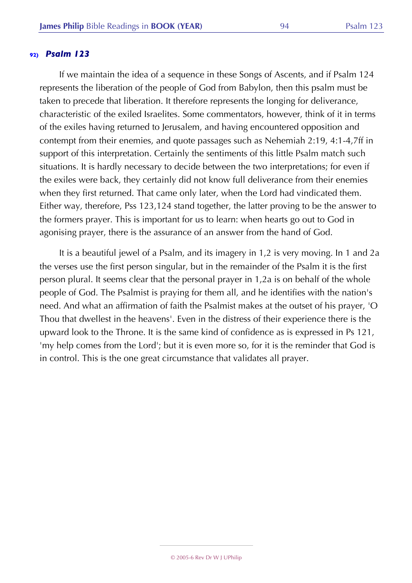If we maintain the idea of a sequence in these Songs of Ascents, and if Psalm 124 represents the liberation of the people of God from Babylon, then this psalm must be taken to precede that liberation. It therefore represents the longing for deliverance, characteristic of the exiled Israelites. Some commentators, however, think of it in terms of the exiles having returned to Jerusalem, and having encountered opposition and contempt from their enemies, and quote passages such as Nehemiah 2:19, 4:1-4,7ff in support of this interpretation. Certainly the sentiments of this little Psalm match such situations. It is hardly necessary to decide between the two interpretations; for even if the exiles were back, they certainly did not know full deliverance from their enemies when they first returned. That came only later, when the Lord had vindicated them. Either way, therefore, Pss 123,124 stand together, the latter proving to be the answer to the formers prayer. This is important for us to learn: when hearts go out to God in agonising prayer, there is the assurance of an answer from the hand of God.

It is a beautiful jewel of a Psalm, and its imagery in 1,2 is very moving. In 1 and 2a the verses use the first person singular, but in the remainder of the Psalm it is the first person plural. It seems clear that the personal prayer in 1,2a is on behalf of the whole people of God. The Psalmist is praying for them all, and he identifies with the nation's need. And what an affirmation of faith the Psalmist makes at the outset of his prayer, 'O Thou that dwellest in the heavens'. Even in the distress of their experience there is the upward look to the Throne. It is the same kind of confidence as is expressed in Ps 121, 'my help comes from the Lord'; but it is even more so, for it is the reminder that God is in control. This is the one great circumstance that validates all prayer.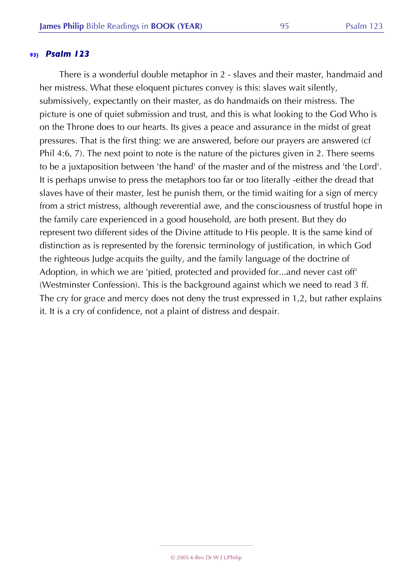There is a wonderful double metaphor in 2 - slaves and their master, handmaid and her mistress. What these eloquent pictures convey is this: slaves wait silently, submissively, expectantly on their master, as do handmaids on their mistress. The picture is one of quiet submission and trust, and this is what looking to the God Who is on the Throne does to our hearts. Its gives a peace and assurance in the midst of great pressures. That is the first thing: we are answered, before our prayers are answered (cf Phil 4:6, 7). The next point to note is the nature of the pictures given in 2. There seems to be a juxtaposition between 'the hand' of the master and of the mistress and 'the Lord'. It is perhaps unwise to press the metaphors too far or too literally -either the dread that slaves have of their master, lest he punish them, or the timid waiting for a sign of mercy from a strict mistress, although reverential awe, and the consciousness of trustful hope in the family care experienced in a good household, are both present. But they do represent two different sides of the Divine attitude to His people. It is the same kind of distinction as is represented by the forensic terminology of justification, in which God the righteous Judge acquits the guilty, and the family language of the doctrine of Adoption, in which we are 'pitied, protected and provided for...and never cast off' (Westminster Confession). This is the background against which we need to read 3 ff. The cry for grace and mercy does not deny the trust expressed in 1,2, but rather explains it. It is a cry of confidence, not a plaint of distress and despair.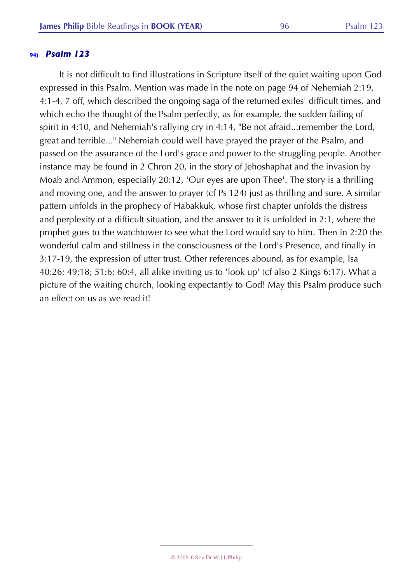It is not difficult to find illustrations in Scripture itself of the quiet waiting upon God expressed in this Psalm. Mention was made in the note on page 94 of Nehemiah 2:19, 4:1-4, 7 off, which described the ongoing saga of the returned exiles' difficult times, and which echo the thought of the Psalm perfectly, as for example, the sudden failing of spirit in 4:10, and Nehemiah's rallying cry in 4:14, "Be not afraid...remember the Lord, great and terrible..." Nehemiah could well have prayed the prayer of the Psalm, and passed on the assurance of the Lord's grace and power to the struggling people. Another instance may be found in 2 Chron 20, in the story of Jehoshaphat and the invasion by Moab and Ammon, especially 20:12, 'Our eyes are upon Thee'. The story is a thrilling and moving one, and the answer to prayer (cf Ps 124) just as thrilling and sure. A similar pattern unfolds in the prophecy of Habakkuk, whose first chapter unfolds the distress and perplexity of a difficult situation, and the answer to it is unfolded in 2:1, where the prophet goes to the watchtower to see what the Lord would say to him. Then in 2:20 the wonderful calm and stillness in the consciousness of the Lord's Presence, and finally in 3:17-19, the expression of utter trust. Other references abound, as for example, Isa 40:26; 49:18; 51:6; 60:4, all alike inviting us to 'look up' (cf also 2 Kings 6:17). What a picture of the waiting church, looking expectantly to God! May this Psalm produce such an effect on us as we read it!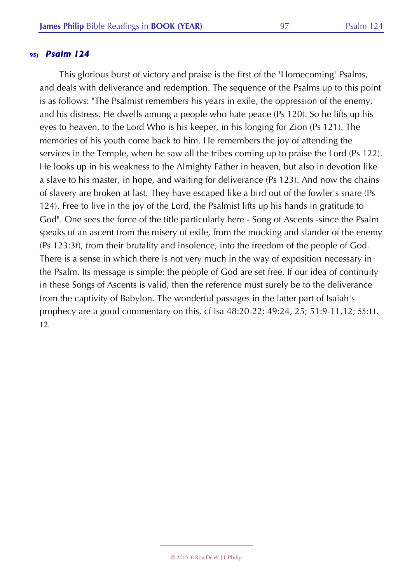This glorious burst of victory and praise is the first of the 'Homecoming' Psalms, and deals with deliverance and redemption. The sequence of the Psalms up to this point is as follows: "The Psalmist remembers his years in exile, the oppression of the enemy, and his distress. He dwells among a people who hate peace (Ps 120). So he lifts up his eyes to heaven, to the Lord Who is his keeper, in his longing for Zion (Ps 121). The memories of his youth come back to him. He remembers the joy of attending the services in the Temple, when he saw all the tribes coming up to praise the Lord (Ps 122). He looks up in his weakness to the Almighty Father in heaven, but also in devotion like a slave to his master, in hope, and waiting for deliverance (Ps 123). And now the chains of slavery are broken at last. They have escaped like a bird out of the fowler's snare (Ps 124). Free to live in the joy of the Lord, the Psalmist lifts up his hands in gratitude to God". One sees the force of the title particularly here - Song of Ascents -since the Psalm speaks of an ascent from the misery of exile, from the mocking and slander of the enemy (Ps 123:3f), from their brutality and insolence, into the freedom of the people of God. There is a sense in which there is not very much in the way of exposition necessary in the Psalm. Its message is simple: the people of God are set free. If our idea of continuity in these Songs of Ascents is valid, then the reference must surely be to the deliverance from the captivity of Babylon. The wonderful passages in the latter part of Isaiah's prophecy are a good commentary on this, cf Isa 48:20-22; 49:24, 25; 51:9-11,12; 55:11, 12.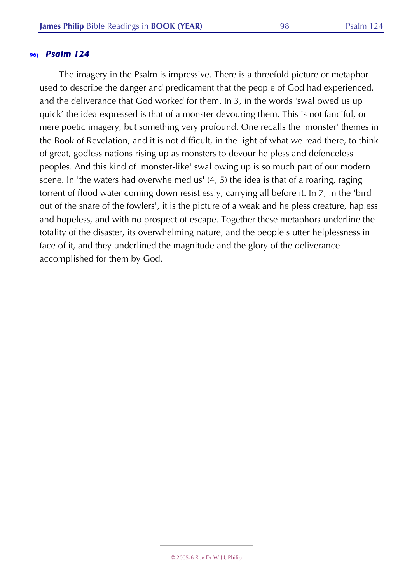The imagery in the Psalm is impressive. There is a threefold picture or metaphor used to describe the danger and predicament that the people of God had experienced, and the deliverance that God worked for them. In 3, in the words 'swallowed us up quick' the idea expressed is that of a monster devouring them. This is not fanciful, or mere poetic imagery, but something very profound. One recalls the 'monster' themes in the Book of Revelation, and it is not difficult, in the light of what we read there, to think of great, godless nations rising up as monsters to devour helpless and defenceless peoples. And this kind of 'monster-like' swallowing up is so much part of our modern scene. In 'the waters had overwhelmed us' (4, 5) the idea is that of a roaring, raging torrent of flood water coming down resistlessly, carrying all before it. In 7, in the 'bird out of the snare of the fowlers', it is the picture of a weak and helpless creature, hapless and hopeless, and with no prospect of escape. Together these metaphors underline the totality of the disaster, its overwhelming nature, and the people's utter helplessness in face of it, and they underlined the magnitude and the glory of the deliverance accomplished for them by God.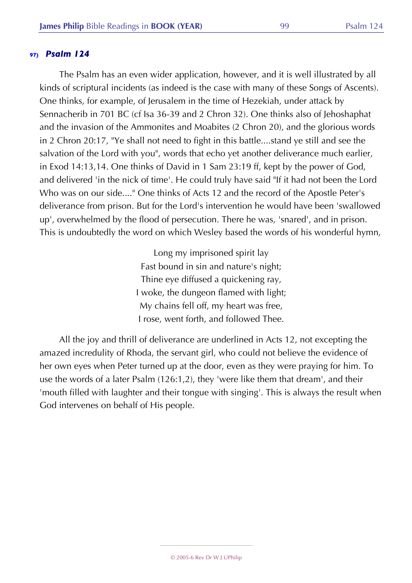The Psalm has an even wider application, however, and it is well illustrated by all kinds of scriptural incidents (as indeed is the case with many of these Songs of Ascents). One thinks, for example, of Jerusalem in the time of Hezekiah, under attack by Sennacherib in 701 BC (cf Isa 36-39 and 2 Chron 32). One thinks also of Jehoshaphat and the invasion of the Ammonites and Moabites (2 Chron 20), and the glorious words in 2 Chron 20:17, "Ye shall not need to fight in this battle....stand ye still and see the salvation of the Lord with you", words that echo yet another deliverance much earlier, in Exod 14:13,14. One thinks of David in 1 Sam 23:19 ff, kept by the power of God, and delivered 'in the nick of time'. He could truly have said "If it had not been the Lord Who was on our side...." One thinks of Acts 12 and the record of the Apostle Peter's deliverance from prison. But for the Lord's intervention he would have been 'swallowed up', overwhelmed by the flood of persecution. There he was, 'snared', and in prison. This is undoubtedly the word on which Wesley based the words of his wonderful hymn,

> Long my imprisoned spirit lay Fast bound in sin and nature's night; Thine eye diffused a quickening ray, I woke, the dungeon flamed with light; My chains fell off, my heart was free, I rose, went forth, and followed Thee.

All the joy and thrill of deliverance are underlined in Acts 12, not excepting the amazed incredulity of Rhoda, the servant girl, who could not believe the evidence of her own eyes when Peter turned up at the door, even as they were praying for him. To use the words of a later Psalm (126:1,2), they 'were like them that dream', and their 'mouth filled with laughter and their tongue with singing'. This is always the result when God intervenes on behalf of His people.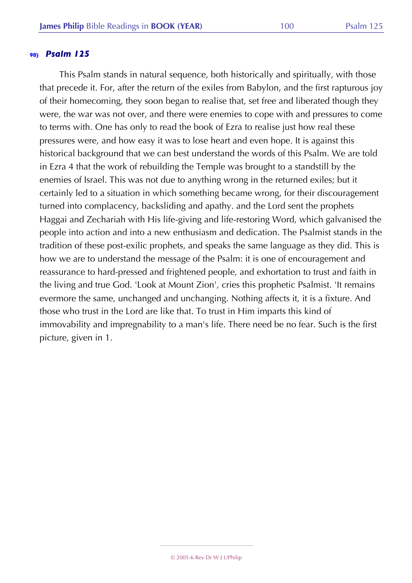This Psalm stands in natural sequence, both historically and spiritually, with those that precede it. For, after the return of the exiles from Babylon, and the first rapturous joy of their homecoming, they soon began to realise that, set free and liberated though they were, the war was not over, and there were enemies to cope with and pressures to come to terms with. One has only to read the book of Ezra to realise just how real these pressures were, and how easy it was to lose heart and even hope. It is against this historical background that we can best understand the words of this Psalm. We are told in Ezra 4 that the work of rebuilding the Temple was brought to a standstill by the enemies of Israel. This was not due to anything wrong in the returned exiles; but it certainly led to a situation in which something became wrong, for their discouragement turned into complacency, backsliding and apathy. and the Lord sent the prophets Haggai and Zechariah with His life-giving and life-restoring Word, which galvanised the people into action and into a new enthusiasm and dedication. The Psalmist stands in the tradition of these post-exilic prophets, and speaks the same language as they did. This is how we are to understand the message of the Psalm: it is one of encouragement and reassurance to hard-pressed and frightened people, and exhortation to trust and faith in the living and true God. 'Look at Mount Zion', cries this prophetic Psalmist. 'It remains evermore the same, unchanged and unchanging. Nothing affects it, it is a fixture. And those who trust in the Lord are like that. To trust in Him imparts this kind of immovability and impregnability to a man's life. There need be no fear. Such is the first picture, given in 1.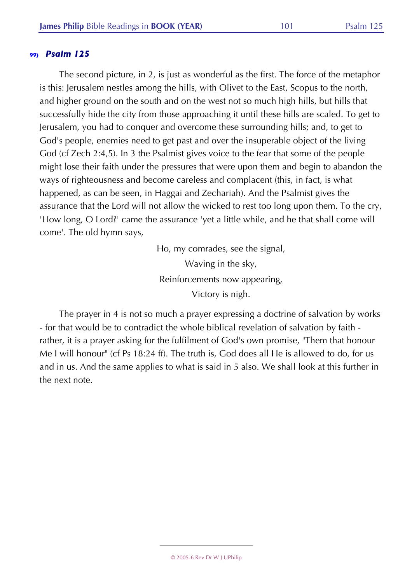The second picture, in 2, is just as wonderful as the first. The force of the metaphor is this: Jerusalem nestles among the hills, with Olivet to the East, Scopus to the north, and higher ground on the south and on the west not so much high hills, but hills that successfully hide the city from those approaching it until these hills are scaled. To get to Jerusalem, you had to conquer and overcome these surrounding hills; and, to get to God's people, enemies need to get past and over the insuperable object of the living God (cf Zech 2:4,5). In 3 the Psalmist gives voice to the fear that some of the people might lose their faith under the pressures that were upon them and begin to abandon the ways of righteousness and become careless and complacent (this, in fact, is what happened, as can be seen, in Haggai and Zechariah). And the Psalmist gives the assurance that the Lord will not allow the wicked to rest too long upon them. To the cry, 'How long, O Lord?' came the assurance 'yet a little while, and he that shall come will come'. The old hymn says,

> Ho, my comrades, see the signal, Waving in the sky, Reinforcements now appearing, Victory is nigh.

The prayer in 4 is not so much a prayer expressing a doctrine of salvation by works - for that would be to contradict the whole biblical revelation of salvation by faith rather, it is a prayer asking for the fulfilment of God's own promise, "Them that honour Me I will honour" (cf Ps 18:24 ff). The truth is, God does all He is allowed to do, for us and in us. And the same applies to what is said in 5 also. We shall look at this further in the next note.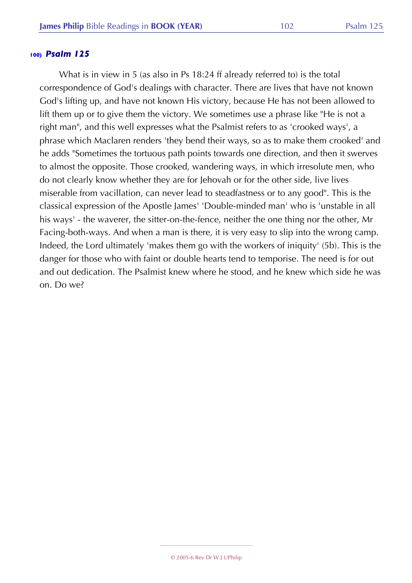What is in view in 5 (as also in Ps 18:24 ff already referred to) is the total correspondence of God's dealings with character. There are lives that have not known God's lifting up, and have not known His victory, because He has not been allowed to lift them up or to give them the victory. We sometimes use a phrase like "He is not a right man", and this well expresses what the Psalmist refers to as 'crooked ways', a phrase which Maclaren renders 'they bend their ways, so as to make them crooked' and he adds "Sometimes the tortuous path points towards one direction, and then it swerves to almost the opposite. Those crooked, wandering ways, in which irresolute men, who do not clearly know whether they are for Jehovah or for the other side, live lives miserable from vacillation, can never lead to steadfastness or to any good". This is the classical expression of the Apostle James' 'Double-minded man' who is 'unstable in all his ways' - the waverer, the sitter-on-the-fence, neither the one thing nor the other, Mr Facing-both-ways. And when a man is there, it is very easy to slip into the wrong camp. Indeed, the Lord ultimately 'makes them go with the workers of iniquity' (5b). This is the danger for those who with faint or double hearts tend to temporise. The need is for out and out dedication. The Psalmist knew where he stood, and he knew which side he was on. Do we?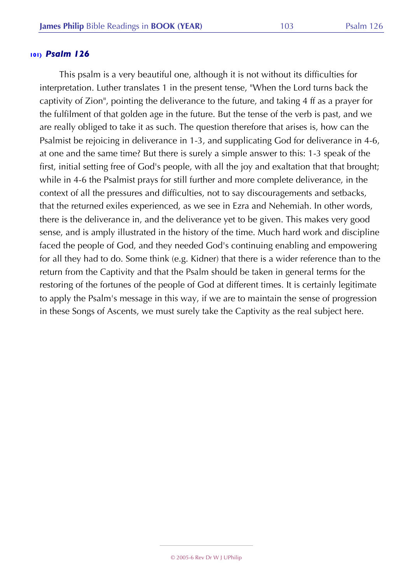This psalm is a very beautiful one, although it is not without its difficulties for interpretation. Luther translates 1 in the present tense, "When the Lord turns back the captivity of Zion", pointing the deliverance to the future, and taking 4 ff as a prayer for the fulfilment of that golden age in the future. But the tense of the verb is past, and we are really obliged to take it as such. The question therefore that arises is, how can the Psalmist be rejoicing in deliverance in 1-3, and supplicating God for deliverance in 4-6, at one and the same time? But there is surely a simple answer to this: 1-3 speak of the first, initial setting free of God's people, with all the joy and exaltation that that brought; while in 4-6 the Psalmist prays for still further and more complete deliverance, in the context of all the pressures and difficulties, not to say discouragements and setbacks, that the returned exiles experienced, as we see in Ezra and Nehemiah. In other words, there is the deliverance in, and the deliverance yet to be given. This makes very good sense, and is amply illustrated in the history of the time. Much hard work and discipline faced the people of God, and they needed God's continuing enabling and empowering for all they had to do. Some think (e.g. Kidner) that there is a wider reference than to the return from the Captivity and that the Psalm should be taken in general terms for the restoring of the fortunes of the people of God at different times. It is certainly legitimate to apply the Psalm's message in this way, if we are to maintain the sense of progression in these Songs of Ascents, we must surely take the Captivity as the real subject here.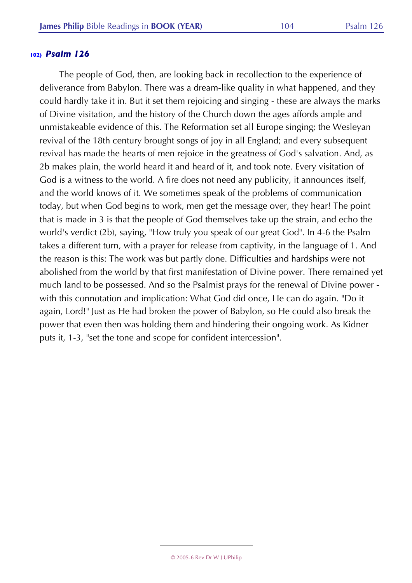The people of God, then, are looking back in recollection to the experience of deliverance from Babylon. There was a dream-like quality in what happened, and they could hardly take it in. But it set them rejoicing and singing - these are always the marks of Divine visitation, and the history of the Church down the ages affords ample and unmistakeable evidence of this. The Reformation set all Europe singing; the Wesleyan revival of the 18th century brought songs of joy in all England; and every subsequent revival has made the hearts of men rejoice in the greatness of God's salvation. And, as 2b makes plain, the world heard it and heard of it, and took note. Every visitation of God is a witness to the world. A fire does not need any publicity, it announces itself, and the world knows of it. We sometimes speak of the problems of communication today, but when God begins to work, men get the message over, they hear! The point that is made in 3 is that the people of God themselves take up the strain, and echo the world's verdict (2b), saying, "How truly you speak of our great God". In 4-6 the Psalm takes a different turn, with a prayer for release from captivity, in the language of 1. And the reason is this: The work was but partly done. Difficulties and hardships were not abolished from the world by that first manifestation of Divine power. There remained yet much land to be possessed. And so the Psalmist prays for the renewal of Divine power with this connotation and implication: What God did once, He can do again. "Do it again, Lord!" Just as He had broken the power of Babylon, so He could also break the power that even then was holding them and hindering their ongoing work. As Kidner puts it, 1-3, "set the tone and scope for confident intercession".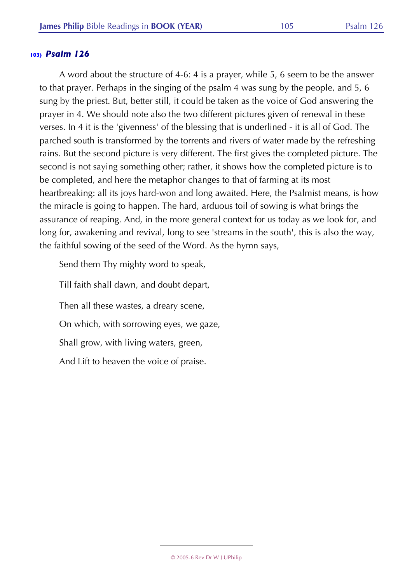A word about the structure of 4-6: 4 is a prayer, while 5, 6 seem to be the answer to that prayer. Perhaps in the singing of the psalm 4 was sung by the people, and 5, 6 sung by the priest. But, better still, it could be taken as the voice of God answering the prayer in 4. We should note also the two different pictures given of renewal in these verses. In 4 it is the 'givenness' of the blessing that is underlined - it is all of God. The parched south is transformed by the torrents and rivers of water made by the refreshing rains. But the second picture is very different. The first gives the completed picture. The second is not saying something other; rather, it shows how the completed picture is to be completed, and here the metaphor changes to that of farming at its most heartbreaking: all its joys hard-won and long awaited. Here, the Psalmist means, is how the miracle is going to happen. The hard, arduous toil of sowing is what brings the assurance of reaping. And, in the more general context for us today as we look for, and long for, awakening and revival, long to see 'streams in the south', this is also the way, the faithful sowing of the seed of the Word. As the hymn says,

Send them Thy mighty word to speak,

Till faith shall dawn, and doubt depart, Then all these wastes, a dreary scene, On which, with sorrowing eyes, we gaze, Shall grow, with living waters, green, And Lift to heaven the voice of praise.

© 2005-6 Rev Dr W J UPhilip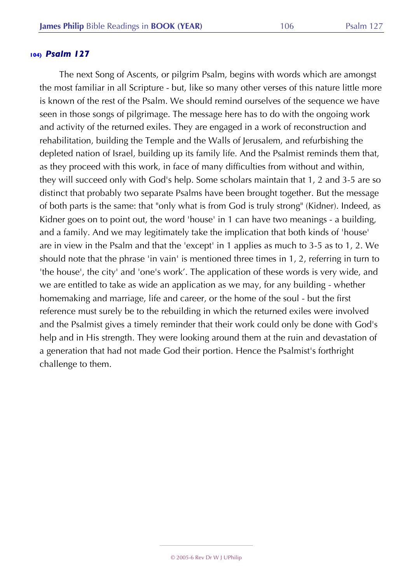The next Song of Ascents, or pilgrim Psalm, begins with words which are amongst the most familiar in all Scripture - but, like so many other verses of this nature little more is known of the rest of the Psalm. We should remind ourselves of the sequence we have seen in those songs of pilgrimage. The message here has to do with the ongoing work and activity of the returned exiles. They are engaged in a work of reconstruction and rehabilitation, building the Temple and the Walls of Jerusalem, and refurbishing the depleted nation of Israel, building up its family life. And the Psalmist reminds them that, as they proceed with this work, in face of many difficulties from without and within, they will succeed only with God's help. Some scholars maintain that 1, 2 and 3-5 are so distinct that probably two separate Psalms have been brought together. But the message of both parts is the same: that "only what is from God is truly strong" (Kidner). Indeed, as Kidner goes on to point out, the word 'house' in 1 can have two meanings - a building, and a family. And we may legitimately take the implication that both kinds of 'house' are in view in the Psalm and that the 'except' in 1 applies as much to 3-5 as to 1, 2. We should note that the phrase 'in vain' is mentioned three times in 1, 2, referring in turn to 'the house', the city' and 'one's work'. The application of these words is very wide, and we are entitled to take as wide an application as we may, for any building - whether homemaking and marriage, life and career, or the home of the soul - but the first reference must surely be to the rebuilding in which the returned exiles were involved and the Psalmist gives a timely reminder that their work could only be done with God's help and in His strength. They were looking around them at the ruin and devastation of a generation that had not made God their portion. Hence the Psalmist's forthright challenge to them.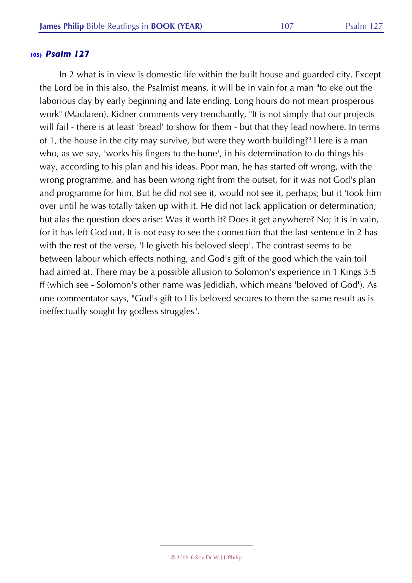In 2 what is in view is domestic life within the built house and guarded city. Except the Lord be in this also, the Psalmist means, it will be in vain for a man "to eke out the laborious day by early beginning and late ending. Long hours do not mean prosperous work" (Maclaren). Kidner comments very trenchantly, "It is not simply that our projects will fail - there is at least 'bread' to show for them - but that they lead nowhere. In terms of 1, the house in the city may survive, but were they worth building?" Here is a man who, as we say, 'works his fingers to the bone', in his determination to do things his way, according to his plan and his ideas. Poor man, he has started off wrong, with the wrong programme, and has been wrong right from the outset, for it was not God's plan and programme for him. But he did not see it, would not see it, perhaps; but it 'took him over until he was totally taken up with it. He did not lack application or determination; but alas the question does arise: Was it worth it? Does it get anywhere? No; it is in vain, for it has left God out. It is not easy to see the connection that the last sentence in 2 has with the rest of the verse, 'He giveth his beloved sleep'. The contrast seems to be between labour which effects nothing, and God's gift of the good which the vain toil had aimed at. There may be a possible allusion to Solomon's experience in 1 Kings 3:5 ff (which see - Solomon's other name was Jedidiah, which means 'beloved of God'). As one commentator says, "God's gift to His beloved secures to them the same result as is ineffectually sought by godless struggles".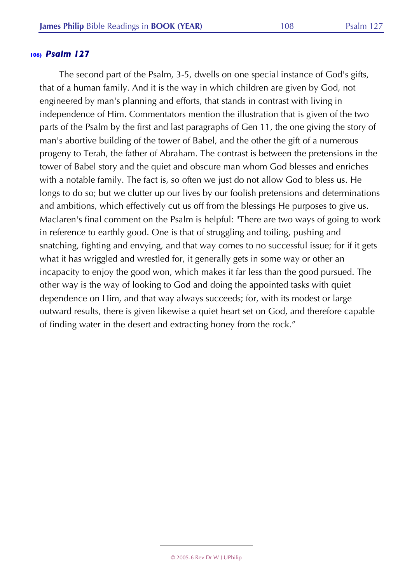The second part of the Psalm, 3-5, dwells on one special instance of God's gifts, that of a human family. And it is the way in which children are given by God, not engineered by man's planning and efforts, that stands in contrast with living in independence of Him. Commentators mention the illustration that is given of the two parts of the Psalm by the first and last paragraphs of Gen 11, the one giving the story of man's abortive building of the tower of Babel, and the other the gift of a numerous progeny to Terah, the father of Abraham. The contrast is between the pretensions in the tower of Babel story and the quiet and obscure man whom God blesses and enriches with a notable family. The fact is, so often we just do not allow God to bless us. He longs to do so; but we clutter up our lives by our foolish pretensions and determinations and ambitions, which effectively cut us off from the blessings He purposes to give us. Maclaren's final comment on the Psalm is helpful: "There are two ways of going to work in reference to earthly good. One is that of struggling and toiling, pushing and snatching, fighting and envying, and that way comes to no successful issue; for if it gets what it has wriggled and wrestled for, it generally gets in some way or other an incapacity to enjoy the good won, which makes it far less than the good pursued. The other way is the way of looking to God and doing the appointed tasks with quiet dependence on Him, and that way always succeeds; for, with its modest or large outward results, there is given likewise a quiet heart set on God, and therefore capable of finding water in the desert and extracting honey from the rock."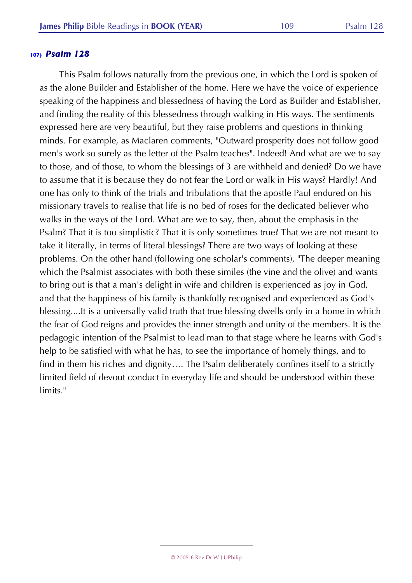This Psalm follows naturally from the previous one, in which the Lord is spoken of as the alone Builder and Establisher of the home. Here we have the voice of experience speaking of the happiness and blessedness of having the Lord as Builder and Establisher, and finding the reality of this blessedness through walking in His ways. The sentiments expressed here are very beautiful, but they raise problems and questions in thinking minds. For example, as Maclaren comments, "Outward prosperity does not follow good men's work so surely as the letter of the Psalm teaches". Indeed! And what are we to say to those, and of those, to whom the blessings of 3 are withheld and denied? Do we have to assume that it is because they do not fear the Lord or walk in His ways? Hardly! And one has only to think of the trials and tribulations that the apostle Paul endured on his missionary travels to realise that life is no bed of roses for the dedicated believer who walks in the ways of the Lord. What are we to say, then, about the emphasis in the Psalm? That it is too simplistic? That it is only sometimes true? That we are not meant to take it literally, in terms of literal blessings? There are two ways of looking at these problems. On the other hand (following one scholar's comments), "The deeper meaning which the Psalmist associates with both these similes (the vine and the olive) and wants to bring out is that a man's delight in wife and children is experienced as joy in God, and that the happiness of his family is thankfully recognised and experienced as God's blessing....It is a universally valid truth that true blessing dwells only in a home in which the fear of God reigns and provides the inner strength and unity of the members. It is the pedagogic intention of the Psalmist to lead man to that stage where he learns with God's help to be satisfied with what he has, to see the importance of homely things, and to find in them his riches and dignity…. The Psalm deliberately confines itself to a strictly limited field of devout conduct in everyday life and should be understood within these limits."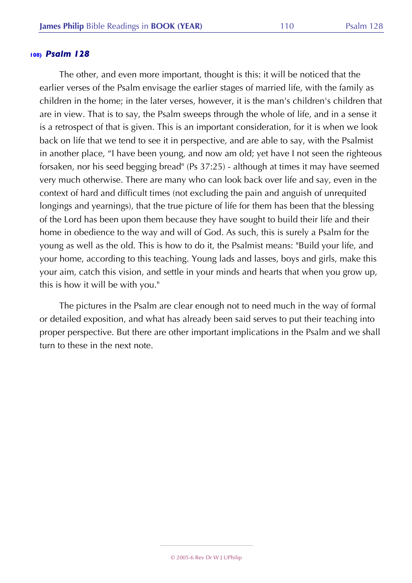The other, and even more important, thought is this: it will be noticed that the earlier verses of the Psalm envisage the earlier stages of married life, with the family as children in the home; in the later verses, however, it is the man's children's children that are in view. That is to say, the Psalm sweeps through the whole of life, and in a sense it is a retrospect of that is given. This is an important consideration, for it is when we look back on life that we tend to see it in perspective, and are able to say, with the Psalmist in another place, "I have been young, and now am old; yet have I not seen the righteous forsaken, nor his seed begging bread" (Ps 37:25) - although at times it may have seemed very much otherwise. There are many who can look back over life and say, even in the context of hard and difficult times (not excluding the pain and anguish of unrequited longings and yearnings), that the true picture of life for them has been that the blessing of the Lord has been upon them because they have sought to build their life and their home in obedience to the way and will of God. As such, this is surely a Psalm for the young as well as the old. This is how to do it, the Psalmist means: "Build your life, and your home, according to this teaching. Young lads and lasses, boys and girls, make this your aim, catch this vision, and settle in your minds and hearts that when you grow up, this is how it will be with you."

The pictures in the Psalm are clear enough not to need much in the way of formal or detailed exposition, and what has already been said serves to put their teaching into proper perspective. But there are other important implications in the Psalm and we shall turn to these in the next note.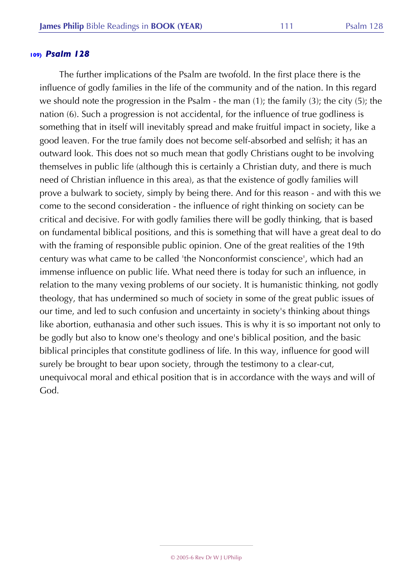The further implications of the Psalm are twofold. In the first place there is the influence of godly families in the life of the community and of the nation. In this regard we should note the progression in the Psalm - the man (1); the family (3); the city (5); the nation (6). Such a progression is not accidental, for the influence of true godliness is something that in itself will inevitably spread and make fruitful impact in society, like a good leaven. For the true family does not become self-absorbed and selfish; it has an outward look. This does not so much mean that godly Christians ought to be involving themselves in public life (although this is certainly a Christian duty, and there is much need of Christian influence in this area), as that the existence of godly families will prove a bulwark to society, simply by being there. And for this reason - and with this we come to the second consideration - the influence of right thinking on society can be critical and decisive. For with godly families there will be godly thinking, that is based on fundamental biblical positions, and this is something that will have a great deal to do with the framing of responsible public opinion. One of the great realities of the 19th century was what came to be called 'the Nonconformist conscience', which had an immense influence on public life. What need there is today for such an influence, in relation to the many vexing problems of our society. It is humanistic thinking, not godly theology, that has undermined so much of society in some of the great public issues of our time, and led to such confusion and uncertainty in society's thinking about things like abortion, euthanasia and other such issues. This is why it is so important not only to be godly but also to know one's theology and one's biblical position, and the basic biblical principles that constitute godliness of life. In this way, influence for good will surely be brought to bear upon society, through the testimony to a clear-cut, unequivocal moral and ethical position that is in accordance with the ways and will of God.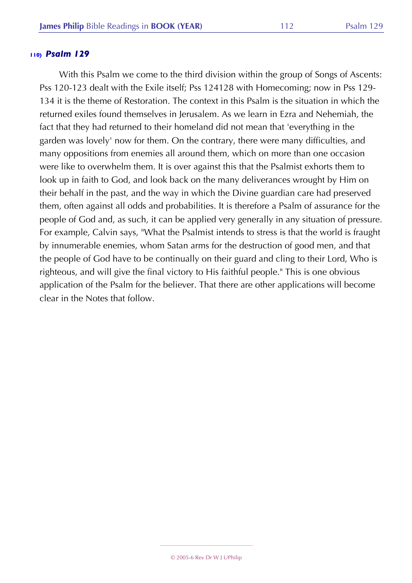With this Psalm we come to the third division within the group of Songs of Ascents: Pss 120-123 dealt with the Exile itself; Pss 124128 with Homecoming; now in Pss 129- 134 it is the theme of Restoration. The context in this Psalm is the situation in which the returned exiles found themselves in Jerusalem. As we learn in Ezra and Nehemiah, the fact that they had returned to their homeland did not mean that 'everything in the garden was lovely' now for them. On the contrary, there were many difficulties, and many oppositions from enemies all around them, which on more than one occasion were like to overwhelm them. It is over against this that the Psalmist exhorts them to look up in faith to God, and look back on the many deliverances wrought by Him on their behalf in the past, and the way in which the Divine guardian care had preserved them, often against all odds and probabilities. It is therefore a Psalm of assurance for the people of God and, as such, it can be applied very generally in any situation of pressure. For example, Calvin says, "What the Psalmist intends to stress is that the world is fraught by innumerable enemies, whom Satan arms for the destruction of good men, and that the people of God have to be continually on their guard and cling to their Lord, Who is righteous, and will give the final victory to His faithful people." This is one obvious application of the Psalm for the believer. That there are other applications will become clear in the Notes that follow.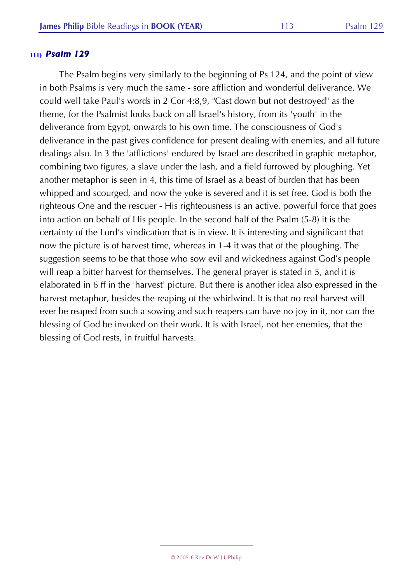The Psalm begins very similarly to the beginning of Ps 124, and the point of view in both Psalms is very much the same - sore affliction and wonderful deliverance. We could well take Paul's words in 2 Cor 4:8,9, "Cast down but not destroyed" as the theme, for the Psalmist looks back on all Israel's history, from its 'youth' in the deliverance from Egypt, onwards to his own time. The consciousness of God's deliverance in the past gives confidence for present dealing with enemies, and all future dealings also. In 3 the 'afflictions' endured by Israel are described in graphic metaphor, combining two figures, a slave under the lash, and a field furrowed by ploughing. Yet another metaphor is seen in 4, this time of Israel as a beast of burden that has been whipped and scourged, and now the yoke is severed and it is set free. God is both the righteous One and the rescuer - His righteousness is an active, powerful force that goes into action on behalf of His people. In the second half of the Psalm (5-8) it is the certainty of the Lord's vindication that is in view. It is interesting and significant that now the picture is of harvest time, whereas in 1-4 it was that of the ploughing. The suggestion seems to be that those who sow evil and wickedness against God's people will reap a bitter harvest for themselves. The general prayer is stated in 5, and it is elaborated in 6 ff in the 'harvest' picture. But there is another idea also expressed in the harvest metaphor, besides the reaping of the whirlwind. It is that no real harvest will ever be reaped from such a sowing and such reapers can have no joy in it, nor can the blessing of God be invoked on their work. It is with Israel, not her enemies, that the blessing of God rests, in fruitful harvests.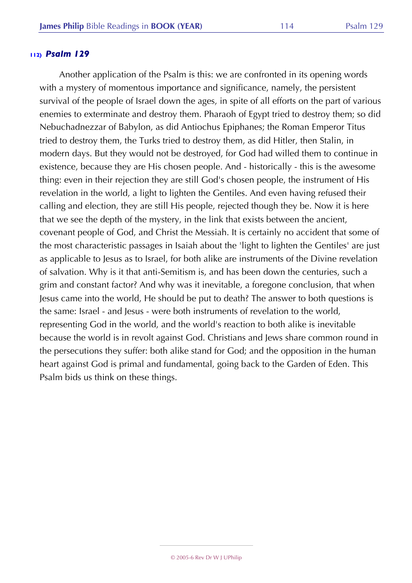Another application of the Psalm is this: we are confronted in its opening words with a mystery of momentous importance and significance, namely, the persistent survival of the people of Israel down the ages, in spite of all efforts on the part of various enemies to exterminate and destroy them. Pharaoh of Egypt tried to destroy them; so did Nebuchadnezzar of Babylon, as did Antiochus Epiphanes; the Roman Emperor Titus tried to destroy them, the Turks tried to destroy them, as did Hitler, then Stalin, in modern days. But they would not be destroyed, for God had willed them to continue in existence, because they are His chosen people. And - historically - this is the awesome thing: even in their rejection they are still God's chosen people, the instrument of His revelation in the world, a light to lighten the Gentiles. And even having refused their calling and election, they are still His people, rejected though they be. Now it is here that we see the depth of the mystery, in the link that exists between the ancient, covenant people of God, and Christ the Messiah. It is certainly no accident that some of the most characteristic passages in Isaiah about the 'light to lighten the Gentiles' are just as applicable to Jesus as to Israel, for both alike are instruments of the Divine revelation of salvation. Why is it that anti-Semitism is, and has been down the centuries, such a grim and constant factor? And why was it inevitable, a foregone conclusion, that when Jesus came into the world, He should be put to death? The answer to both questions is the same: Israel - and Jesus - were both instruments of revelation to the world, representing God in the world, and the world's reaction to both alike is inevitable because the world is in revolt against God. Christians and Jews share common round in the persecutions they suffer: both alike stand for God; and the opposition in the human heart against God is primal and fundamental, going back to the Garden of Eden. This Psalm bids us think on these things.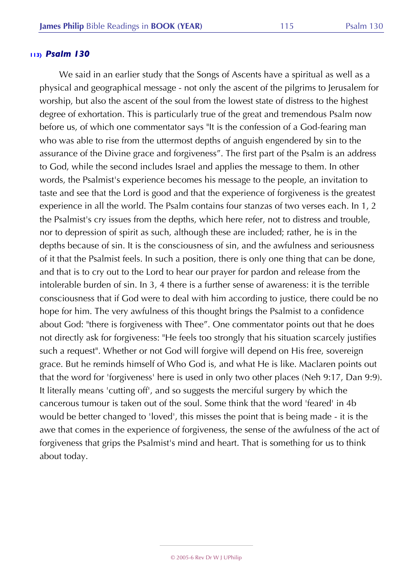We said in an earlier study that the Songs of Ascents have a spiritual as well as a physical and geographical message - not only the ascent of the pilgrims to Jerusalem for worship, but also the ascent of the soul from the lowest state of distress to the highest degree of exhortation. This is particularly true of the great and tremendous Psalm now before us, of which one commentator says "It is the confession of a God-fearing man who was able to rise from the uttermost depths of anguish engendered by sin to the assurance of the Divine grace and forgiveness". The first part of the Psalm is an address to God, while the second includes Israel and applies the message to them. In other words, the Psalmist's experience becomes his message to the people, an invitation to taste and see that the Lord is good and that the experience of forgiveness is the greatest experience in all the world. The Psalm contains four stanzas of two verses each. In 1, 2 the Psalmist's cry issues from the depths, which here refer, not to distress and trouble, nor to depression of spirit as such, although these are included; rather, he is in the depths because of sin. It is the consciousness of sin, and the awfulness and seriousness of it that the Psalmist feels. In such a position, there is only one thing that can be done, and that is to cry out to the Lord to hear our prayer for pardon and release from the intolerable burden of sin. In 3, 4 there is a further sense of awareness: it is the terrible consciousness that if God were to deal with him according to justice, there could be no hope for him. The very awfulness of this thought brings the Psalmist to a confidence about God: "there is forgiveness with Thee". One commentator points out that he does not directly ask for forgiveness: "He feels too strongly that his situation scarcely justifies such a request". Whether or not God will forgive will depend on His free, sovereign grace. But he reminds himself of Who God is, and what He is like. Maclaren points out that the word for 'forgiveness' here is used in only two other places (Neh 9:17, Dan 9:9). It literally means 'cutting off', and so suggests the merciful surgery by which the cancerous tumour is taken out of the soul. Some think that the word 'feared' in 4b would be better changed to 'loved', this misses the point that is being made - it is the awe that comes in the experience of forgiveness, the sense of the awfulness of the act of forgiveness that grips the Psalmist's mind and heart. That is something for us to think about today.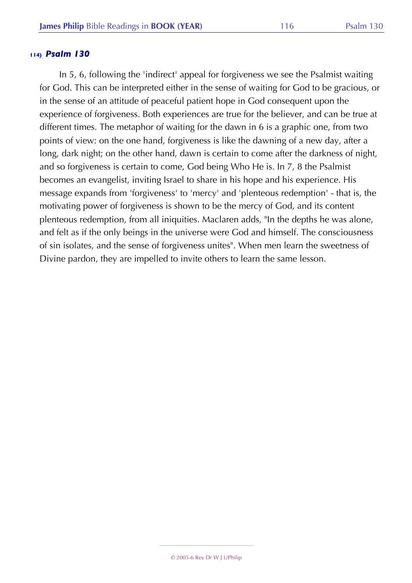In 5, 6, following the 'indirect' appeal for forgiveness we see the Psalmist waiting for God. This can be interpreted either in the sense of waiting for God to be gracious, or in the sense of an attitude of peaceful patient hope in God consequent upon the experience of forgiveness. Both experiences are true for the believer, and can be true at different times. The metaphor of waiting for the dawn in 6 is a graphic one, from two points of view: on the one hand, forgiveness is like the dawning of a new day, after a long, dark night; on the other hand, dawn is certain to come after the darkness of night, and so forgiveness is certain to come, God being Who He is. In 7, 8 the Psalmist becomes an evangelist, inviting Israel to share in his hope and his experience. His message expands from 'forgiveness' to 'mercy' and 'plenteous redemption' - that is, the motivating power of forgiveness is shown to be the mercy of God, and its content plenteous redemption, from all iniquities. Maclaren adds, "In the depths he was alone, and felt as if the only beings in the universe were God and himself. The consciousness of sin isolates, and the sense of forgiveness unites". When men learn the sweetness of Divine pardon, they are impelled to invite others to learn the same lesson.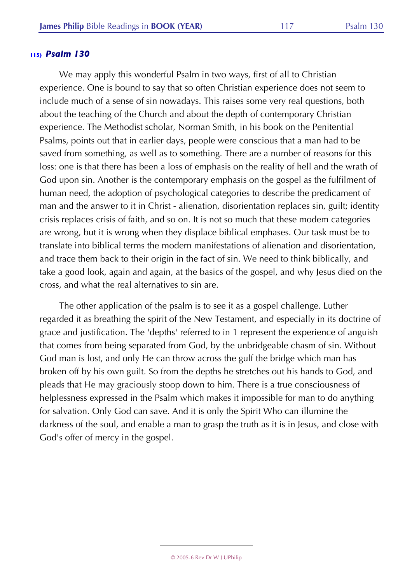We may apply this wonderful Psalm in two ways, first of all to Christian experience. One is bound to say that so often Christian experience does not seem to include much of a sense of sin nowadays. This raises some very real questions, both about the teaching of the Church and about the depth of contemporary Christian experience. The Methodist scholar, Norman Smith, in his book on the Penitential Psalms, points out that in earlier days, people were conscious that a man had to be saved from something, as well as to something. There are a number of reasons for this loss: one is that there has been a loss of emphasis on the reality of hell and the wrath of God upon sin. Another is the contemporary emphasis on the gospel as the fulfilment of human need, the adoption of psychological categories to describe the predicament of man and the answer to it in Christ - alienation, disorientation replaces sin, guilt; identity crisis replaces crisis of faith, and so on. It is not so much that these modem categories are wrong, but it is wrong when they displace biblical emphases. Our task must be to translate into biblical terms the modern manifestations of alienation and disorientation, and trace them back to their origin in the fact of sin. We need to think biblically, and take a good look, again and again, at the basics of the gospel, and why Jesus died on the cross, and what the real alternatives to sin are.

The other application of the psalm is to see it as a gospel challenge. Luther regarded it as breathing the spirit of the New Testament, and especially in its doctrine of grace and justification. The 'depths' referred to in 1 represent the experience of anguish that comes from being separated from God, by the unbridgeable chasm of sin. Without God man is lost, and only He can throw across the gulf the bridge which man has broken off by his own guilt. So from the depths he stretches out his hands to God, and pleads that He may graciously stoop down to him. There is a true consciousness of helplessness expressed in the Psalm which makes it impossible for man to do anything for salvation. Only God can save. And it is only the Spirit Who can illumine the darkness of the soul, and enable a man to grasp the truth as it is in Jesus, and close with God's offer of mercy in the gospel.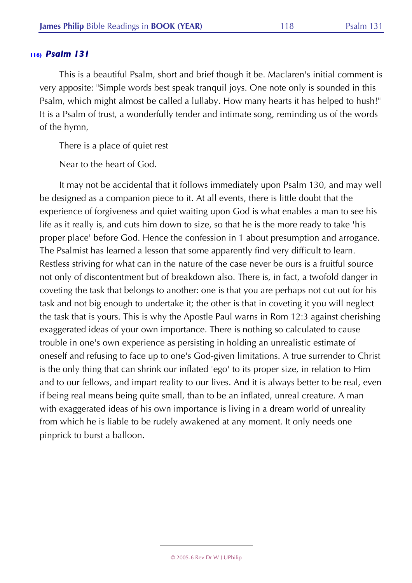This is a beautiful Psalm, short and brief though it be. Maclaren's initial comment is very apposite: "Simple words best speak tranquil joys. One note only is sounded in this Psalm, which might almost be called a lullaby. How many hearts it has helped to hush!" It is a Psalm of trust, a wonderfully tender and intimate song, reminding us of the words of the hymn,

There is a place of quiet rest

Near to the heart of God.

It may not be accidental that it follows immediately upon Psalm 130, and may well be designed as a companion piece to it. At all events, there is little doubt that the experience of forgiveness and quiet waiting upon God is what enables a man to see his life as it really is, and cuts him down to size, so that he is the more ready to take 'his proper place' before God. Hence the confession in 1 about presumption and arrogance. The Psalmist has learned a lesson that some apparently find very difficult to learn. Restless striving for what can in the nature of the case never be ours is a fruitful source not only of discontentment but of breakdown also. There is, in fact, a twofold danger in coveting the task that belongs to another: one is that you are perhaps not cut out for his task and not big enough to undertake it; the other is that in coveting it you will neglect the task that is yours. This is why the Apostle Paul warns in Rom 12:3 against cherishing exaggerated ideas of your own importance. There is nothing so calculated to cause trouble in one's own experience as persisting in holding an unrealistic estimate of oneself and refusing to face up to one's God-given limitations. A true surrender to Christ is the only thing that can shrink our inflated 'ego' to its proper size, in relation to Him and to our fellows, and impart reality to our lives. And it is always better to be real, even if being real means being quite small, than to be an inflated, unreal creature. A man with exaggerated ideas of his own importance is living in a dream world of unreality from which he is liable to be rudely awakened at any moment. It only needs one pinprick to burst a balloon.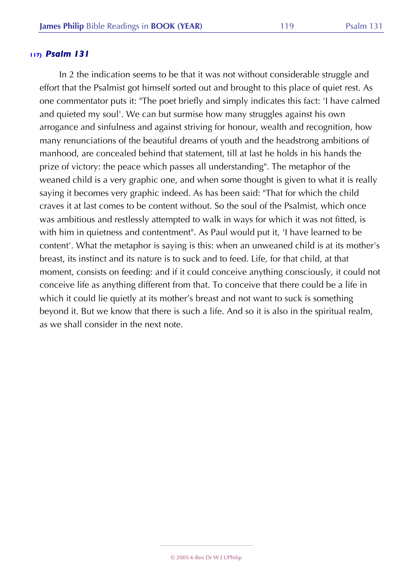In 2 the indication seems to be that it was not without considerable struggle and effort that the Psalmist got himself sorted out and brought to this place of quiet rest. As one commentator puts it: "The poet briefly and simply indicates this fact: 'I have calmed and quieted my soul'. We can but surmise how many struggles against his own arrogance and sinfulness and against striving for honour, wealth and recognition, how many renunciations of the beautiful dreams of youth and the headstrong ambitions of manhood, are concealed behind that statement, till at last he holds in his hands the prize of victory: the peace which passes all understanding". The metaphor of the weaned child is a very graphic one, and when some thought is given to what it is really saying it becomes very graphic indeed. As has been said: "That for which the child craves it at last comes to be content without. So the soul of the Psalmist, which once was ambitious and restlessly attempted to walk in ways for which it was not fitted, is with him in quietness and contentment". As Paul would put it, 'I have learned to be content'. What the metaphor is saying is this: when an unweaned child is at its mother's breast, its instinct and its nature is to suck and to feed. Life, for that child, at that moment, consists on feeding: and if it could conceive anything consciously, it could not conceive life as anything different from that. To conceive that there could be a life in which it could lie quietly at its mother's breast and not want to suck is something beyond it. But we know that there is such a life. And so it is also in the spiritual realm, as we shall consider in the next note.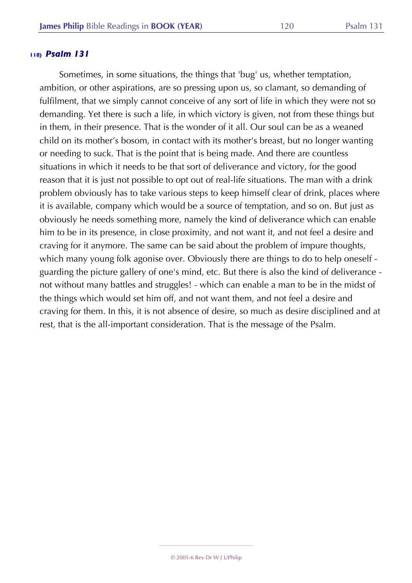Sometimes, in some situations, the things that 'bug' us, whether temptation, ambition, or other aspirations, are so pressing upon us, so clamant, so demanding of fulfilment, that we simply cannot conceive of any sort of life in which they were not so demanding. Yet there is such a life, in which victory is given, not from these things but in them, in their presence. That is the wonder of it all. Our soul can be as a weaned child on its mother's bosom, in contact with its mother's breast, but no longer wanting or needing to suck. That is the point that is being made. And there are countless situations in which it needs to be that sort of deliverance and victory, for the good reason that it is just not possible to opt out of real-life situations. The man with a drink problem obviously has to take various steps to keep himself clear of drink, places where it is available, company which would be a source of temptation, and so on. But just as obviously he needs something more, namely the kind of deliverance which can enable him to be in its presence, in close proximity, and not want it, and not feel a desire and craving for it anymore. The same can be said about the problem of impure thoughts, which many young folk agonise over. Obviously there are things to do to help oneself guarding the picture gallery of one's mind, etc. But there is also the kind of deliverance not without many battles and struggles! - which can enable a man to be in the midst of the things which would set him off, and not want them, and not feel a desire and craving for them. In this, it is not absence of desire, so much as desire disciplined and at rest, that is the all-important consideration. That is the message of the Psalm.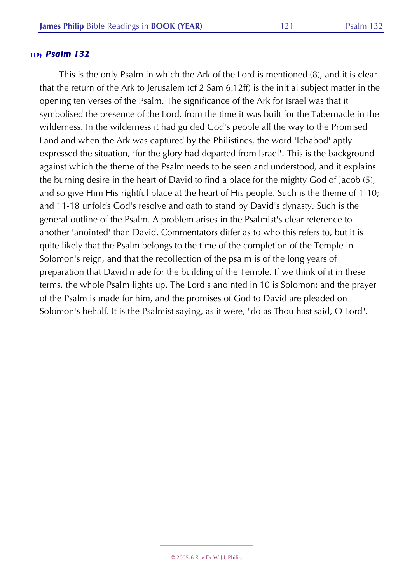This is the only Psalm in which the Ark of the Lord is mentioned (8), and it is clear that the return of the Ark to Jerusalem (cf 2 Sam 6:12ff) is the initial subject matter in the opening ten verses of the Psalm. The significance of the Ark for Israel was that it symbolised the presence of the Lord, from the time it was built for the Tabernacle in the wilderness. In the wilderness it had guided God's people all the way to the Promised Land and when the Ark was captured by the Philistines, the word 'Ichabod' aptly expressed the situation, 'for the glory had departed from Israel'. This is the background against which the theme of the Psalm needs to be seen and understood, and it explains the burning desire in the heart of David to find a place for the mighty God of Jacob (5), and so give Him His rightful place at the heart of His people. Such is the theme of 1-10; and 11-18 unfolds God's resolve and oath to stand by David's dynasty. Such is the general outline of the Psalm. A problem arises in the Psalmist's clear reference to another 'anointed' than David. Commentators differ as to who this refers to, but it is quite likely that the Psalm belongs to the time of the completion of the Temple in Solomon's reign, and that the recollection of the psalm is of the long years of preparation that David made for the building of the Temple. If we think of it in these terms, the whole Psalm lights up. The Lord's anointed in 10 is Solomon; and the prayer of the Psalm is made for him, and the promises of God to David are pleaded on Solomon's behalf. It is the Psalmist saying, as it were, "do as Thou hast said, O Lord".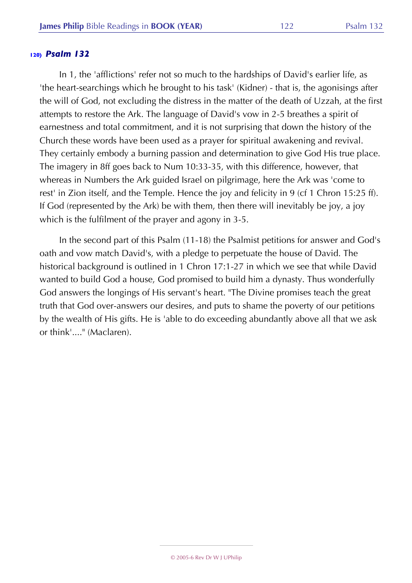In 1, the 'afflictions' refer not so much to the hardships of David's earlier life, as 'the heart-searchings which he brought to his task' (Kidner) - that is, the agonisings after the will of God, not excluding the distress in the matter of the death of Uzzah, at the first attempts to restore the Ark. The language of David's vow in 2-5 breathes a spirit of earnestness and total commitment, and it is not surprising that down the history of the Church these words have been used as a prayer for spiritual awakening and revival. They certainly embody a burning passion and determination to give God His true place. The imagery in 8ff goes back to Num 10:33-35, with this difference, however, that whereas in Numbers the Ark guided Israel on pilgrimage, here the Ark was 'come to rest' in Zion itself, and the Temple. Hence the joy and felicity in 9 (cf 1 Chron 15:25 ff). If God (represented by the Ark) be with them, then there will inevitably be joy, a joy which is the fulfilment of the prayer and agony in 3-5.

In the second part of this Psalm (11-18) the Psalmist petitions for answer and God's oath and vow match David's, with a pledge to perpetuate the house of David. The historical background is outlined in 1 Chron 17:1-27 in which we see that while David wanted to build God a house, God promised to build him a dynasty. Thus wonderfully God answers the longings of His servant's heart. "The Divine promises teach the great truth that God over-answers our desires, and puts to shame the poverty of our petitions by the wealth of His gifts. He is 'able to do exceeding abundantly above all that we ask or think'...." (Maclaren).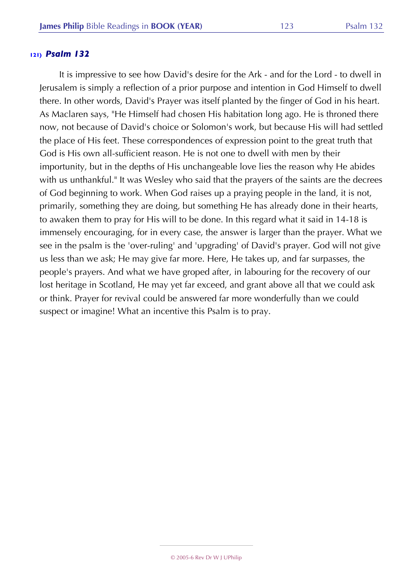It is impressive to see how David's desire for the Ark - and for the Lord - to dwell in Jerusalem is simply a reflection of a prior purpose and intention in God Himself to dwell there. In other words, David's Prayer was itself planted by the finger of God in his heart. As Maclaren says, "He Himself had chosen His habitation long ago. He is throned there now, not because of David's choice or Solomon's work, but because His will had settled the place of His feet. These correspondences of expression point to the great truth that God is His own all-sufficient reason. He is not one to dwell with men by their importunity, but in the depths of His unchangeable love lies the reason why He abides with us unthankful." It was Wesley who said that the prayers of the saints are the decrees of God beginning to work. When God raises up a praying people in the land, it is not, primarily, something they are doing, but something He has already done in their hearts, to awaken them to pray for His will to be done. In this regard what it said in 14-18 is immensely encouraging, for in every case, the answer is larger than the prayer. What we see in the psalm is the 'over-ruling' and 'upgrading' of David's prayer. God will not give us less than we ask; He may give far more. Here, He takes up, and far surpasses, the people's prayers. And what we have groped after, in labouring for the recovery of our lost heritage in Scotland, He may yet far exceed, and grant above all that we could ask or think. Prayer for revival could be answered far more wonderfully than we could suspect or imagine! What an incentive this Psalm is to pray.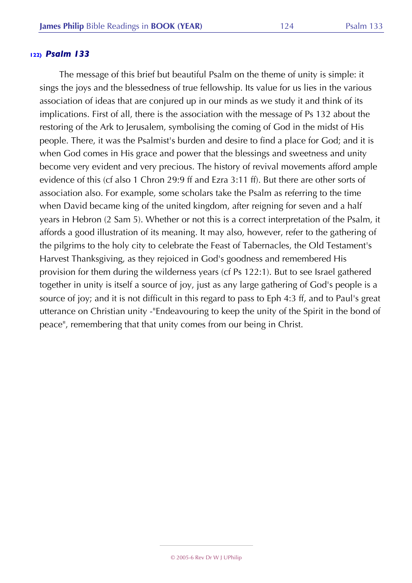The message of this brief but beautiful Psalm on the theme of unity is simple: it sings the joys and the blessedness of true fellowship. Its value for us lies in the various association of ideas that are conjured up in our minds as we study it and think of its implications. First of all, there is the association with the message of Ps 132 about the restoring of the Ark to Jerusalem, symbolising the coming of God in the midst of His people. There, it was the Psalmist's burden and desire to find a place for God; and it is when God comes in His grace and power that the blessings and sweetness and unity become very evident and very precious. The history of revival movements afford ample evidence of this (cf also 1 Chron 29:9 ff and Ezra 3:11 ff). But there are other sorts of association also. For example, some scholars take the Psalm as referring to the time when David became king of the united kingdom, after reigning for seven and a half years in Hebron (2 Sam 5). Whether or not this is a correct interpretation of the Psalm, it affords a good illustration of its meaning. It may also, however, refer to the gathering of the pilgrims to the holy city to celebrate the Feast of Tabernacles, the Old Testament's Harvest Thanksgiving, as they rejoiced in God's goodness and remembered His provision for them during the wilderness years (cf Ps 122:1). But to see Israel gathered together in unity is itself a source of joy, just as any large gathering of God's people is a source of joy; and it is not difficult in this regard to pass to Eph 4:3 ff, and to Paul's great utterance on Christian unity -"Endeavouring to keep the unity of the Spirit in the bond of peace", remembering that that unity comes from our being in Christ.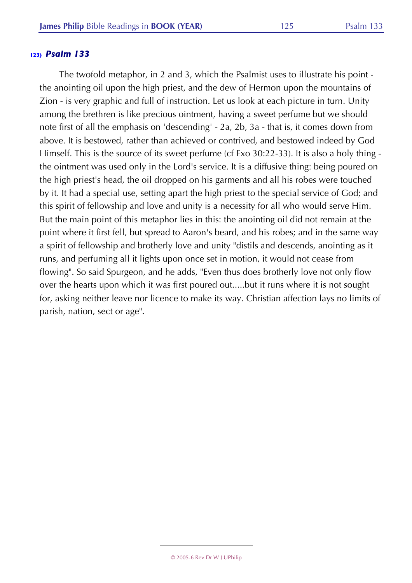The twofold metaphor, in 2 and 3, which the Psalmist uses to illustrate his point the anointing oil upon the high priest, and the dew of Hermon upon the mountains of Zion - is very graphic and full of instruction. Let us look at each picture in turn. Unity among the brethren is like precious ointment, having a sweet perfume but we should note first of all the emphasis on 'descending' - 2a, 2b, 3a - that is, it comes down from above. It is bestowed, rather than achieved or contrived, and bestowed indeed by God Himself. This is the source of its sweet perfume (cf Exo 30:22-33). It is also a holy thing the ointment was used only in the Lord's service. It is a diffusive thing: being poured on the high priest's head, the oil dropped on his garments and all his robes were touched by it. It had a special use, setting apart the high priest to the special service of God; and this spirit of fellowship and love and unity is a necessity for all who would serve Him. But the main point of this metaphor lies in this: the anointing oil did not remain at the point where it first fell, but spread to Aaron's beard, and his robes; and in the same way a spirit of fellowship and brotherly love and unity "distils and descends, anointing as it runs, and perfuming all it lights upon once set in motion, it would not cease from flowing". So said Spurgeon, and he adds, "Even thus does brotherly love not only flow over the hearts upon which it was first poured out.....but it runs where it is not sought for, asking neither leave nor licence to make its way. Christian affection lays no limits of parish, nation, sect or age".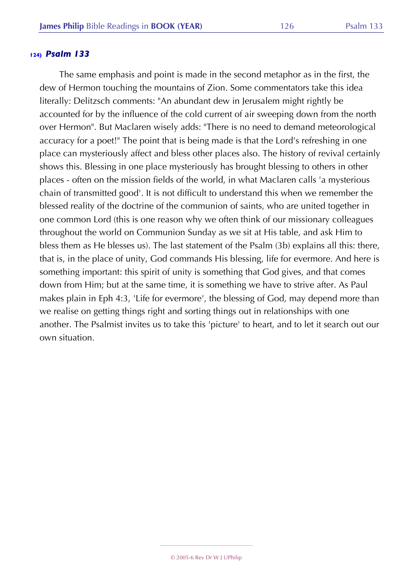The same emphasis and point is made in the second metaphor as in the first, the dew of Hermon touching the mountains of Zion. Some commentators take this idea literally: Delitzsch comments: "An abundant dew in Jerusalem might rightly be accounted for by the influence of the cold current of air sweeping down from the north over Hermon". But Maclaren wisely adds: "There is no need to demand meteorological accuracy for a poet!" The point that is being made is that the Lord's refreshing in one place can mysteriously affect and bless other places also. The history of revival certainly shows this. Blessing in one place mysteriously has brought blessing to others in other places - often on the mission fields of the world, in what Maclaren calls 'a mysterious chain of transmitted good'. It is not difficult to understand this when we remember the blessed reality of the doctrine of the communion of saints, who are united together in one common Lord (this is one reason why we often think of our missionary colleagues throughout the world on Communion Sunday as we sit at His table, and ask Him to bless them as He blesses us). The last statement of the Psalm (3b) explains all this: there, that is, in the place of unity, God commands His blessing, life for evermore. And here is something important: this spirit of unity is something that God gives, and that comes down from Him; but at the same time, it is something we have to strive after. As Paul makes plain in Eph 4:3, 'Life for evermore', the blessing of God, may depend more than we realise on getting things right and sorting things out in relationships with one another. The Psalmist invites us to take this 'picture' to heart, and to let it search out our own situation.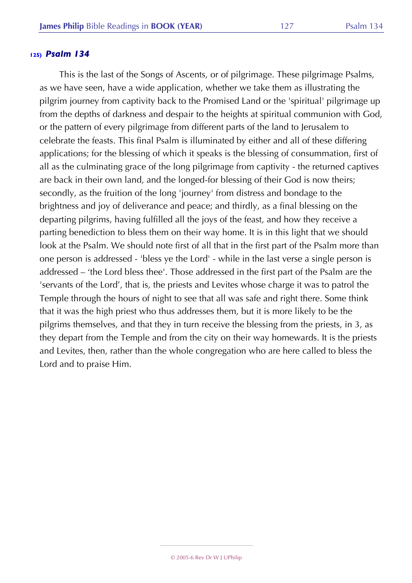This is the last of the Songs of Ascents, or of pilgrimage. These pilgrimage Psalms, as we have seen, have a wide application, whether we take them as illustrating the pilgrim journey from captivity back to the Promised Land or the 'spiritual' pilgrimage up from the depths of darkness and despair to the heights at spiritual communion with God, or the pattern of every pilgrimage from different parts of the land to Jerusalem to celebrate the feasts. This final Psalm is illuminated by either and all of these differing applications; for the blessing of which it speaks is the blessing of consummation, first of all as the culminating grace of the long pilgrimage from captivity - the returned captives are back in their own land, and the longed-for blessing of their God is now theirs; secondly, as the fruition of the long 'journey' from distress and bondage to the brightness and joy of deliverance and peace; and thirdly, as a final blessing on the departing pilgrims, having fulfilled all the joys of the feast, and how they receive a parting benediction to bless them on their way home. It is in this light that we should look at the Psalm. We should note first of all that in the first part of the Psalm more than one person is addressed - 'bless ye the Lord' - while in the last verse a single person is addressed – 'the Lord bless thee'. Those addressed in the first part of the Psalm are the 'servants of the Lord', that is, the priests and Levites whose charge it was to patrol the Temple through the hours of night to see that all was safe and right there. Some think that it was the high priest who thus addresses them, but it is more likely to be the pilgrims themselves, and that they in turn receive the blessing from the priests, in 3, as they depart from the Temple and from the city on their way homewards. It is the priests and Levites, then, rather than the whole congregation who are here called to bless the Lord and to praise Him.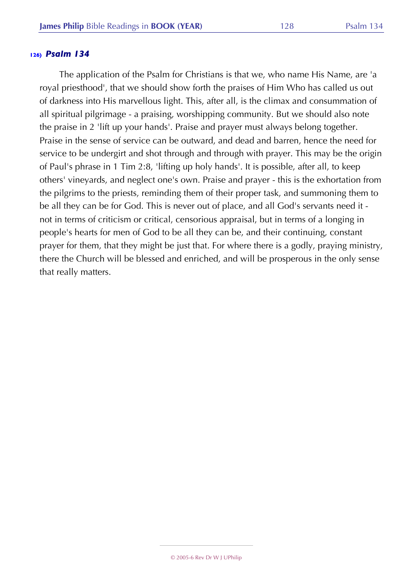The application of the Psalm for Christians is that we, who name His Name, are 'a royal priesthood', that we should show forth the praises of Him Who has called us out of darkness into His marvellous light. This, after all, is the climax and consummation of all spiritual pilgrimage - a praising, worshipping community. But we should also note the praise in 2 'lift up your hands'. Praise and prayer must always belong together. Praise in the sense of service can be outward, and dead and barren, hence the need for service to be undergirt and shot through and through with prayer. This may be the origin of Paul's phrase in 1 Tim 2:8, 'lifting up holy hands'. It is possible, after all, to keep others' vineyards, and neglect one's own. Praise and prayer - this is the exhortation from the pilgrims to the priests, reminding them of their proper task, and summoning them to be all they can be for God. This is never out of place, and all God's servants need it not in terms of criticism or critical, censorious appraisal, but in terms of a longing in people's hearts for men of God to be all they can be, and their continuing, constant prayer for them, that they might be just that. For where there is a godly, praying ministry, there the Church will be blessed and enriched, and will be prosperous in the only sense that really matters.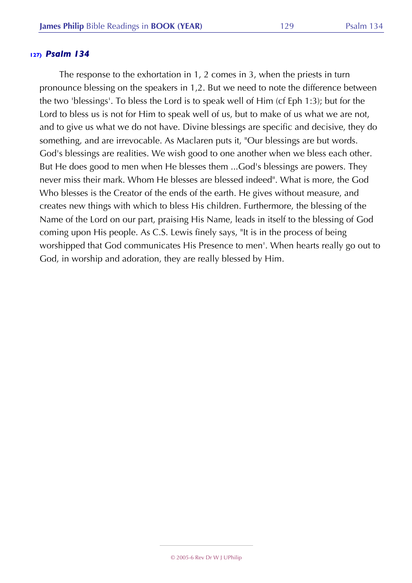The response to the exhortation in 1, 2 comes in 3, when the priests in turn pronounce blessing on the speakers in 1,2. But we need to note the difference between the two 'blessings'. To bless the Lord is to speak well of Him (cf Eph 1:3); but for the Lord to bless us is not for Him to speak well of us, but to make of us what we are not, and to give us what we do not have. Divine blessings are specific and decisive, they do something, and are irrevocable. As Maclaren puts it, "Our blessings are but words. God's blessings are realities. We wish good to one another when we bless each other. But He does good to men when He blesses them ...God's blessings are powers. They never miss their mark. Whom He blesses are blessed indeed". What is more, the God Who blesses is the Creator of the ends of the earth. He gives without measure, and creates new things with which to bless His children. Furthermore, the blessing of the Name of the Lord on our part, praising His Name, leads in itself to the blessing of God coming upon His people. As C.S. Lewis finely says, "It is in the process of being worshipped that God communicates His Presence to men'. When hearts really go out to God, in worship and adoration, they are really blessed by Him.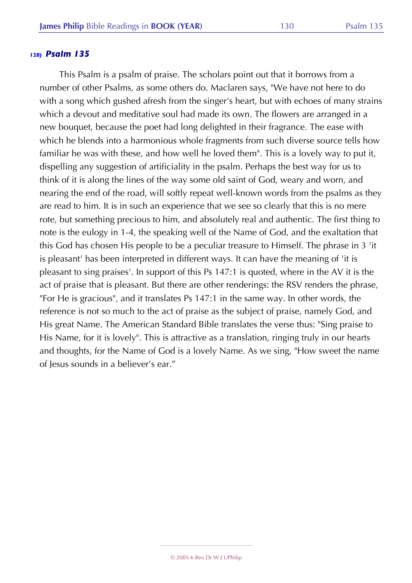This Psalm is a psalm of praise. The scholars point out that it borrows from a number of other Psalms, as some others do. Maclaren says, "We have not here to do with a song which gushed afresh from the singer's heart, but with echoes of many strains which a devout and meditative soul had made its own. The flowers are arranged in a new bouquet, because the poet had long delighted in their fragrance. The ease with which he blends into a harmonious whole fragments from such diverse source tells how familiar he was with these, and how well he loved them". This is a lovely way to put it, dispelling any suggestion of artificiality in the psalm. Perhaps the best way for us to think of it is along the lines of the way some old saint of God, weary and worn, and nearing the end of the road, will softly repeat well-known words from the psalms as they are read to him. It is in such an experience that we see so clearly that this is no mere rote, but something precious to him, and absolutely real and authentic. The first thing to note is the eulogy in 1-4, the speaking well of the Name of God, and the exaltation that this God has chosen His people to be a peculiar treasure to Himself. The phrase in 3 'it is pleasant' has been interpreted in different ways. It can have the meaning of 'it is pleasant to sing praises'. In support of this Ps 147:1 is quoted, where in the AV it is the act of praise that is pleasant. But there are other renderings: the RSV renders the phrase, "For He is gracious", and it translates Ps 147:1 in the same way. In other words, the reference is not so much to the act of praise as the subject of praise, namely God, and His great Name. The American Standard Bible translates the verse thus: "Sing praise to His Name, for it is lovely". This is attractive as a translation, ringing truly in our hearts and thoughts, for the Name of God is a lovely Name. As we sing, "How sweet the name of Jesus sounds in a believer's ear."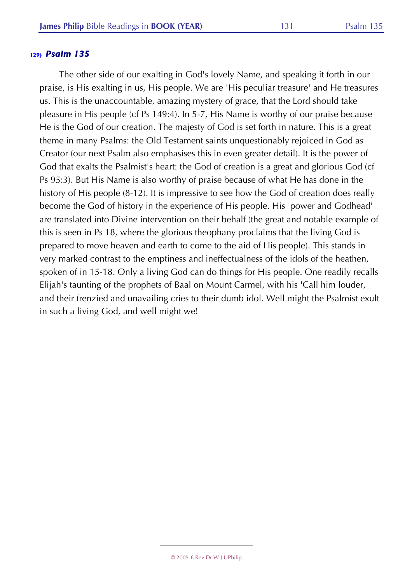The other side of our exalting in God's lovely Name, and speaking it forth in our praise, is His exalting in us, His people. We are 'His peculiar treasure' and He treasures us. This is the unaccountable, amazing mystery of grace, that the Lord should take pleasure in His people (cf Ps 149:4). In 5-7, His Name is worthy of our praise because He is the God of our creation. The majesty of God is set forth in nature. This is a great theme in many Psalms: the Old Testament saints unquestionably rejoiced in God as Creator (our next Psalm also emphasises this in even greater detail). It is the power of God that exalts the Psalmist's heart: the God of creation is a great and glorious God (cf Ps 95:3). But His Name is also worthy of praise because of what He has done in the history of His people (8-12). It is impressive to see how the God of creation does really become the God of history in the experience of His people. His 'power and Godhead' are translated into Divine intervention on their behalf (the great and notable example of this is seen in Ps 18, where the glorious theophany proclaims that the living God is prepared to move heaven and earth to come to the aid of His people). This stands in very marked contrast to the emptiness and ineffectualness of the idols of the heathen, spoken of in 15-18. Only a living God can do things for His people. One readily recalls Elijah's taunting of the prophets of Baal on Mount Carmel, with his 'Call him louder, and their frenzied and unavailing cries to their dumb idol. Well might the Psalmist exult in such a living God, and well might we!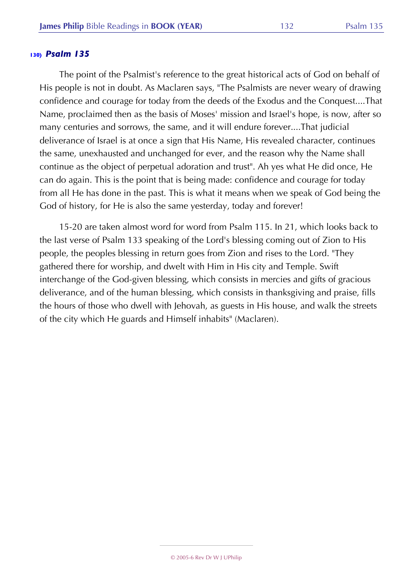The point of the Psalmist's reference to the great historical acts of God on behalf of His people is not in doubt. As Maclaren says, "The Psalmists are never weary of drawing confidence and courage for today from the deeds of the Exodus and the Conquest....That Name, proclaimed then as the basis of Moses' mission and Israel's hope, is now, after so many centuries and sorrows, the same, and it will endure forever....That judicial deliverance of Israel is at once a sign that His Name, His revealed character, continues the same, unexhausted and unchanged for ever, and the reason why the Name shall continue as the object of perpetual adoration and trust". Ah yes what He did once, He can do again. This is the point that is being made: confidence and courage for today from all He has done in the past. This is what it means when we speak of God being the God of history, for He is also the same yesterday, today and forever!

15-20 are taken almost word for word from Psalm 115. In 21, which looks back to the last verse of Psalm 133 speaking of the Lord's blessing coming out of Zion to His people, the peoples blessing in return goes from Zion and rises to the Lord. "They gathered there for worship, and dwelt with Him in His city and Temple. Swift interchange of the God-given blessing, which consists in mercies and gifts of gracious deliverance, and of the human blessing, which consists in thanksgiving and praise, fills the hours of those who dwell with Jehovah, as guests in His house, and walk the streets of the city which He guards and Himself inhabits" (Maclaren).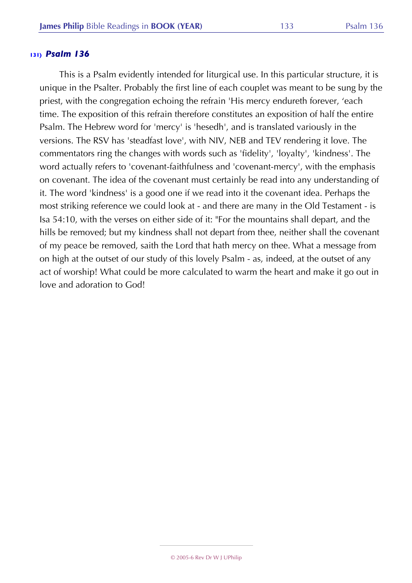This is a Psalm evidently intended for liturgical use. In this particular structure, it is unique in the Psalter. Probably the first line of each couplet was meant to be sung by the priest, with the congregation echoing the refrain 'His mercy endureth forever, 'each time. The exposition of this refrain therefore constitutes an exposition of half the entire Psalm. The Hebrew word for 'mercy' is 'hesedh', and is translated variously in the versions. The RSV has 'steadfast love', with NIV, NEB and TEV rendering it love. The commentators ring the changes with words such as 'fidelity', 'loyalty', 'kindness'. The word actually refers to 'covenant-faithfulness and 'covenant-mercy', with the emphasis on covenant. The idea of the covenant must certainly be read into any understanding of it. The word 'kindness' is a good one if we read into it the covenant idea. Perhaps the most striking reference we could look at - and there are many in the Old Testament - is Isa 54:10, with the verses on either side of it: "For the mountains shall depart, and the hills be removed; but my kindness shall not depart from thee, neither shall the covenant of my peace be removed, saith the Lord that hath mercy on thee. What a message from on high at the outset of our study of this lovely Psalm - as, indeed, at the outset of any act of worship! What could be more calculated to warm the heart and make it go out in love and adoration to God!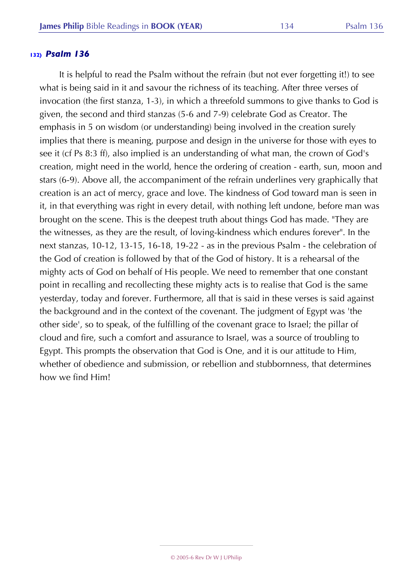It is helpful to read the Psalm without the refrain (but not ever forgetting it!) to see what is being said in it and savour the richness of its teaching. After three verses of invocation (the first stanza, 1-3), in which a threefold summons to give thanks to God is given, the second and third stanzas (5-6 and 7-9) celebrate God as Creator. The emphasis in 5 on wisdom (or understanding) being involved in the creation surely implies that there is meaning, purpose and design in the universe for those with eyes to see it (cf Ps 8:3 ff), also implied is an understanding of what man, the crown of God's creation, might need in the world, hence the ordering of creation - earth, sun, moon and stars (6-9). Above all, the accompaniment of the refrain underlines very graphically that creation is an act of mercy, grace and love. The kindness of God toward man is seen in it, in that everything was right in every detail, with nothing left undone, before man was brought on the scene. This is the deepest truth about things God has made. "They are the witnesses, as they are the result, of loving-kindness which endures forever". In the next stanzas, 10-12, 13-15, 16-18, 19-22 - as in the previous Psalm - the celebration of the God of creation is followed by that of the God of history. It is a rehearsal of the mighty acts of God on behalf of His people. We need to remember that one constant point in recalling and recollecting these mighty acts is to realise that God is the same yesterday, today and forever. Furthermore, all that is said in these verses is said against the background and in the context of the covenant. The judgment of Egypt was 'the other side', so to speak, of the fulfilling of the covenant grace to Israel; the pillar of cloud and fire, such a comfort and assurance to Israel, was a source of troubling to Egypt. This prompts the observation that God is One, and it is our attitude to Him, whether of obedience and submission, or rebellion and stubbornness, that determines how we find Him!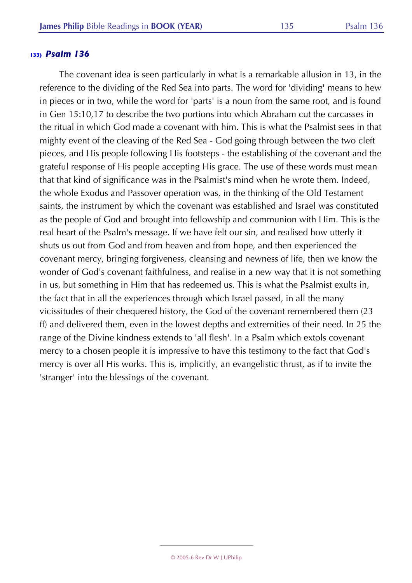The covenant idea is seen particularly in what is a remarkable allusion in 13, in the reference to the dividing of the Red Sea into parts. The word for 'dividing' means to hew in pieces or in two, while the word for 'parts' is a noun from the same root, and is found in Gen 15:10,17 to describe the two portions into which Abraham cut the carcasses in the ritual in which God made a covenant with him. This is what the Psalmist sees in that mighty event of the cleaving of the Red Sea - God going through between the two cleft pieces, and His people following His footsteps - the establishing of the covenant and the grateful response of His people accepting His grace. The use of these words must mean that that kind of significance was in the Psalmist's mind when he wrote them. Indeed, the whole Exodus and Passover operation was, in the thinking of the Old Testament saints, the instrument by which the covenant was established and Israel was constituted as the people of God and brought into fellowship and communion with Him. This is the real heart of the Psalm's message. If we have felt our sin, and realised how utterly it shuts us out from God and from heaven and from hope, and then experienced the covenant mercy, bringing forgiveness, cleansing and newness of life, then we know the wonder of God's covenant faithfulness, and realise in a new way that it is not something in us, but something in Him that has redeemed us. This is what the Psalmist exults in, the fact that in all the experiences through which Israel passed, in all the many vicissitudes of their chequered history, the God of the covenant remembered them (23 ff) and delivered them, even in the lowest depths and extremities of their need. In 25 the range of the Divine kindness extends to 'all flesh'. In a Psalm which extols covenant mercy to a chosen people it is impressive to have this testimony to the fact that God's mercy is over all His works. This is, implicitly, an evangelistic thrust, as if to invite the 'stranger' into the blessings of the covenant.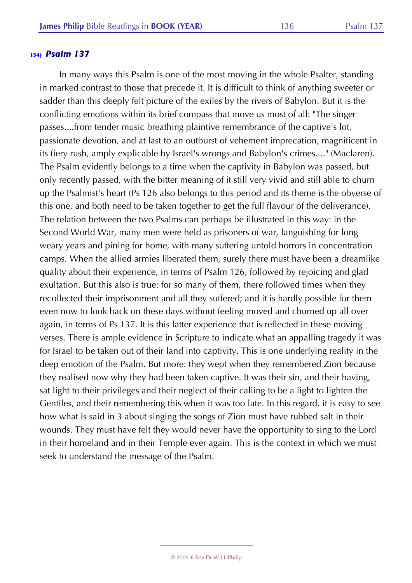In many ways this Psalm is one of the most moving in the whole Psalter, standing in marked contrast to those that precede it. It is difficult to think of anything sweeter or sadder than this deeply felt picture of the exiles by the rivers of Babylon. But it is the conflicting emotions within its brief compass that move us most of all: "The singer passes....from tender music breathing plaintive remembrance of the captive's lot, passionate devotion, and at last to an outburst of vehement imprecation, magnificent in its fiery rush, amply explicable by Israel's wrongs and Babylon's crimes...." (Maclaren). The Psalm evidently belongs to a time when the captivity in Babylon was passed, but only recently passed, with the bitter meaning of it still very vivid and still able to churn up the Psalmist's heart (Ps 126 also belongs to this period and its theme is the obverse of this one, and both need to be taken together to get the full flavour of the deliverance). The relation between the two Psalms can perhaps be illustrated in this way: in the Second World War, many men were held as prisoners of war, languishing for long weary years and pining for home, with many suffering untold horrors in concentration camps. When the allied armies liberated them, surely there must have been a dreamlike quality about their experience, in terms of Psalm 126, followed by rejoicing and glad exultation. But this also is true: for so many of them, there followed times when they recollected their imprisonment and all they suffered; and it is hardly possible for them even now to look back on these days without feeling moved and churned up all over again, in terms of Ps 137. It is this latter experience that is reflected in these moving verses. There is ample evidence in Scripture to indicate what an appalling tragedy it was for Israel to be taken out of their land into captivity. This is one underlying reality in the deep emotion of the Psalm. But more: they wept when they remembered Zion because they realised now why they had been taken captive. It was their sin, and their having, sat light to their privileges and their neglect of their calling to be a light to lighten the Gentiles, and their remembering this when it was too late. In this regard, it is easy to see how what is said in 3 about singing the songs of Zion must have rubbed salt in their wounds. They must have felt they would never have the opportunity to sing to the Lord in their homeland and in their Temple ever again. This is the context in which we must seek to understand the message of the Psalm.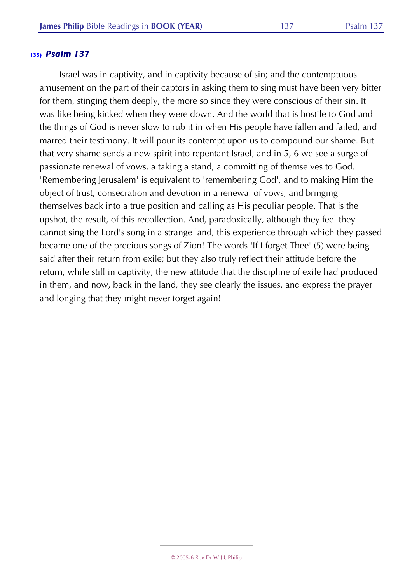Israel was in captivity, and in captivity because of sin; and the contemptuous amusement on the part of their captors in asking them to sing must have been very bitter for them, stinging them deeply, the more so since they were conscious of their sin. It was like being kicked when they were down. And the world that is hostile to God and the things of God is never slow to rub it in when His people have fallen and failed, and marred their testimony. It will pour its contempt upon us to compound our shame. But that very shame sends a new spirit into repentant Israel, and in 5, 6 we see a surge of passionate renewal of vows, a taking a stand, a committing of themselves to God. 'Remembering Jerusalem' is equivalent to 'remembering God', and to making Him the object of trust, consecration and devotion in a renewal of vows, and bringing themselves back into a true position and calling as His peculiar people. That is the upshot, the result, of this recollection. And, paradoxically, although they feel they cannot sing the Lord's song in a strange land, this experience through which they passed became one of the precious songs of Zion! The words 'If I forget Thee' (5) were being said after their return from exile; but they also truly reflect their attitude before the return, while still in captivity, the new attitude that the discipline of exile had produced in them, and now, back in the land, they see clearly the issues, and express the prayer and longing that they might never forget again!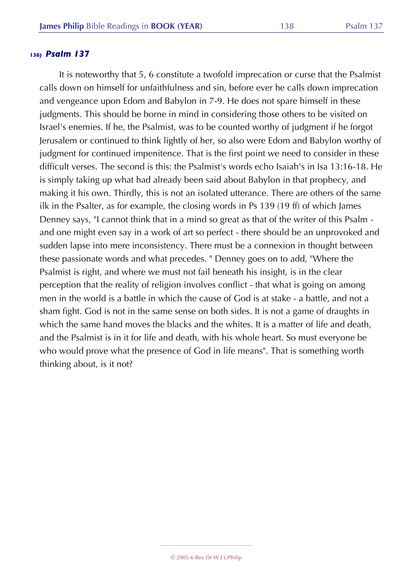It is noteworthy that 5, 6 constitute a twofold imprecation or curse that the Psalmist calls down on himself for unfaithfulness and sin, before ever he calls down imprecation and vengeance upon Edom and Babylon in 7-9. He does not spare himself in these judgments. This should be borne in mind in considering those others to be visited on Israel's enemies. If he, the Psalmist, was to be counted worthy of judgment if he forgot Jerusalem or continued to think lightly of her, so also were Edom and Babylon worthy of judgment for continued impenitence. That is the first point we need to consider in these difficult verses. The second is this: the Psalmist's words echo Isaiah's in Isa 13:16-18. He is simply taking up what had already been said about Babylon in that prophecy, and making it his own. Thirdly, this is not an isolated utterance. There are others of the same ilk in the Psalter, as for example, the closing words in Ps 139 (19 ff) of which James Denney says, "I cannot think that in a mind so great as that of the writer of this Psalm and one might even say in a work of art so perfect - there should be an unprovoked and sudden lapse into mere inconsistency. There must be a connexion in thought between these passionate words and what precedes. " Denney goes on to add, "Where the Psalmist is right, and where we must not fail beneath his insight, is in the clear perception that the reality of religion involves conflict - that what is going on among men in the world is a battle in which the cause of God is at stake - a battle, and not a sham fight. God is not in the same sense on both sides. It is not a game of draughts in which the same hand moves the blacks and the whites. It is a matter of life and death, and the Psalmist is in it for life and death, with his whole heart. So must everyone be who would prove what the presence of God in life means". That is something worth thinking about, is it not?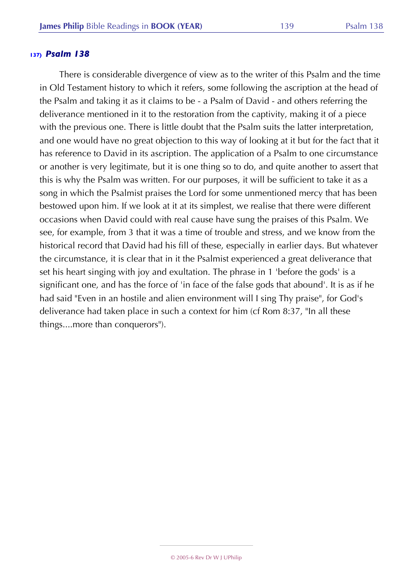There is considerable divergence of view as to the writer of this Psalm and the time in Old Testament history to which it refers, some following the ascription at the head of the Psalm and taking it as it claims to be - a Psalm of David - and others referring the deliverance mentioned in it to the restoration from the captivity, making it of a piece with the previous one. There is little doubt that the Psalm suits the latter interpretation, and one would have no great objection to this way of looking at it but for the fact that it has reference to David in its ascription. The application of a Psalm to one circumstance or another is very legitimate, but it is one thing so to do, and quite another to assert that this is why the Psalm was written. For our purposes, it will be sufficient to take it as a song in which the Psalmist praises the Lord for some unmentioned mercy that has been bestowed upon him. If we look at it at its simplest, we realise that there were different occasions when David could with real cause have sung the praises of this Psalm. We see, for example, from 3 that it was a time of trouble and stress, and we know from the historical record that David had his fill of these, especially in earlier days. But whatever the circumstance, it is clear that in it the Psalmist experienced a great deliverance that set his heart singing with joy and exultation. The phrase in 1 'before the gods' is a significant one, and has the force of 'in face of the false gods that abound'. It is as if he had said "Even in an hostile and alien environment will I sing Thy praise", for God's deliverance had taken place in such a context for him (cf Rom 8:37, "In all these things....more than conquerors").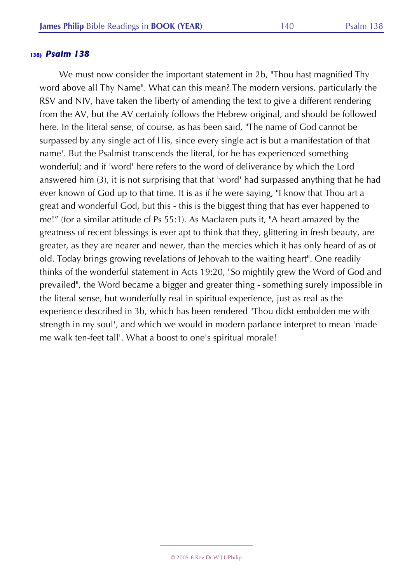We must now consider the important statement in 2b, "Thou hast magnified Thy word above all Thy Name". What can this mean? The modern versions, particularly the RSV and NIV, have taken the liberty of amending the text to give a different rendering from the AV, but the AV certainly follows the Hebrew original, and should be followed here. In the literal sense, of course, as has been said, "The name of God cannot be surpassed by any single act of His, since every single act is but a manifestation of that name'. But the Psalmist transcends the literal, for he has experienced something wonderful; and if 'word' here refers to the word of deliverance by which the Lord answered him (3), it is not surprising that that 'word' had surpassed anything that he had ever known of God up to that time. It is as if he were saying, "I know that Thou art a great and wonderful God, but this - this is the biggest thing that has ever happened to me!" (for a similar attitude cf Ps 55:1). As Maclaren puts it, "A heart amazed by the greatness of recent blessings is ever apt to think that they, glittering in fresh beauty, are greater, as they are nearer and newer, than the mercies which it has only heard of as of old. Today brings growing revelations of Jehovah to the waiting heart". One readily thinks of the wonderful statement in Acts 19:20, "So mightily grew the Word of God and prevailed", the Word became a bigger and greater thing - something surely impossible in the literal sense, but wonderfully real in spiritual experience, just as real as the experience described in 3b, which has been rendered "Thou didst embolden me with strength in my soul', and which we would in modern parlance interpret to mean 'made me walk ten-feet tall'. What a boost to one's spiritual morale!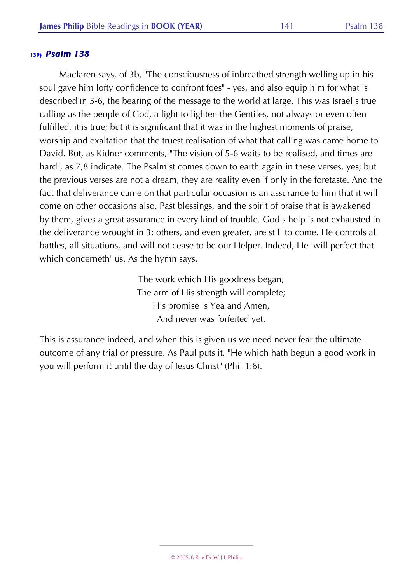Maclaren says, of 3b, "The consciousness of inbreathed strength welling up in his soul gave him lofty confidence to confront foes" - yes, and also equip him for what is described in 5-6, the bearing of the message to the world at large. This was Israel's true calling as the people of God, a light to lighten the Gentiles, not always or even often fulfilled, it is true; but it is significant that it was in the highest moments of praise, worship and exaltation that the truest realisation of what that calling was came home to David. But, as Kidner comments, "The vision of 5-6 waits to be realised, and times are hard", as 7,8 indicate. The Psalmist comes down to earth again in these verses, yes; but the previous verses are not a dream, they are reality even if only in the foretaste. And the fact that deliverance came on that particular occasion is an assurance to him that it will come on other occasions also. Past blessings, and the spirit of praise that is awakened by them, gives a great assurance in every kind of trouble. God's help is not exhausted in the deliverance wrought in 3: others, and even greater, are still to come. He controls all battles, all situations, and will not cease to be our Helper. Indeed, He 'will perfect that which concerneth' us. As the hymn says,

> The work which His goodness began, The arm of His strength will complete; His promise is Yea and Amen, And never was forfeited yet.

This is assurance indeed, and when this is given us we need never fear the ultimate outcome of any trial or pressure. As Paul puts it, "He which hath begun a good work in you will perform it until the day of Jesus Christ" (Phil 1:6).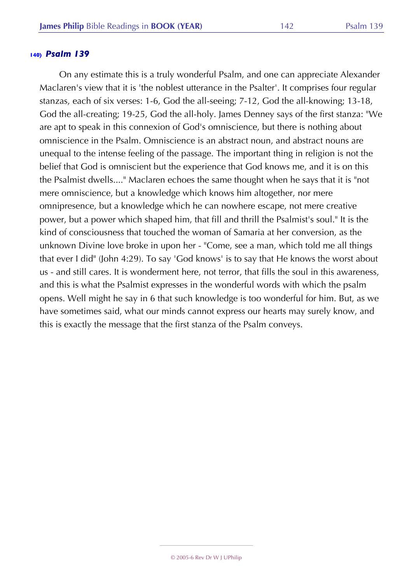On any estimate this is a truly wonderful Psalm, and one can appreciate Alexander Maclaren's view that it is 'the noblest utterance in the Psalter'. It comprises four regular stanzas, each of six verses: 1-6, God the all-seeing; 7-12, God the all-knowing; 13-18, God the all-creating; 19-25, God the all-holy. James Denney says of the first stanza: "We are apt to speak in this connexion of God's omniscience, but there is nothing about omniscience in the Psalm. Omniscience is an abstract noun, and abstract nouns are unequal to the intense feeling of the passage. The important thing in religion is not the belief that God is omniscient but the experience that God knows me, and it is on this the Psalmist dwells...." Maclaren echoes the same thought when he says that it is "not mere omniscience, but a knowledge which knows him altogether, nor mere omnipresence, but a knowledge which he can nowhere escape, not mere creative power, but a power which shaped him, that fill and thrill the Psalmist's soul." It is the kind of consciousness that touched the woman of Samaria at her conversion, as the unknown Divine love broke in upon her - "Come, see a man, which told me all things that ever I did" (John 4:29). To say 'God knows' is to say that He knows the worst about us - and still cares. It is wonderment here, not terror, that fills the soul in this awareness, and this is what the Psalmist expresses in the wonderful words with which the psalm opens. Well might he say in 6 that such knowledge is too wonderful for him. But, as we have sometimes said, what our minds cannot express our hearts may surely know, and this is exactly the message that the first stanza of the Psalm conveys.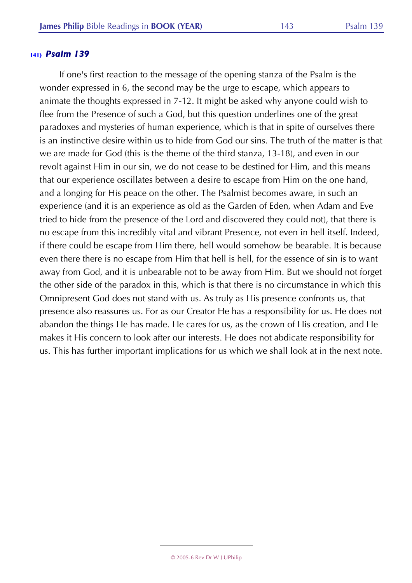If one's first reaction to the message of the opening stanza of the Psalm is the wonder expressed in 6, the second may be the urge to escape, which appears to animate the thoughts expressed in 7-12. It might be asked why anyone could wish to flee from the Presence of such a God, but this question underlines one of the great paradoxes and mysteries of human experience, which is that in spite of ourselves there is an instinctive desire within us to hide from God our sins. The truth of the matter is that we are made for God (this is the theme of the third stanza, 13-18), and even in our revolt against Him in our sin, we do not cease to be destined for Him, and this means that our experience oscillates between a desire to escape from Him on the one hand, and a longing for His peace on the other. The Psalmist becomes aware, in such an experience (and it is an experience as old as the Garden of Eden, when Adam and Eve tried to hide from the presence of the Lord and discovered they could not), that there is no escape from this incredibly vital and vibrant Presence, not even in hell itself. Indeed, if there could be escape from Him there, hell would somehow be bearable. It is because even there there is no escape from Him that hell is hell, for the essence of sin is to want away from God, and it is unbearable not to be away from Him. But we should not forget the other side of the paradox in this, which is that there is no circumstance in which this Omnipresent God does not stand with us. As truly as His presence confronts us, that presence also reassures us. For as our Creator He has a responsibility for us. He does not abandon the things He has made. He cares for us, as the crown of His creation, and He makes it His concern to look after our interests. He does not abdicate responsibility for us. This has further important implications for us which we shall look at in the next note.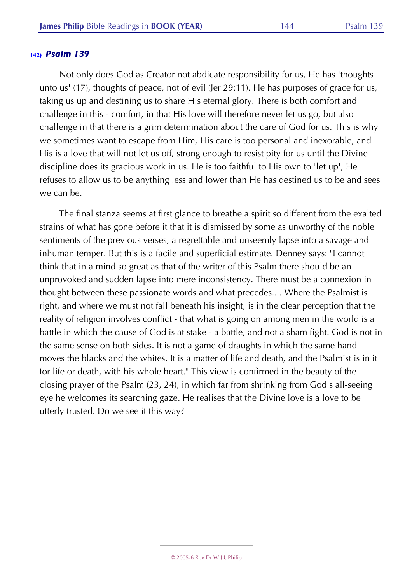Not only does God as Creator not abdicate responsibility for us, He has 'thoughts unto us' (17), thoughts of peace, not of evil (Jer 29:11). He has purposes of grace for us, taking us up and destining us to share His eternal glory. There is both comfort and challenge in this - comfort, in that His love will therefore never let us go, but also challenge in that there is a grim determination about the care of God for us. This is why we sometimes want to escape from Him, His care is too personal and inexorable, and His is a love that will not let us off, strong enough to resist pity for us until the Divine discipline does its gracious work in us. He is too faithful to His own to 'let up', He refuses to allow us to be anything less and lower than He has destined us to be and sees we can be.

The final stanza seems at first glance to breathe a spirit so different from the exalted strains of what has gone before it that it is dismissed by some as unworthy of the noble sentiments of the previous verses, a regrettable and unseemly lapse into a savage and inhuman temper. But this is a facile and superficial estimate. Denney says: "I cannot think that in a mind so great as that of the writer of this Psalm there should be an unprovoked and sudden lapse into mere inconsistency. There must be a connexion in thought between these passionate words and what precedes.... Where the Psalmist is right, and where we must not fall beneath his insight, is in the clear perception that the reality of religion involves conflict - that what is going on among men in the world is a battle in which the cause of God is at stake - a battle, and not a sham fight. God is not in the same sense on both sides. It is not a game of draughts in which the same hand moves the blacks and the whites. It is a matter of life and death, and the Psalmist is in it for life or death, with his whole heart." This view is confirmed in the beauty of the closing prayer of the Psalm (23, 24), in which far from shrinking from God's all-seeing eye he welcomes its searching gaze. He realises that the Divine love is a love to be utterly trusted. Do we see it this way?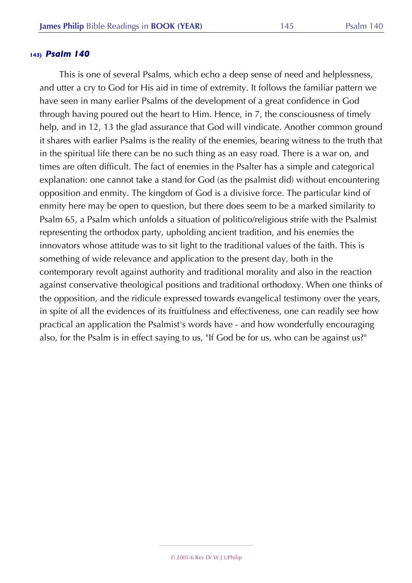This is one of several Psalms, which echo a deep sense of need and helplessness, and utter a cry to God for His aid in time of extremity. It follows the familiar pattern we have seen in many earlier Psalms of the development of a great confidence in God through having poured out the heart to Him. Hence, in 7, the consciousness of timely help, and in 12, 13 the glad assurance that God will vindicate. Another common ground it shares with earlier Psalms is the reality of the enemies, bearing witness to the truth that in the spiritual life there can be no such thing as an easy road. There is a war on, and times are often difficult. The fact of enemies in the Psalter has a simple and categorical explanation: one cannot take a stand for God (as the psalmist did) without encountering opposition and enmity. The kingdom of God is a divisive force. The particular kind of enmity here may be open to question, but there does seem to be a marked similarity to Psalm 65, a Psalm which unfolds a situation of politico/religious strife with the Psalmist representing the orthodox party, upholding ancient tradition, and his enemies the innovators whose attitude was to sit light to the traditional values of the faith. This is something of wide relevance and application to the present day, both in the contemporary revolt against authority and traditional morality and also in the reaction against conservative theological positions and traditional orthodoxy. When one thinks of the opposition, and the ridicule expressed towards evangelical testimony over the years, in spite of all the evidences of its fruitfulness and effectiveness, one can readily see how practical an application the Psalmist's words have - and how wonderfully encouraging also, for the Psalm is in effect saying to us, "If God be for us, who can be against us?"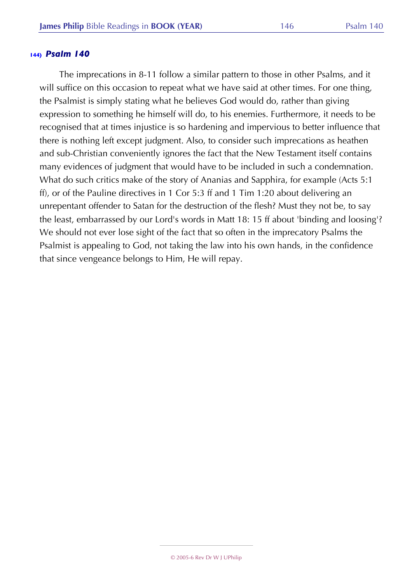The imprecations in 8-11 follow a similar pattern to those in other Psalms, and it will suffice on this occasion to repeat what we have said at other times. For one thing, the Psalmist is simply stating what he believes God would do, rather than giving expression to something he himself will do, to his enemies. Furthermore, it needs to be recognised that at times injustice is so hardening and impervious to better influence that there is nothing left except judgment. Also, to consider such imprecations as heathen and sub-Christian conveniently ignores the fact that the New Testament itself contains many evidences of judgment that would have to be included in such a condemnation. What do such critics make of the story of Ananias and Sapphira, for example (Acts 5:1 ff), or of the Pauline directives in 1 Cor 5:3 ff and 1 Tim 1:20 about delivering an unrepentant offender to Satan for the destruction of the flesh? Must they not be, to say the least, embarrassed by our Lord's words in Matt 18: 15 ff about 'binding and loosing'? We should not ever lose sight of the fact that so often in the imprecatory Psalms the Psalmist is appealing to God, not taking the law into his own hands, in the confidence that since vengeance belongs to Him, He will repay.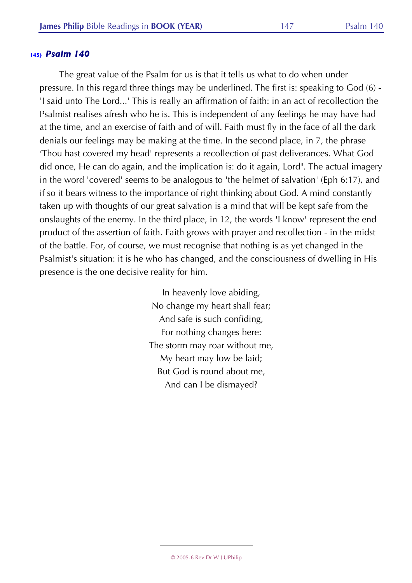The great value of the Psalm for us is that it tells us what to do when under pressure. In this regard three things may be underlined. The first is: speaking to God (6) - 'I said unto The Lord...' This is really an affirmation of faith: in an act of recollection the Psalmist realises afresh who he is. This is independent of any feelings he may have had at the time, and an exercise of faith and of will. Faith must fly in the face of all the dark denials our feelings may be making at the time. In the second place, in 7, the phrase 'Thou hast covered my head' represents a recollection of past deliverances. What God did once, He can do again, and the implication is: do it again, Lord". The actual imagery in the word 'covered' seems to be analogous to 'the helmet of salvation' (Eph 6:17), and if so it bears witness to the importance of right thinking about God. A mind constantly taken up with thoughts of our great salvation is a mind that will be kept safe from the onslaughts of the enemy. In the third place, in 12, the words 'I know' represent the end product of the assertion of faith. Faith grows with prayer and recollection - in the midst of the battle. For, of course, we must recognise that nothing is as yet changed in the Psalmist's situation: it is he who has changed, and the consciousness of dwelling in His presence is the one decisive reality for him.

> In heavenly love abiding, No change my heart shall fear; And safe is such confiding, For nothing changes here: The storm may roar without me, My heart may low be laid; But God is round about me, And can I be dismayed?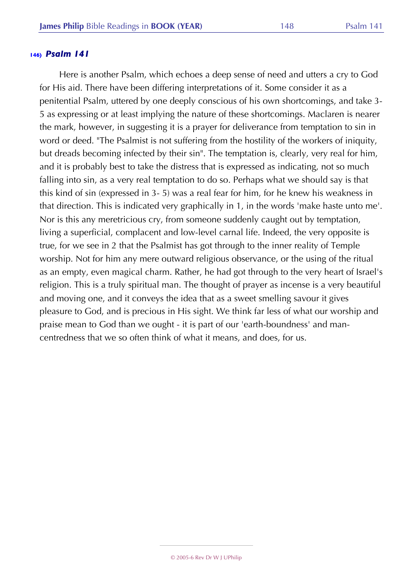Here is another Psalm, which echoes a deep sense of need and utters a cry to God for His aid. There have been differing interpretations of it. Some consider it as a penitential Psalm, uttered by one deeply conscious of his own shortcomings, and take 3- 5 as expressing or at least implying the nature of these shortcomings. Maclaren is nearer the mark, however, in suggesting it is a prayer for deliverance from temptation to sin in word or deed. "The Psalmist is not suffering from the hostility of the workers of iniquity, but dreads becoming infected by their sin". The temptation is, clearly, very real for him, and it is probably best to take the distress that is expressed as indicating, not so much falling into sin, as a very real temptation to do so. Perhaps what we should say is that this kind of sin (expressed in 3- 5) was a real fear for him, for he knew his weakness in that direction. This is indicated very graphically in 1, in the words 'make haste unto me'. Nor is this any meretricious cry, from someone suddenly caught out by temptation, living a superficial, complacent and low-level carnal life. Indeed, the very opposite is true, for we see in 2 that the Psalmist has got through to the inner reality of Temple worship. Not for him any mere outward religious observance, or the using of the ritual as an empty, even magical charm. Rather, he had got through to the very heart of Israel's religion. This is a truly spiritual man. The thought of prayer as incense is a very beautiful and moving one, and it conveys the idea that as a sweet smelling savour it gives pleasure to God, and is precious in His sight. We think far less of what our worship and praise mean to God than we ought - it is part of our 'earth-boundness' and mancentredness that we so often think of what it means, and does, for us.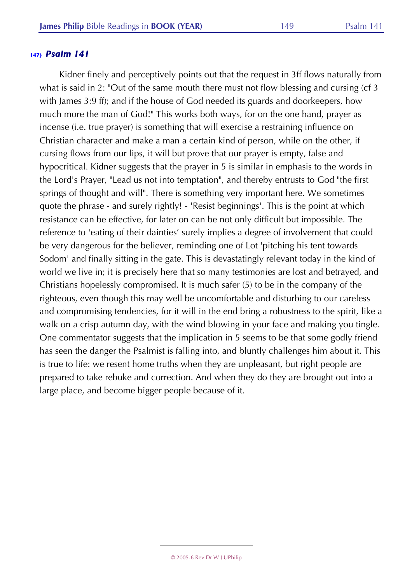Kidner finely and perceptively points out that the request in 3ff flows naturally from what is said in 2: "Out of the same mouth there must not flow blessing and cursing (cf 3) with James 3:9 ff); and if the house of God needed its guards and doorkeepers, how much more the man of God!" This works both ways, for on the one hand, prayer as incense (i.e. true prayer) is something that will exercise a restraining influence on Christian character and make a man a certain kind of person, while on the other, if cursing flows from our lips, it will but prove that our prayer is empty, false and hypocritical. Kidner suggests that the prayer in 5 is similar in emphasis to the words in the Lord's Prayer, "Lead us not into temptation", and thereby entrusts to God "the first springs of thought and will". There is something very important here. We sometimes quote the phrase - and surely rightly! - 'Resist beginnings'. This is the point at which resistance can be effective, for later on can be not only difficult but impossible. The reference to 'eating of their dainties' surely implies a degree of involvement that could be very dangerous for the believer, reminding one of Lot 'pitching his tent towards Sodom' and finally sitting in the gate. This is devastatingly relevant today in the kind of world we live in; it is precisely here that so many testimonies are lost and betrayed, and Christians hopelessly compromised. It is much safer (5) to be in the company of the righteous, even though this may well be uncomfortable and disturbing to our careless and compromising tendencies, for it will in the end bring a robustness to the spirit, like a walk on a crisp autumn day, with the wind blowing in your face and making you tingle. One commentator suggests that the implication in 5 seems to be that some godly friend has seen the danger the Psalmist is falling into, and bluntly challenges him about it. This is true to life: we resent home truths when they are unpleasant, but right people are prepared to take rebuke and correction. And when they do they are brought out into a large place, and become bigger people because of it.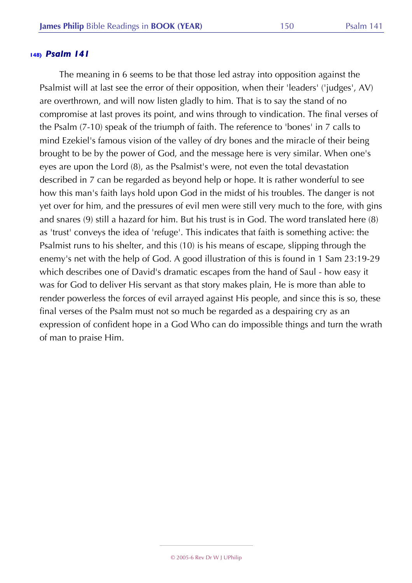The meaning in 6 seems to be that those led astray into opposition against the Psalmist will at last see the error of their opposition, when their 'leaders' ('judges', AV) are overthrown, and will now listen gladly to him. That is to say the stand of no compromise at last proves its point, and wins through to vindication. The final verses of the Psalm (7-10) speak of the triumph of faith. The reference to 'bones' in 7 calls to mind Ezekiel's famous vision of the valley of dry bones and the miracle of their being brought to be by the power of God, and the message here is very similar. When one's eyes are upon the Lord (8), as the Psalmist's were, not even the total devastation described in 7 can be regarded as beyond help or hope. It is rather wonderful to see how this man's faith lays hold upon God in the midst of his troubles. The danger is not yet over for him, and the pressures of evil men were still very much to the fore, with gins and snares (9) still a hazard for him. But his trust is in God. The word translated here (8) as 'trust' conveys the idea of 'refuge'. This indicates that faith is something active: the Psalmist runs to his shelter, and this (10) is his means of escape, slipping through the enemy's net with the help of God. A good illustration of this is found in 1 Sam 23:19-29 which describes one of David's dramatic escapes from the hand of Saul - how easy it was for God to deliver His servant as that story makes plain, He is more than able to render powerless the forces of evil arrayed against His people, and since this is so, these final verses of the Psalm must not so much be regarded as a despairing cry as an expression of confident hope in a God Who can do impossible things and turn the wrath of man to praise Him.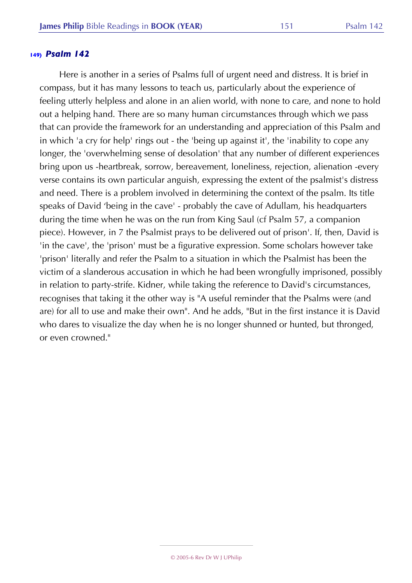Here is another in a series of Psalms full of urgent need and distress. It is brief in compass, but it has many lessons to teach us, particularly about the experience of feeling utterly helpless and alone in an alien world, with none to care, and none to hold out a helping hand. There are so many human circumstances through which we pass that can provide the framework for an understanding and appreciation of this Psalm and in which 'a cry for help' rings out - the 'being up against it', the 'inability to cope any longer, the 'overwhelming sense of desolation' that any number of different experiences bring upon us -heartbreak, sorrow, bereavement, loneliness, rejection, alienation -every verse contains its own particular anguish, expressing the extent of the psalmist's distress and need. There is a problem involved in determining the context of the psalm. Its title speaks of David 'being in the cave' - probably the cave of Adullam, his headquarters during the time when he was on the run from King Saul (cf Psalm 57, a companion piece). However, in 7 the Psalmist prays to be delivered out of prison'. If, then, David is 'in the cave', the 'prison' must be a figurative expression. Some scholars however take 'prison' literally and refer the Psalm to a situation in which the Psalmist has been the victim of a slanderous accusation in which he had been wrongfully imprisoned, possibly in relation to party-strife. Kidner, while taking the reference to David's circumstances, recognises that taking it the other way is "A useful reminder that the Psalms were (and are) for all to use and make their own". And he adds, "But in the first instance it is David who dares to visualize the day when he is no longer shunned or hunted, but thronged, or even crowned."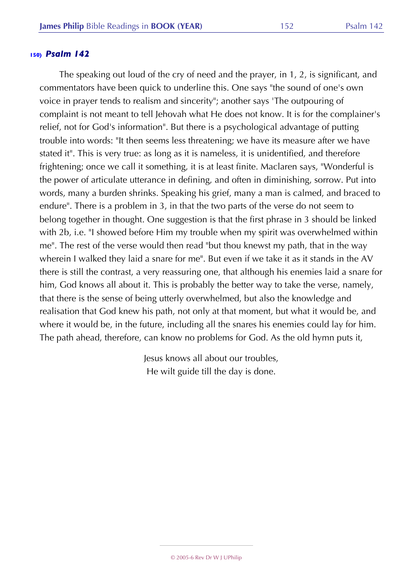The speaking out loud of the cry of need and the prayer, in 1, 2, is significant, and commentators have been quick to underline this. One says "the sound of one's own voice in prayer tends to realism and sincerity"; another says 'The outpouring of complaint is not meant to tell Jehovah what He does not know. It is for the complainer's relief, not for God's information". But there is a psychological advantage of putting trouble into words: "It then seems less threatening; we have its measure after we have stated it". This is very true: as long as it is nameless, it is unidentified, and therefore frightening; once we call it something, it is at least finite. Maclaren says, "Wonderful is the power of articulate utterance in defining, and often in diminishing, sorrow. Put into words, many a burden shrinks. Speaking his grief, many a man is calmed, and braced to endure". There is a problem in 3, in that the two parts of the verse do not seem to belong together in thought. One suggestion is that the first phrase in 3 should be linked with 2b, i.e. "I showed before Him my trouble when my spirit was overwhelmed within me". The rest of the verse would then read "but thou knewst my path, that in the way wherein I walked they laid a snare for me". But even if we take it as it stands in the AV there is still the contrast, a very reassuring one, that although his enemies laid a snare for him, God knows all about it. This is probably the better way to take the verse, namely, that there is the sense of being utterly overwhelmed, but also the knowledge and realisation that God knew his path, not only at that moment, but what it would be, and where it would be, in the future, including all the snares his enemies could lay for him. The path ahead, therefore, can know no problems for God. As the old hymn puts it,

> Jesus knows all about our troubles, He wilt guide till the day is done.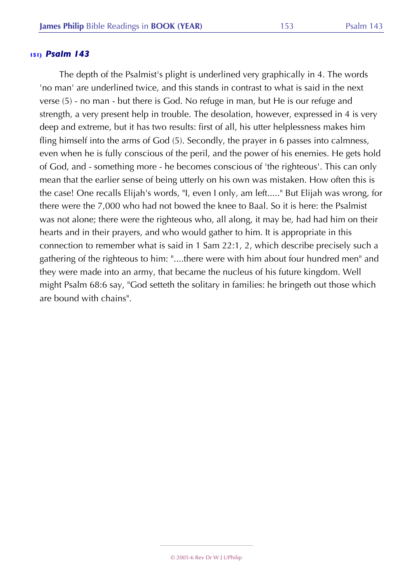The depth of the Psalmist's plight is underlined very graphically in 4. The words 'no man' are underlined twice, and this stands in contrast to what is said in the next verse (5) - no man - but there is God. No refuge in man, but He is our refuge and strength, a very present help in trouble. The desolation, however, expressed in 4 is very deep and extreme, but it has two results: first of all, his utter helplessness makes him fling himself into the arms of God (5). Secondly, the prayer in 6 passes into calmness, even when he is fully conscious of the peril, and the power of his enemies. He gets hold of God, and - something more - he becomes conscious of 'the righteous'. This can only mean that the earlier sense of being utterly on his own was mistaken. How often this is the case! One recalls Elijah's words, "I, even I only, am left....." But Elijah was wrong, for there were the 7,000 who had not bowed the knee to Baal. So it is here: the Psalmist was not alone; there were the righteous who, all along, it may be, had had him on their hearts and in their prayers, and who would gather to him. It is appropriate in this connection to remember what is said in 1 Sam 22:1, 2, which describe precisely such a gathering of the righteous to him: "....there were with him about four hundred men" and they were made into an army, that became the nucleus of his future kingdom. Well might Psalm 68:6 say, "God setteth the solitary in families: he bringeth out those which are bound with chains".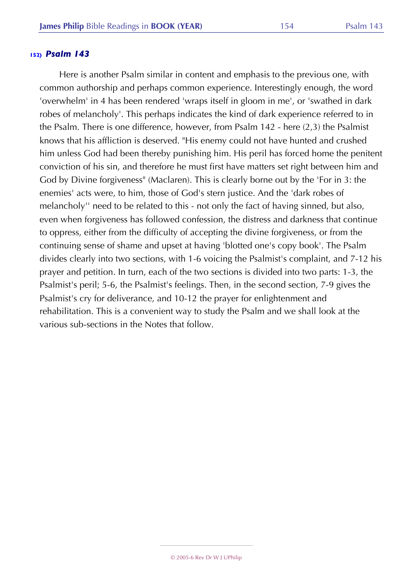Here is another Psalm similar in content and emphasis to the previous one, with common authorship and perhaps common experience. Interestingly enough, the word 'overwhelm' in 4 has been rendered 'wraps itself in gloom in me', or 'swathed in dark robes of melancholy'. This perhaps indicates the kind of dark experience referred to in the Psalm. There is one difference, however, from Psalm 142 - here (2,3) the Psalmist knows that his affliction is deserved. "His enemy could not have hunted and crushed him unless God had been thereby punishing him. His peril has forced home the penitent conviction of his sin, and therefore he must first have matters set right between him and God by Divine forgiveness" (Maclaren). This is clearly borne out by the 'For in 3: the enemies' acts were, to him, those of God's stern justice. And the 'dark robes of melancholy'' need to be related to this - not only the fact of having sinned, but also, even when forgiveness has followed confession, the distress and darkness that continue to oppress, either from the difficulty of accepting the divine forgiveness, or from the continuing sense of shame and upset at having 'blotted one's copy book'. The Psalm divides clearly into two sections, with 1-6 voicing the Psalmist's complaint, and 7-12 his prayer and petition. In turn, each of the two sections is divided into two parts: 1-3, the Psalmist's peril; 5-6, the Psalmist's feelings. Then, in the second section, 7-9 gives the Psalmist's cry for deliverance, and 10-12 the prayer for enlightenment and rehabilitation. This is a convenient way to study the Psalm and we shall look at the various sub-sections in the Notes that follow.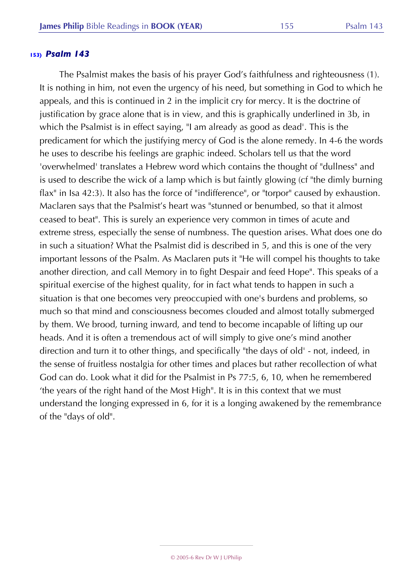The Psalmist makes the basis of his prayer God's faithfulness and righteousness (1). It is nothing in him, not even the urgency of his need, but something in God to which he appeals, and this is continued in 2 in the implicit cry for mercy. It is the doctrine of justification by grace alone that is in view, and this is graphically underlined in 3b, in which the Psalmist is in effect saying, "I am already as good as dead'. This is the predicament for which the justifying mercy of God is the alone remedy. In 4-6 the words he uses to describe his feelings are graphic indeed. Scholars tell us that the word 'overwhelmed' translates a Hebrew word which contains the thought of "dullness" and is used to describe the wick of a lamp which is but faintly glowing (cf "the dimly burning flax" in Isa 42:3). It also has the force of "indifference", or "torpor" caused by exhaustion. Maclaren says that the Psalmist's heart was "stunned or benumbed, so that it almost ceased to beat". This is surely an experience very common in times of acute and extreme stress, especially the sense of numbness. The question arises. What does one do in such a situation? What the Psalmist did is described in 5, and this is one of the very important lessons of the Psalm. As Maclaren puts it "He will compel his thoughts to take another direction, and call Memory in to fight Despair and feed Hope". This speaks of a spiritual exercise of the highest quality, for in fact what tends to happen in such a situation is that one becomes very preoccupied with one's burdens and problems, so much so that mind and consciousness becomes clouded and almost totally submerged by them. We brood, turning inward, and tend to become incapable of lifting up our heads. And it is often a tremendous act of will simply to give one's mind another direction and turn it to other things, and specifically "the days of old' - not, indeed, in the sense of fruitless nostalgia for other times and places but rather recollection of what God can do. Look what it did for the Psalmist in Ps 77:5, 6, 10, when he remembered 'the years of the right hand of the Most High". It is in this context that we must understand the longing expressed in 6, for it is a longing awakened by the remembrance of the "days of old".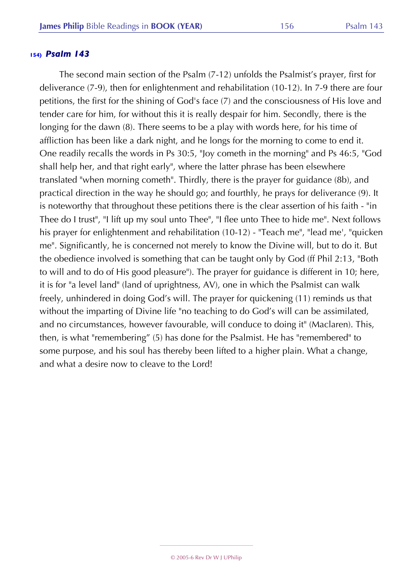The second main section of the Psalm (7-12) unfolds the Psalmist's prayer, first for deliverance (7-9), then for enlightenment and rehabilitation (10-12). In 7-9 there are four petitions, the first for the shining of God's face (7) and the consciousness of His love and tender care for him, for without this it is really despair for him. Secondly, there is the longing for the dawn (8). There seems to be a play with words here, for his time of affliction has been like a dark night, and he longs for the morning to come to end it. One readily recalls the words in Ps 30:5, "Joy cometh in the morning" and Ps 46:5, "God shall help her, and that right early", where the latter phrase has been elsewhere translated "when morning cometh". Thirdly, there is the prayer for guidance (8b), and practical direction in the way he should go; and fourthly, he prays for deliverance (9). It is noteworthy that throughout these petitions there is the clear assertion of his faith - "in Thee do I trust", "I lift up my soul unto Thee", "I flee unto Thee to hide me". Next follows his prayer for enlightenment and rehabilitation (10-12) - "Teach me", "lead me', "quicken me". Significantly, he is concerned not merely to know the Divine will, but to do it. But the obedience involved is something that can be taught only by God (ff Phil 2:13, "Both to will and to do of His good pleasure"). The prayer for guidance is different in 10; here, it is for "a level land" (land of uprightness, AV), one in which the Psalmist can walk freely, unhindered in doing God's will. The prayer for quickening (11) reminds us that without the imparting of Divine life "no teaching to do God's will can be assimilated, and no circumstances, however favourable, will conduce to doing it" (Maclaren). This, then, is what "remembering" (5) has done for the Psalmist. He has "remembered" to some purpose, and his soul has thereby been lifted to a higher plain. What a change, and what a desire now to cleave to the Lord!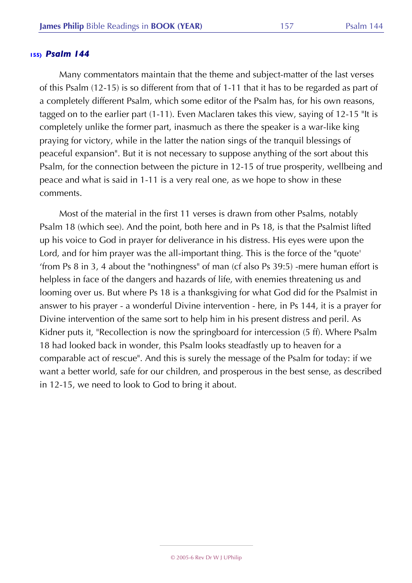Many commentators maintain that the theme and subject-matter of the last verses of this Psalm (12-15) is so different from that of 1-11 that it has to be regarded as part of a completely different Psalm, which some editor of the Psalm has, for his own reasons, tagged on to the earlier part (1-11). Even Maclaren takes this view, saying of 12-15 "It is completely unlike the former part, inasmuch as there the speaker is a war-like king praying for victory, while in the latter the nation sings of the tranquil blessings of peaceful expansion". But it is not necessary to suppose anything of the sort about this Psalm, for the connection between the picture in 12-15 of true prosperity, wellbeing and peace and what is said in 1-11 is a very real one, as we hope to show in these comments.

Most of the material in the first 11 verses is drawn from other Psalms, notably Psalm 18 (which see). And the point, both here and in Ps 18, is that the Psalmist lifted up his voice to God in prayer for deliverance in his distress. His eyes were upon the Lord, and for him prayer was the all-important thing. This is the force of the "quote' 'from Ps 8 in 3, 4 about the "nothingness" of man (cf also Ps 39:5) -mere human effort is helpless in face of the dangers and hazards of life, with enemies threatening us and looming over us. But where Ps 18 is a thanksgiving for what God did for the Psalmist in answer to his prayer - a wonderful Divine intervention - here, in Ps 144, it is a prayer for Divine intervention of the same sort to help him in his present distress and peril. As Kidner puts it, "Recollection is now the springboard for intercession (5 ff). Where Psalm 18 had looked back in wonder, this Psalm looks steadfastly up to heaven for a comparable act of rescue". And this is surely the message of the Psalm for today: if we want a better world, safe for our children, and prosperous in the best sense, as described in 12-15, we need to look to God to bring it about.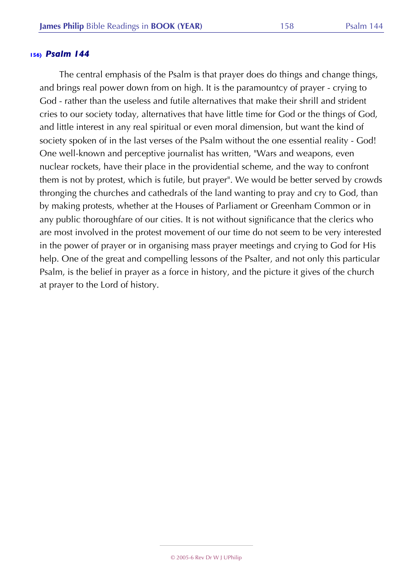The central emphasis of the Psalm is that prayer does do things and change things, and brings real power down from on high. It is the paramountcy of prayer - crying to God - rather than the useless and futile alternatives that make their shrill and strident cries to our society today, alternatives that have little time for God or the things of God, and little interest in any real spiritual or even moral dimension, but want the kind of society spoken of in the last verses of the Psalm without the one essential reality - God! One well-known and perceptive journalist has written, "Wars and weapons, even nuclear rockets, have their place in the providential scheme, and the way to confront them is not by protest, which is futile, but prayer". We would be better served by crowds thronging the churches and cathedrals of the land wanting to pray and cry to God, than by making protests, whether at the Houses of Parliament or Greenham Common or in any public thoroughfare of our cities. It is not without significance that the clerics who are most involved in the protest movement of our time do not seem to be very interested in the power of prayer or in organising mass prayer meetings and crying to God for His help. One of the great and compelling lessons of the Psalter, and not only this particular Psalm, is the belief in prayer as a force in history, and the picture it gives of the church at prayer to the Lord of history.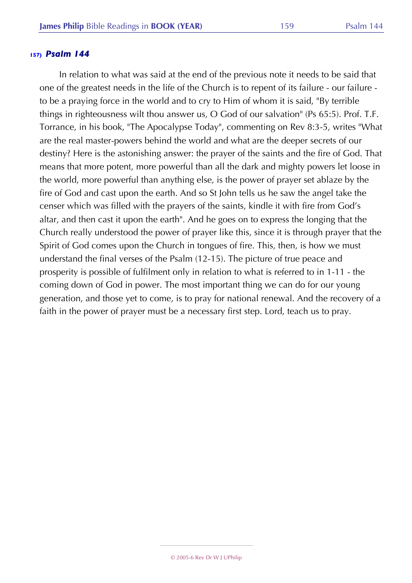In relation to what was said at the end of the previous note it needs to be said that one of the greatest needs in the life of the Church is to repent of its failure - our failure to be a praying force in the world and to cry to Him of whom it is said, "By terrible things in righteousness wilt thou answer us, O God of our salvation" (Ps 65:5). Prof. T.F. Torrance, in his book, "The Apocalypse Today", commenting on Rev 8:3-5, writes "What are the real master-powers behind the world and what are the deeper secrets of our destiny? Here is the astonishing answer: the prayer of the saints and the fire of God. That means that more potent, more powerful than all the dark and mighty powers let loose in the world, more powerful than anything else, is the power of prayer set ablaze by the fire of God and cast upon the earth. And so St John tells us he saw the angel take the censer which was filled with the prayers of the saints, kindle it with fire from God's altar, and then cast it upon the earth". And he goes on to express the longing that the Church really understood the power of prayer like this, since it is through prayer that the Spirit of God comes upon the Church in tongues of fire. This, then, is how we must understand the final verses of the Psalm (12-15). The picture of true peace and prosperity is possible of fulfilment only in relation to what is referred to in 1-11 - the coming down of God in power. The most important thing we can do for our young generation, and those yet to come, is to pray for national renewal. And the recovery of a faith in the power of prayer must be a necessary first step. Lord, teach us to pray.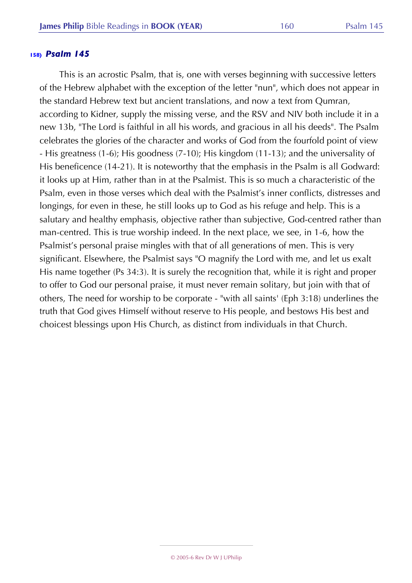This is an acrostic Psalm, that is, one with verses beginning with successive letters of the Hebrew alphabet with the exception of the letter "nun", which does not appear in the standard Hebrew text but ancient translations, and now a text from Qumran, according to Kidner, supply the missing verse, and the RSV and NIV both include it in a new 13b, "The Lord is faithful in all his words, and gracious in all his deeds". The Psalm celebrates the glories of the character and works of God from the fourfold point of view - His greatness (1-6); His goodness (7-10); His kingdom (11-13); and the universality of His beneficence (14-21). It is noteworthy that the emphasis in the Psalm is all Godward: it looks up at Him, rather than in at the Psalmist. This is so much a characteristic of the Psalm, even in those verses which deal with the Psalmist's inner conflicts, distresses and longings, for even in these, he still looks up to God as his refuge and help. This is a salutary and healthy emphasis, objective rather than subjective, God-centred rather than man-centred. This is true worship indeed. In the next place, we see, in 1-6, how the Psalmist's personal praise mingles with that of all generations of men. This is very significant. Elsewhere, the Psalmist says "O magnify the Lord with me, and let us exalt His name together (Ps 34:3). It is surely the recognition that, while it is right and proper to offer to God our personal praise, it must never remain solitary, but join with that of others, The need for worship to be corporate - "with all saints' (Eph 3:18) underlines the truth that God gives Himself without reserve to His people, and bestows His best and choicest blessings upon His Church, as distinct from individuals in that Church.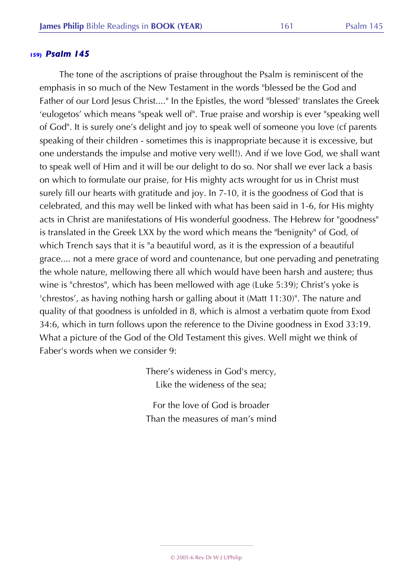The tone of the ascriptions of praise throughout the Psalm is reminiscent of the emphasis in so much of the New Testament in the words "blessed be the God and Father of our Lord Jesus Christ...." In the Epistles, the word "blessed' translates the Greek 'eulogetos' which means "speak well of". True praise and worship is ever "speaking well of God". It is surely one's delight and joy to speak well of someone you love (cf parents speaking of their children - sometimes this is inappropriate because it is excessive, but one understands the impulse and motive very well!). And if we love God, we shall want to speak well of Him and it will be our delight to do so. Nor shall we ever lack a basis on which to formulate our praise, for His mighty acts wrought for us in Christ must surely fill our hearts with gratitude and joy. In 7-10, it is the goodness of God that is celebrated, and this may well be linked with what has been said in 1-6, for His mighty acts in Christ are manifestations of His wonderful goodness. The Hebrew for "goodness" is translated in the Greek LXX by the word which means the "benignity" of God, of which Trench says that it is "a beautiful word, as it is the expression of a beautiful grace.... not a mere grace of word and countenance, but one pervading and penetrating the whole nature, mellowing there all which would have been harsh and austere; thus wine is "chrestos", which has been mellowed with age (Luke 5:39); Christ's yoke is 'chrestos', as having nothing harsh or galling about it (Matt 11:30)". The nature and quality of that goodness is unfolded in 8, which is almost a verbatim quote from Exod 34:6, which in turn follows upon the reference to the Divine goodness in Exod 33:19. What a picture of the God of the Old Testament this gives. Well might we think of Faber's words when we consider 9:

> There's wideness in God's mercy, Like the wideness of the sea;

> For the love of God is broader Than the measures of man's mind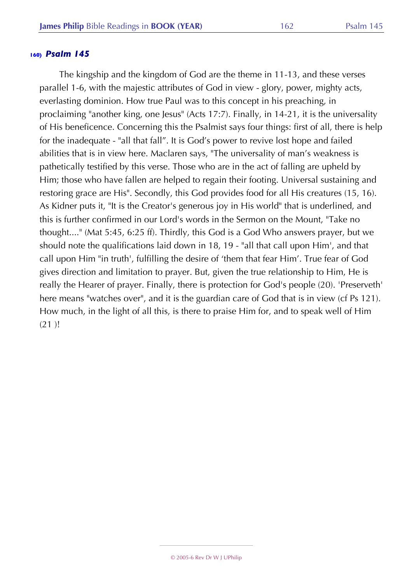The kingship and the kingdom of God are the theme in 11-13, and these verses parallel 1-6, with the majestic attributes of God in view - glory, power, mighty acts, everlasting dominion. How true Paul was to this concept in his preaching, in proclaiming "another king, one Jesus" (Acts 17:7). Finally, in 14-21, it is the universality of His beneficence. Concerning this the Psalmist says four things: first of all, there is help for the inadequate - "all that fall". It is God's power to revive lost hope and failed abilities that is in view here. Maclaren says, "The universality of man's weakness is pathetically testified by this verse. Those who are in the act of falling are upheld by Him; those who have fallen are helped to regain their footing. Universal sustaining and restoring grace are His". Secondly, this God provides food for all His creatures (15, 16). As Kidner puts it, "It is the Creator's generous joy in His world" that is underlined, and this is further confirmed in our Lord's words in the Sermon on the Mount, "Take no thought...." (Mat 5:45, 6:25 ff). Thirdly, this God is a God Who answers prayer, but we should note the qualifications laid down in 18, 19 - "all that call upon Him', and that call upon Him "in truth', fulfilling the desire of 'them that fear Him'. True fear of God gives direction and limitation to prayer. But, given the true relationship to Him, He is really the Hearer of prayer. Finally, there is protection for God's people (20). 'Preserveth' here means "watches over", and it is the guardian care of God that is in view (cf Ps 121). How much, in the light of all this, is there to praise Him for, and to speak well of Him (21 )!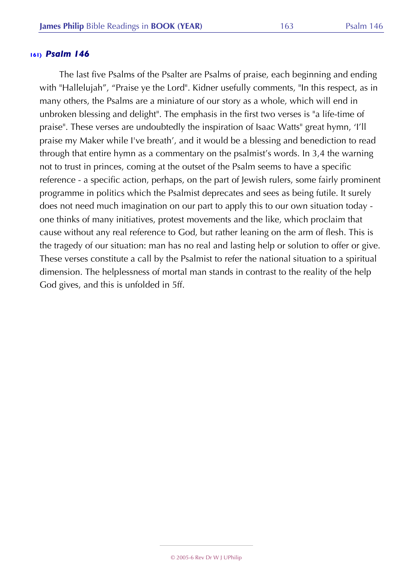The last five Psalms of the Psalter are Psalms of praise, each beginning and ending with "Hallelujah", "Praise ye the Lord". Kidner usefully comments, "In this respect, as in many others, the Psalms are a miniature of our story as a whole, which will end in unbroken blessing and delight". The emphasis in the first two verses is "a life-time of praise". These verses are undoubtedly the inspiration of Isaac Watts" great hymn, 'I'll praise my Maker while I've breath', and it would be a blessing and benediction to read through that entire hymn as a commentary on the psalmist's words. In 3,4 the warning not to trust in princes, coming at the outset of the Psalm seems to have a specific reference - a specific action, perhaps, on the part of Jewish rulers, some fairly prominent programme in politics which the Psalmist deprecates and sees as being futile. It surely does not need much imagination on our part to apply this to our own situation today one thinks of many initiatives, protest movements and the like, which proclaim that cause without any real reference to God, but rather leaning on the arm of flesh. This is the tragedy of our situation: man has no real and lasting help or solution to offer or give. These verses constitute a call by the Psalmist to refer the national situation to a spiritual dimension. The helplessness of mortal man stands in contrast to the reality of the help God gives, and this is unfolded in 5ff.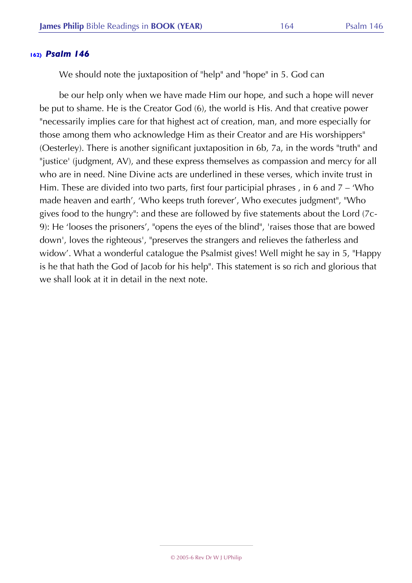We should note the juxtaposition of "help" and "hope" in 5. God can

be our help only when we have made Him our hope, and such a hope will never be put to shame. He is the Creator God (6), the world is His. And that creative power "necessarily implies care for that highest act of creation, man, and more especially for those among them who acknowledge Him as their Creator and are His worshippers" (Oesterley). There is another significant juxtaposition in 6b, 7a, in the words "truth" and "justice' (judgment, AV), and these express themselves as compassion and mercy for all who are in need. Nine Divine acts are underlined in these verses, which invite trust in Him. These are divided into two parts, first four participial phrases , in 6 and 7 – 'Who made heaven and earth', 'Who keeps truth forever', Who executes judgment", "Who gives food to the hungry": and these are followed by five statements about the Lord (7c-9): He 'looses the prisoners', "opens the eyes of the blind", 'raises those that are bowed down', loves the righteous', "preserves the strangers and relieves the fatherless and widow'. What a wonderful catalogue the Psalmist gives! Well might he say in 5, "Happy is he that hath the God of Jacob for his help". This statement is so rich and glorious that we shall look at it in detail in the next note.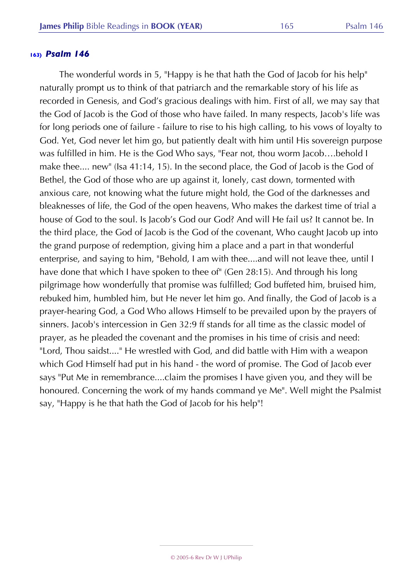The wonderful words in 5, "Happy is he that hath the God of Jacob for his help" naturally prompt us to think of that patriarch and the remarkable story of his life as recorded in Genesis, and God's gracious dealings with him. First of all, we may say that the God of Jacob is the God of those who have failed. In many respects, Jacob's life was for long periods one of failure - failure to rise to his high calling, to his vows of loyalty to God. Yet, God never let him go, but patiently dealt with him until His sovereign purpose was fulfilled in him. He is the God Who says, "Fear not, thou worm Jacob….behold I make thee.... new" (Isa 41:14, 15). In the second place, the God of Jacob is the God of Bethel, the God of those who are up against it, lonely, cast down, tormented with anxious care, not knowing what the future might hold, the God of the darknesses and bleaknesses of life, the God of the open heavens, Who makes the darkest time of trial a house of God to the soul. Is Jacob's God our God? And will He fail us? It cannot be. In the third place, the God of Jacob is the God of the covenant, Who caught Jacob up into the grand purpose of redemption, giving him a place and a part in that wonderful enterprise, and saying to him, "Behold, I am with thee....and will not leave thee, until I have done that which I have spoken to thee of" (Gen 28:15). And through his long pilgrimage how wonderfully that promise was fulfilled; God buffeted him, bruised him, rebuked him, humbled him, but He never let him go. And finally, the God of Jacob is a prayer-hearing God, a God Who allows Himself to be prevailed upon by the prayers of sinners. Jacob's intercession in Gen 32:9 ff stands for all time as the classic model of prayer, as he pleaded the covenant and the promises in his time of crisis and need: "Lord, Thou saidst...." He wrestled with God, and did battle with Him with a weapon which God Himself had put in his hand - the word of promise. The God of Jacob ever says "Put Me in remembrance....claim the promises I have given you, and they will be honoured. Concerning the work of my hands command ye Me". Well might the Psalmist say, "Happy is he that hath the God of Jacob for his help"!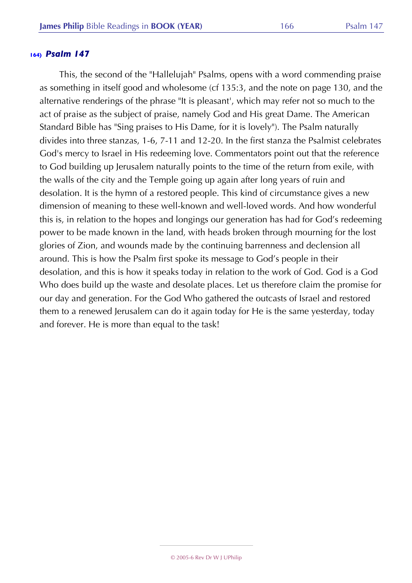This, the second of the "Hallelujah" Psalms, opens with a word commending praise as something in itself good and wholesome (cf 135:3, and the note on page 130, and the alternative renderings of the phrase "It is pleasant', which may refer not so much to the act of praise as the subject of praise, namely God and His great Dame. The American Standard Bible has "Sing praises to His Dame, for it is lovely"). The Psalm naturally divides into three stanzas, 1-6, 7-11 and 12-20. In the first stanza the Psalmist celebrates God's mercy to Israel in His redeeming love. Commentators point out that the reference to God building up Jerusalem naturally points to the time of the return from exile, with the walls of the city and the Temple going up again after long years of ruin and desolation. It is the hymn of a restored people. This kind of circumstance gives a new dimension of meaning to these well-known and well-loved words. And how wonderful this is, in relation to the hopes and longings our generation has had for God's redeeming power to be made known in the land, with heads broken through mourning for the lost glories of Zion, and wounds made by the continuing barrenness and declension all around. This is how the Psalm first spoke its message to God's people in their desolation, and this is how it speaks today in relation to the work of God. God is a God Who does build up the waste and desolate places. Let us therefore claim the promise for our day and generation. For the God Who gathered the outcasts of Israel and restored them to a renewed Jerusalem can do it again today for He is the same yesterday, today and forever. He is more than equal to the task!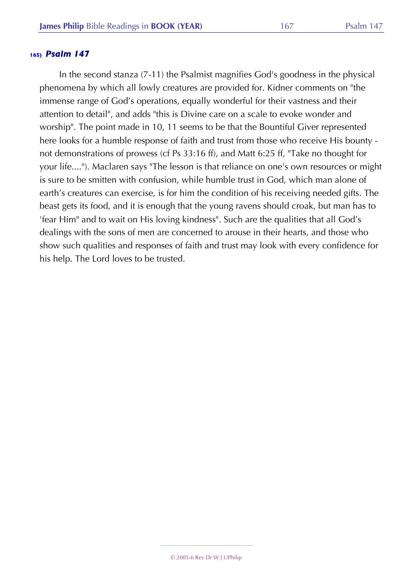In the second stanza (7-11) the Psalmist magnifies God's goodness in the physical phenomena by which all lowly creatures are provided for. Kidner comments on "the immense range of God's operations, equally wonderful for their vastness and their attention to detail", and adds "this is Divine care on a scale to evoke wonder and worship". The point made in 10, 11 seems to be that the Bountiful Giver represented here looks for a humble response of faith and trust from those who receive His bounty not demonstrations of prowess (cf Ps 33:16 ff), and Matt 6:25 ff, "Take no thought for your life...."). Maclaren says "The lesson is that reliance on one's own resources or might is sure to be smitten with confusion, while humble trust in God, which man alone of earth's creatures can exercise, is for him the condition of his receiving needed gifts. The beast gets its food, and it is enough that the young ravens should croak, but man has to 'fear Him" and to wait on His loving kindness". Such are the qualities that all God's dealings with the sons of men are concerned to arouse in their hearts, and those who show such qualities and responses of faith and trust may look with every confidence for his help. The Lord loves to be trusted.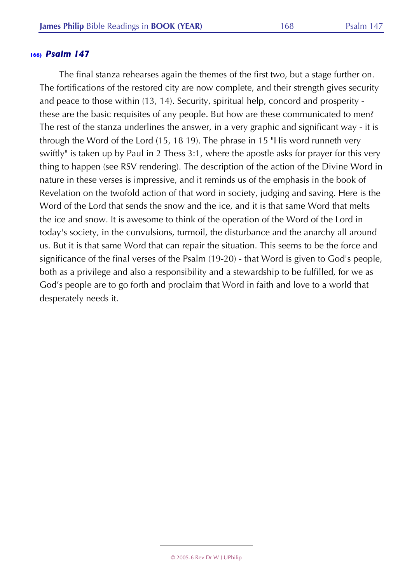The final stanza rehearses again the themes of the first two, but a stage further on. The fortifications of the restored city are now complete, and their strength gives security and peace to those within (13, 14). Security, spiritual help, concord and prosperity these are the basic requisites of any people. But how are these communicated to men? The rest of the stanza underlines the answer, in a very graphic and significant way - it is through the Word of the Lord (15, 18 19). The phrase in 15 "His word runneth very swiftly" is taken up by Paul in 2 Thess 3:1, where the apostle asks for prayer for this very thing to happen (see RSV rendering). The description of the action of the Divine Word in nature in these verses is impressive, and it reminds us of the emphasis in the book of Revelation on the twofold action of that word in society, judging and saving. Here is the Word of the Lord that sends the snow and the ice, and it is that same Word that melts the ice and snow. It is awesome to think of the operation of the Word of the Lord in today's society, in the convulsions, turmoil, the disturbance and the anarchy all around us. But it is that same Word that can repair the situation. This seems to be the force and significance of the final verses of the Psalm (19-20) - that Word is given to God's people, both as a privilege and also a responsibility and a stewardship to be fulfilled, for we as God's people are to go forth and proclaim that Word in faith and love to a world that desperately needs it.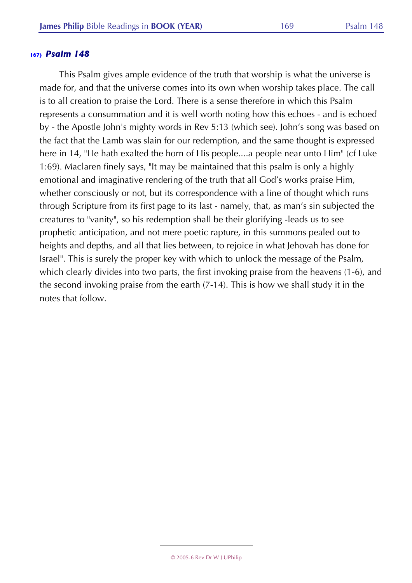This Psalm gives ample evidence of the truth that worship is what the universe is made for, and that the universe comes into its own when worship takes place. The call is to all creation to praise the Lord. There is a sense therefore in which this Psalm represents a consummation and it is well worth noting how this echoes - and is echoed by - the Apostle John's mighty words in Rev 5:13 (which see). John's song was based on the fact that the Lamb was slain for our redemption, and the same thought is expressed here in 14, "He hath exalted the horn of His people....a people near unto Him" (cf Luke 1:69). Maclaren finely says, "It may be maintained that this psalm is only a highly emotional and imaginative rendering of the truth that all God's works praise Him, whether consciously or not, but its correspondence with a line of thought which runs through Scripture from its first page to its last - namely, that, as man's sin subjected the creatures to "vanity", so his redemption shall be their glorifying -leads us to see prophetic anticipation, and not mere poetic rapture, in this summons pealed out to heights and depths, and all that lies between, to rejoice in what Jehovah has done for Israel". This is surely the proper key with which to unlock the message of the Psalm, which clearly divides into two parts, the first invoking praise from the heavens (1-6), and the second invoking praise from the earth (7-14). This is how we shall study it in the notes that follow.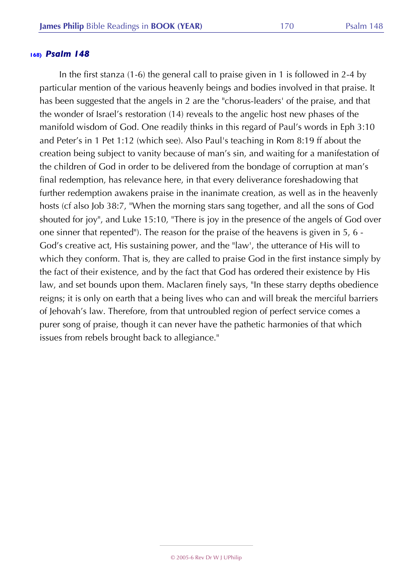In the first stanza (1-6) the general call to praise given in 1 is followed in 2-4 by particular mention of the various heavenly beings and bodies involved in that praise. It has been suggested that the angels in 2 are the "chorus-leaders' of the praise, and that the wonder of Israel's restoration (14) reveals to the angelic host new phases of the manifold wisdom of God. One readily thinks in this regard of Paul's words in Eph 3:10 and Peter's in 1 Pet 1:12 (which see). Also Paul's teaching in Rom 8:19 ff about the creation being subject to vanity because of man's sin, and waiting for a manifestation of the children of God in order to be delivered from the bondage of corruption at man's final redemption, has relevance here, in that every deliverance foreshadowing that further redemption awakens praise in the inanimate creation, as well as in the heavenly hosts (cf also Job 38:7, "When the morning stars sang together, and all the sons of God shouted for joy", and Luke 15:10, "There is joy in the presence of the angels of God over one sinner that repented"). The reason for the praise of the heavens is given in 5, 6 - God's creative act, His sustaining power, and the "law', the utterance of His will to which they conform. That is, they are called to praise God in the first instance simply by the fact of their existence, and by the fact that God has ordered their existence by His law, and set bounds upon them. Maclaren finely says, "In these starry depths obedience reigns; it is only on earth that a being lives who can and will break the merciful barriers of Jehovah's law. Therefore, from that untroubled region of perfect service comes a purer song of praise, though it can never have the pathetic harmonies of that which issues from rebels brought back to allegiance."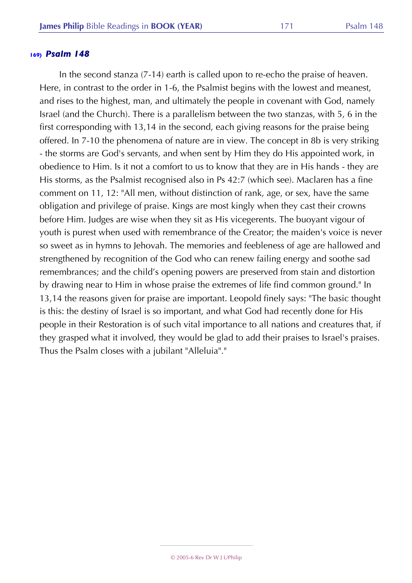In the second stanza (7-14) earth is called upon to re-echo the praise of heaven. Here, in contrast to the order in 1-6, the Psalmist begins with the lowest and meanest, and rises to the highest, man, and ultimately the people in covenant with God, namely Israel (and the Church). There is a parallelism between the two stanzas, with 5, 6 in the first corresponding with 13,14 in the second, each giving reasons for the praise being offered. In 7-10 the phenomena of nature are in view. The concept in 8b is very striking - the storms are God's servants, and when sent by Him they do His appointed work, in obedience to Him. Is it not a comfort to us to know that they are in His hands - they are His storms, as the Psalmist recognised also in Ps 42:7 (which see). Maclaren has a fine comment on 11, 12: "All men, without distinction of rank, age, or sex, have the same obligation and privilege of praise. Kings are most kingly when they cast their crowns before Him. Judges are wise when they sit as His vicegerents. The buoyant vigour of youth is purest when used with remembrance of the Creator; the maiden's voice is never so sweet as in hymns to Jehovah. The memories and feebleness of age are hallowed and strengthened by recognition of the God who can renew failing energy and soothe sad remembrances; and the child's opening powers are preserved from stain and distortion by drawing near to Him in whose praise the extremes of life find common ground." In 13,14 the reasons given for praise are important. Leopold finely says: "The basic thought is this: the destiny of Israel is so important, and what God had recently done for His people in their Restoration is of such vital importance to all nations and creatures that, if they grasped what it involved, they would be glad to add their praises to Israel's praises. Thus the Psalm closes with a jubilant "Alleluia"."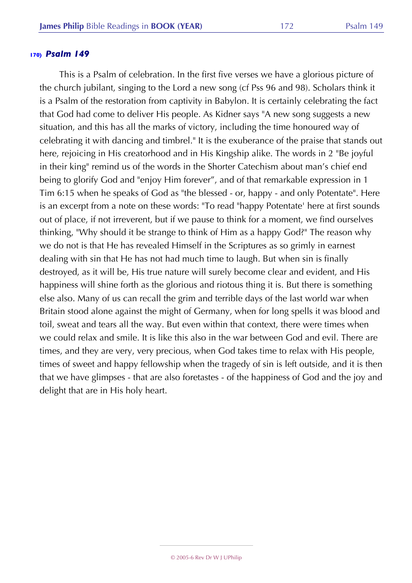This is a Psalm of celebration. In the first five verses we have a glorious picture of the church jubilant, singing to the Lord a new song (cf Pss 96 and 98). Scholars think it is a Psalm of the restoration from captivity in Babylon. It is certainly celebrating the fact that God had come to deliver His people. As Kidner says "A new song suggests a new situation, and this has all the marks of victory, including the time honoured way of celebrating it with dancing and timbrel." It is the exuberance of the praise that stands out here, rejoicing in His creatorhood and in His Kingship alike. The words in 2 "Be joyful in their king" remind us of the words in the Shorter Catechism about man's chief end being to glorify God and "enjoy Him forever", and of that remarkable expression in 1 Tim 6:15 when he speaks of God as "the blessed - or, happy - and only Potentate". Here is an excerpt from a note on these words: "To read "happy Potentate' here at first sounds out of place, if not irreverent, but if we pause to think for a moment, we find ourselves thinking, "Why should it be strange to think of Him as a happy God?" The reason why we do not is that He has revealed Himself in the Scriptures as so grimly in earnest dealing with sin that He has not had much time to laugh. But when sin is finally destroyed, as it will be, His true nature will surely become clear and evident, and His happiness will shine forth as the glorious and riotous thing it is. But there is something else also. Many of us can recall the grim and terrible days of the last world war when Britain stood alone against the might of Germany, when for long spells it was blood and toil, sweat and tears all the way. But even within that context, there were times when we could relax and smile. It is like this also in the war between God and evil. There are times, and they are very, very precious, when God takes time to relax with His people, times of sweet and happy fellowship when the tragedy of sin is left outside, and it is then that we have glimpses - that are also foretastes - of the happiness of God and the joy and delight that are in His holy heart.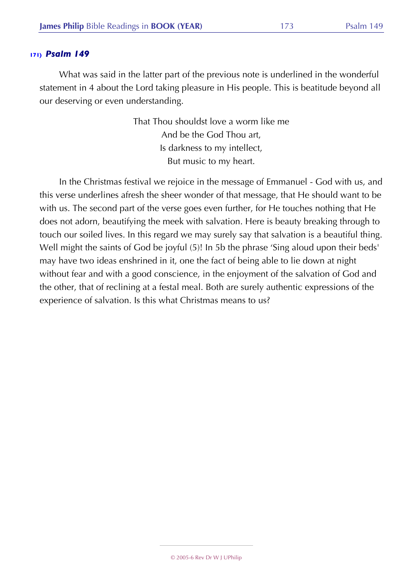What was said in the latter part of the previous note is underlined in the wonderful statement in 4 about the Lord taking pleasure in His people. This is beatitude beyond all our deserving or even understanding.

> That Thou shouldst love a worm like me And be the God Thou art, Is darkness to my intellect, But music to my heart.

In the Christmas festival we rejoice in the message of Emmanuel - God with us, and this verse underlines afresh the sheer wonder of that message, that He should want to be with us. The second part of the verse goes even further, for He touches nothing that He does not adorn, beautifying the meek with salvation. Here is beauty breaking through to touch our soiled lives. In this regard we may surely say that salvation is a beautiful thing. Well might the saints of God be joyful (5)! In 5b the phrase 'Sing aloud upon their beds' may have two ideas enshrined in it, one the fact of being able to lie down at night without fear and with a good conscience, in the enjoyment of the salvation of God and the other, that of reclining at a festal meal. Both are surely authentic expressions of the experience of salvation. Is this what Christmas means to us?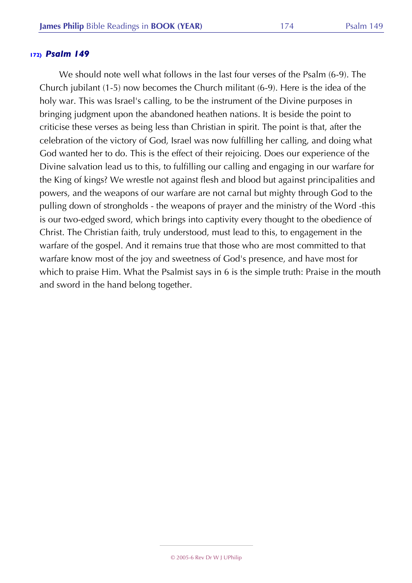We should note well what follows in the last four verses of the Psalm (6-9). The Church jubilant (1-5) now becomes the Church militant (6-9). Here is the idea of the holy war. This was Israel's calling, to be the instrument of the Divine purposes in bringing judgment upon the abandoned heathen nations. It is beside the point to criticise these verses as being less than Christian in spirit. The point is that, after the celebration of the victory of God, Israel was now fulfilling her calling, and doing what God wanted her to do. This is the effect of their rejoicing. Does our experience of the Divine salvation lead us to this, to fulfilling our calling and engaging in our warfare for the King of kings? We wrestle not against flesh and blood but against principalities and powers, and the weapons of our warfare are not carnal but mighty through God to the pulling down of strongholds - the weapons of prayer and the ministry of the Word -this is our two-edged sword, which brings into captivity every thought to the obedience of Christ. The Christian faith, truly understood, must lead to this, to engagement in the warfare of the gospel. And it remains true that those who are most committed to that warfare know most of the joy and sweetness of God's presence, and have most for which to praise Him. What the Psalmist says in 6 is the simple truth: Praise in the mouth and sword in the hand belong together.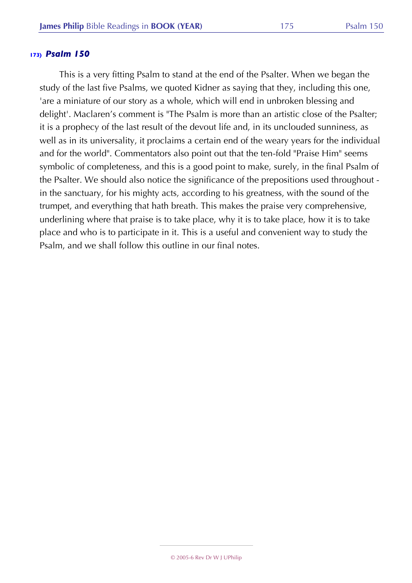This is a very fitting Psalm to stand at the end of the Psalter. When we began the study of the last five Psalms, we quoted Kidner as saying that they, including this one, 'are a miniature of our story as a whole, which will end in unbroken blessing and delight'. Maclaren's comment is "The Psalm is more than an artistic close of the Psalter; it is a prophecy of the last result of the devout life and, in its unclouded sunniness, as well as in its universality, it proclaims a certain end of the weary years for the individual and for the world". Commentators also point out that the ten-fold "Praise Him" seems symbolic of completeness, and this is a good point to make, surely, in the final Psalm of the Psalter. We should also notice the significance of the prepositions used throughout in the sanctuary, for his mighty acts, according to his greatness, with the sound of the trumpet, and everything that hath breath. This makes the praise very comprehensive, underlining where that praise is to take place, why it is to take place, how it is to take place and who is to participate in it. This is a useful and convenient way to study the Psalm, and we shall follow this outline in our final notes.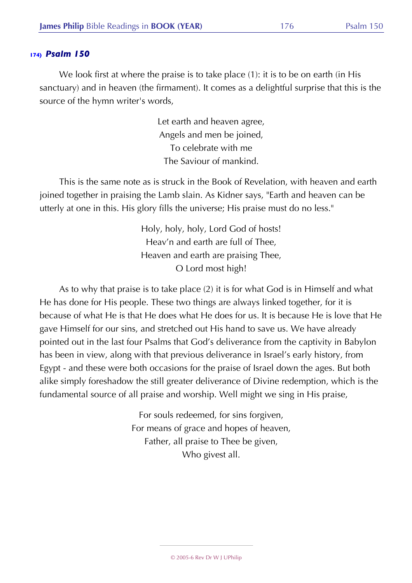We look first at where the praise is to take place (1): it is to be on earth (in His sanctuary) and in heaven (the firmament). It comes as a delightful surprise that this is the source of the hymn writer's words,

> Let earth and heaven agree, Angels and men be joined, To celebrate with me The Saviour of mankind.

This is the same note as is struck in the Book of Revelation, with heaven and earth joined together in praising the Lamb slain. As Kidner says, "Earth and heaven can be utterly at one in this. His glory fills the universe; His praise must do no less."

> Holy, holy, holy, Lord God of hosts! Heav'n and earth are full of Thee, Heaven and earth are praising Thee, O Lord most high!

As to why that praise is to take place (2) it is for what God is in Himself and what He has done for His people. These two things are always linked together, for it is because of what He is that He does what He does for us. It is because He is love that He gave Himself for our sins, and stretched out His hand to save us. We have already pointed out in the last four Psalms that God's deliverance from the captivity in Babylon has been in view, along with that previous deliverance in Israel's early history, from Egypt - and these were both occasions for the praise of Israel down the ages. But both alike simply foreshadow the still greater deliverance of Divine redemption, which is the fundamental source of all praise and worship. Well might we sing in His praise,

> For souls redeemed, for sins forgiven, For means of grace and hopes of heaven, Father, all praise to Thee be given, Who givest all.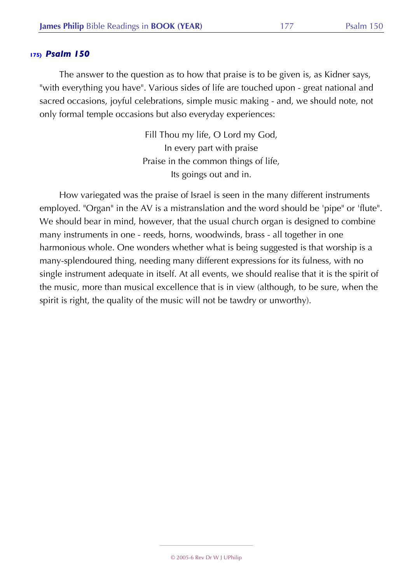The answer to the question as to how that praise is to be given is, as Kidner says, "with everything you have". Various sides of life are touched upon - great national and sacred occasions, joyful celebrations, simple music making - and, we should note, not only formal temple occasions but also everyday experiences:

> Fill Thou my life, O Lord my God, In every part with praise Praise in the common things of life, Its goings out and in.

How variegated was the praise of Israel is seen in the many different instruments employed. "Organ" in the AV is a mistranslation and the word should be 'pipe" or 'flute". We should bear in mind, however, that the usual church organ is designed to combine many instruments in one - reeds, horns, woodwinds, brass - all together in one harmonious whole. One wonders whether what is being suggested is that worship is a many-splendoured thing, needing many different expressions for its fulness, with no single instrument adequate in itself. At all events, we should realise that it is the spirit of the music, more than musical excellence that is in view (although, to be sure, when the spirit is right, the quality of the music will not be tawdry or unworthy).